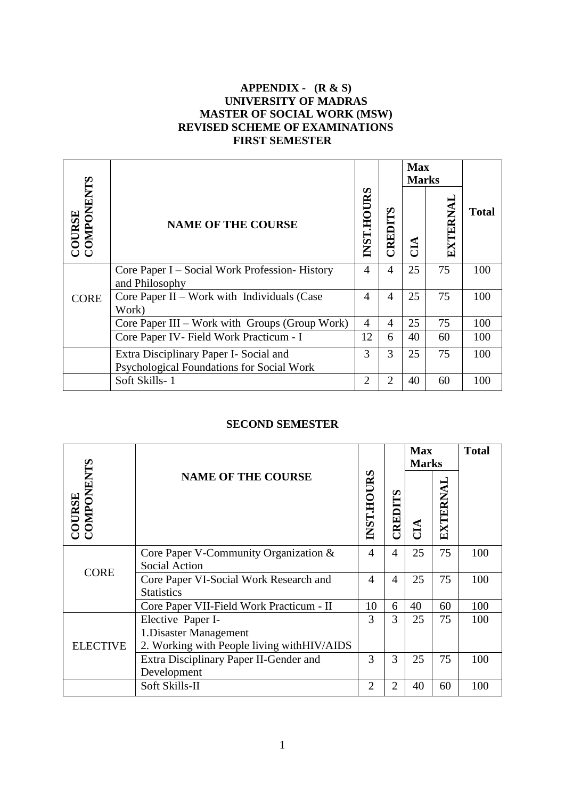### **APPENDIX - (R & S) UNIVERSITY OF MADRAS MASTER OF SOCIAL WORK (MSW) REVISED SCHEME OF EXAMINATIONS FIRST SEMESTER**

|                              |                                                                                     |                   |                | <b>Max</b><br><b>Marks</b> |          |              |
|------------------------------|-------------------------------------------------------------------------------------|-------------------|----------------|----------------------------|----------|--------------|
| <b>COURSE<br/>COMPONENTS</b> | <b>NAME OF THE COURSE</b>                                                           | <b>INST.HOURS</b> | CREDITS        | CIA                        | EXTERNAI | <b>Total</b> |
| <b>CORE</b>                  | Core Paper I – Social Work Profession-History<br>and Philosophy                     | 4                 | 4              | 25                         | 75       | 100          |
|                              | Core Paper II – Work with Individuals (Case<br>Work)                                | 4                 | $\overline{4}$ | 25                         | 75       | 100          |
|                              | Core Paper III – Work with Groups (Group Work)                                      | 4                 | 4              | 25                         | 75       | 100          |
|                              | Core Paper IV- Field Work Practicum - I                                             | 12                | 6              | 40                         | 60       | 100          |
|                              | Extra Disciplinary Paper I- Social and<br>Psychological Foundations for Social Work | 3                 | 3              | 25                         | 75       | 100          |
|                              | Soft Skills-1                                                                       | 2                 | $\mathfrak{D}$ | 40                         | 60       | 100          |

### **SECOND SEMESTER**

|                              |                                                                                           |                   |                | <b>Max</b><br><b>Marks</b> |          | <b>Total</b> |
|------------------------------|-------------------------------------------------------------------------------------------|-------------------|----------------|----------------------------|----------|--------------|
| <b>COURSE<br/>COMPONENTS</b> | <b>NAME OF THE COURSE</b>                                                                 | <b>INST.HOURS</b> | <b>ELIGRE</b>  | ĆЦ                         | EXTERNAL |              |
|                              | Core Paper V-Community Organization &<br><b>Social Action</b>                             | 4                 | $\overline{4}$ | 25                         | 75       | 100          |
| <b>CORE</b>                  | Core Paper VI-Social Work Research and<br><b>Statistics</b>                               | $\overline{4}$    | $\overline{4}$ | 25                         | 75       | 100          |
|                              | Core Paper VII-Field Work Practicum - II                                                  | 10                | 6              | 40                         | 60       | 100          |
| <b>ELECTIVE</b>              | Elective Paper I-<br>1. Disaster Management<br>2. Working with People living withHIV/AIDS | 3                 | 3              | 25                         | 75       | 100          |
|                              | Extra Disciplinary Paper II-Gender and<br>Development                                     | 3                 | 3              | 25                         | 75       | 100          |
|                              | Soft Skills-II                                                                            | $\overline{2}$    | $\overline{2}$ | 40                         | 60       | 100          |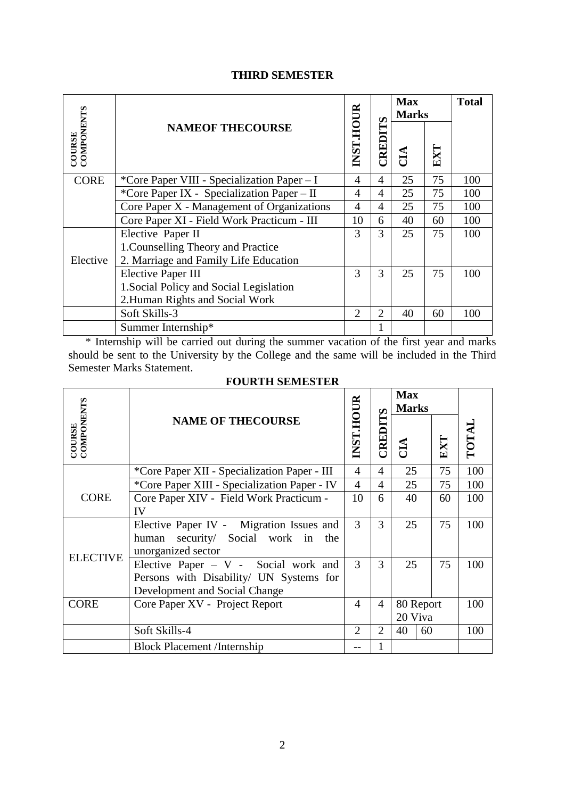# **THIRD SEMESTER**

|                              | <b>NAMEOF THECOURSE</b>                     | <b>INST.HOUR</b> | <b>CREDITS</b> | <b>Max</b><br><b>Marks</b> |     | <b>Total</b> |
|------------------------------|---------------------------------------------|------------------|----------------|----------------------------|-----|--------------|
| <b>COURSE<br/>COMPONENTS</b> |                                             |                  |                | ÊЦ                         | EXT |              |
| <b>CORE</b>                  | *Core Paper VIII - Specialization Paper – I | 4                | $\overline{4}$ | 25                         | 75  | 100          |
|                              | *Core Paper IX - Specialization Paper - II  | 4                | 4              | 25                         | 75  | 100          |
|                              | Core Paper X - Management of Organizations  | 4                | 4              | 25                         | 75  | 100          |
|                              | Core Paper XI - Field Work Practicum - III  | 10               | 6              | 40                         | 60  | 100          |
|                              | Elective Paper II                           | 3                | 3              | 25                         | 75  | 100          |
|                              | 1. Counselling Theory and Practice          |                  |                |                            |     |              |
| Elective                     | 2. Marriage and Family Life Education       |                  |                |                            |     |              |
|                              | <b>Elective Paper III</b>                   | 3                | 3              | 25                         | 75  | 100          |
|                              | 1. Social Policy and Social Legislation     |                  |                |                            |     |              |
|                              | 2. Human Rights and Social Work             |                  |                |                            |     |              |
|                              | Soft Skills-3                               | $\overline{2}$   | $\overline{2}$ | 40                         | 60  | 100          |
|                              | Summer Internship*                          |                  |                |                            |     |              |

 \* Internship will be carried out during the summer vacation of the first year and marks should be sent to the University by the College and the same will be included in the Third Semester Marks Statement.

# **FOURTH SEMESTER**

|                             | <b>NAME OF THECOURSE</b>                                    | INST.HOUR             | $\boldsymbol{\omega}$<br>CREDIT | <b>Max</b><br><b>Marks</b> |     |      |
|-----------------------------|-------------------------------------------------------------|-----------------------|---------------------------------|----------------------------|-----|------|
| COMPONENTS<br><b>COURSE</b> |                                                             |                       |                                 | $\tilde{E}$                | EXT | TOTA |
|                             | *Core Paper XII - Specialization Paper - III                | 4                     | 4                               | 25                         | 75  | 100  |
| <b>CORE</b>                 | *Core Paper XIII - Specialization Paper - IV                | $\overline{4}$        | 4                               | 25                         | 75  | 100  |
|                             | Core Paper XIV - Field Work Practicum -                     | 10                    | 6                               | 40                         | 60  | 100  |
|                             | IV                                                          |                       |                                 |                            |     |      |
|                             | Elective Paper IV - Migration Issues and                    | 3                     | 3                               | 25                         | 75  | 100  |
|                             | human security/ Social work in<br>the<br>unorganized sector |                       |                                 |                            |     |      |
| <b>ELECTIVE</b>             | Elective Paper $- V$ - Social work and                      | 3                     | 3                               | 25                         | 75  | 100  |
|                             | Persons with Disability/ UN Systems for                     |                       |                                 |                            |     |      |
|                             | Development and Social Change                               |                       |                                 |                            |     |      |
| <b>CORE</b>                 | Core Paper XV - Project Report                              | 4                     | 4                               | 80 Report<br>20 Viva       |     | 100  |
|                             |                                                             |                       |                                 |                            |     |      |
|                             | Soft Skills-4                                               | $\mathcal{D}_{\cdot}$ | 2                               | 40<br>60                   |     | 100  |
|                             | <b>Block Placement /Internship</b>                          |                       |                                 |                            |     |      |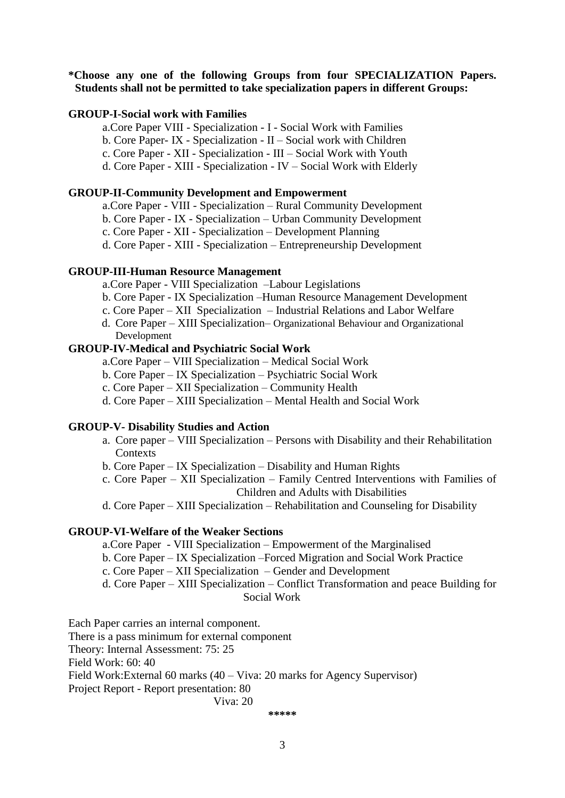### **\*Choose any one of the following Groups from four SPECIALIZATION Papers. Students shall not be permitted to take specialization papers in different Groups:**

#### **GROUP-I-Social work with Families**

a.Core Paper VIII - Specialization - I - Social Work with Families

- b. Core Paper- IX Specialization II Social work with Children
- c. Core Paper XII Specialization III Social Work with Youth
- d. Core Paper XIII Specialization IV Social Work with Elderly

#### **GROUP-II-Community Development and Empowerment**

a.Core Paper - VIII - Specialization – Rural Community Development

- b. Core Paper IX Specialization Urban Community Development
- c. Core Paper XII Specialization Development Planning

d. Core Paper - XIII - Specialization – Entrepreneurship Development

#### **GROUP-III-Human Resource Management**

a.Core Paper - VIII Specialization –Labour Legislations

- b. Core Paper IX Specialization –Human Resource Management Development
- c. Core Paper XII Specialization Industrial Relations and Labor Welfare
- d. Core Paper XIII Specialization– Organizational Behaviour and Organizational Development

### **GROUP-IV-Medical and Psychiatric Social Work**

- a.Core Paper VIII Specialization Medical Social Work
- b. Core Paper IX Specialization Psychiatric Social Work
- c. Core Paper XII Specialization Community Health
- d. Core Paper XIII Specialization Mental Health and Social Work

#### **GROUP-V- Disability Studies and Action**

- a. Core paper VIII Specialization Persons with Disability and their Rehabilitation **Contexts**
- b. Core Paper IX Specialization Disability and Human Rights
- c. Core Paper XII Specialization Family Centred Interventions with Families of Children and Adults with Disabilities
- d. Core Paper XIII Specialization Rehabilitation and Counseling for Disability

#### **GROUP-VI-Welfare of the Weaker Sections**

- a.Core Paper VIII Specialization Empowerment of the Marginalised
- b. Core Paper IX Specialization –Forced Migration and Social Work Practice
- c. Core Paper XII Specialization Gender and Development
- d. Core Paper XIII Specialization Conflict Transformation and peace Building for Social Work

Each Paper carries an internal component.

There is a pass minimum for external component

Theory: Internal Assessment: 75: 25

Field Work: 60: 40

Field Work:External 60 marks (40 – Viva: 20 marks for Agency Supervisor)

Project Report - Report presentation: 80

Viva: 20

**\*\*\*\*\***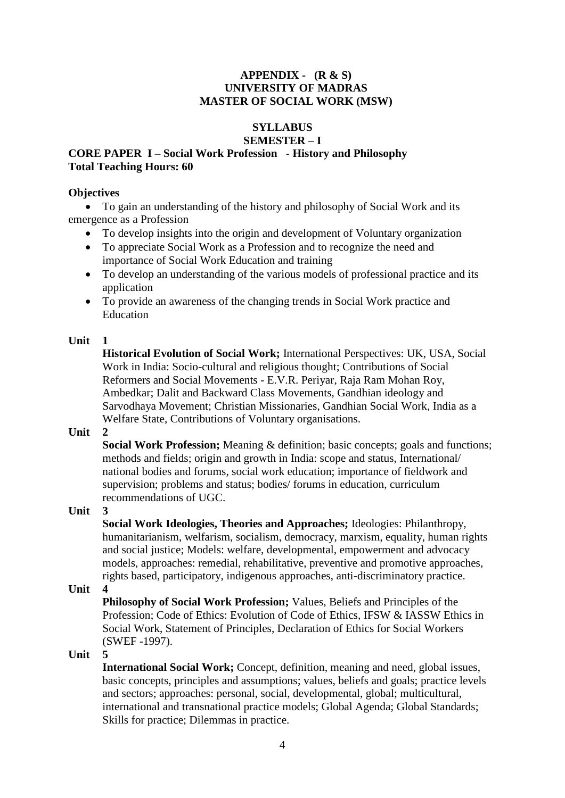### **APPENDIX - (R & S) UNIVERSITY OF MADRAS MASTER OF SOCIAL WORK (MSW)**

### **SYLLABUS SEMESTER – I**

### **CORE PAPER I – Social Work Profession - History and Philosophy Total Teaching Hours: 60**

### **Objectives**

 To gain an understanding of the history and philosophy of Social Work and its emergence as a Profession

- To develop insights into the origin and development of Voluntary organization
- To appreciate Social Work as a Profession and to recognize the need and importance of Social Work Education and training
- To develop an understanding of the various models of professional practice and its application
- To provide an awareness of the changing trends in Social Work practice and Education

# **Unit 1**

**Historical Evolution of Social Work;** International Perspectives: UK, USA, Social Work in India: Socio-cultural and religious thought; Contributions of Social Reformers and Social Movements - E.V.R. Periyar, Raja Ram Mohan Roy, Ambedkar; Dalit and Backward Class Movements, Gandhian ideology and Sarvodhaya Movement; Christian Missionaries, Gandhian Social Work, India as a Welfare State, Contributions of Voluntary organisations.

# **Unit 2**

**Social Work Profession;** Meaning & definition; basic concepts; goals and functions; methods and fields; origin and growth in India: scope and status, International/ national bodies and forums, social work education; importance of fieldwork and supervision; problems and status; bodies/ forums in education, curriculum recommendations of UGC.

**Unit 3** 

**Social Work Ideologies, Theories and Approaches;** Ideologies: Philanthropy, humanitarianism, welfarism, socialism, democracy, marxism, equality, human rights and social justice; Models: welfare, developmental, empowerment and advocacy models, approaches: remedial, rehabilitative, preventive and promotive approaches, rights based, participatory, indigenous approaches, anti-discriminatory practice.

# **Unit 4**

**Philosophy of Social Work Profession;** Values, Beliefs and Principles of the Profession; Code of Ethics: Evolution of Code of Ethics, IFSW & IASSW Ethics in Social Work, Statement of Principles, Declaration of Ethics for Social Workers (SWEF -1997).

# **Unit 5**

**International Social Work;** Concept, definition, meaning and need, global issues, basic concepts, principles and assumptions; values, beliefs and goals; practice levels and sectors; approaches: personal, social, developmental, global; multicultural, international and transnational practice models; Global Agenda; Global Standards; Skills for practice; Dilemmas in practice.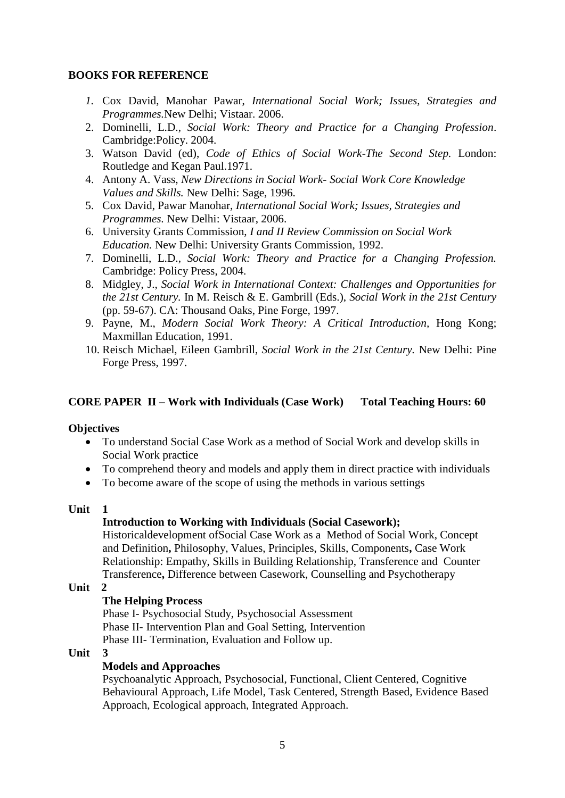# **BOOKS FOR REFERENCE**

- *1.* Cox David, Manohar Pawar, *International Social Work; Issues, Strategies and Programmes.*New Delhi; Vistaar. 2006.
- 2. Dominelli, L.D., *Social Work: Theory and Practice for a Changing Profession*. Cambridge:Policy. 2004.
- 3. Watson David (ed), *Code of Ethics of Social Work-The Second Step.* London: Routledge and Kegan Paul.1971.
- 4. Antony A. Vass, *New Directions in Social Work- Social Work Core Knowledge Values and Skills.* New Delhi: Sage, 1996.
- 5. Cox David, Pawar Manohar, *International Social Work; Issues, Strategies and Programmes.* New Delhi: Vistaar, 2006.
- 6. University Grants Commission, *I and II Review Commission on Social Work Education.* New Delhi: University Grants Commission, 1992.
- 7. Dominelli, L.D., *Social Work: Theory and Practice for a Changing Profession.* Cambridge: Policy Press, 2004.
- 8. Midgley, J., *Social Work in International Context: Challenges and Opportunities for the 21st Century.* In M. Reisch & E. Gambrill (Eds.), *Social Work in the 21st Century*  (pp. 59-67). CA: Thousand Oaks, Pine Forge, 1997.
- 9. Payne, M., *Modern Social Work Theory: A Critical Introduction,* Hong Kong; Maxmillan Education, 1991.
- 10. Reisch Michael, Eileen Gambrill, *Social Work in the 21st Century.* New Delhi: Pine Forge Press, 1997.

### **CORE PAPER II – Work with Individuals (Case Work) Total Teaching Hours: 60**

#### **Objectives**

- To understand Social Case Work as a method of Social Work and develop skills in Social Work practice
- To comprehend theory and models and apply them in direct practice with individuals
- To become aware of the scope of using the methods in various settings

#### **Unit 1**

#### **Introduction to Working with Individuals (Social Casework);**

Historicaldevelopment ofSocial Case Work as a Method of Social Work, Concept and Definition**,** Philosophy, Values, Principles, Skills, Components**,** Case Work Relationship: Empathy, Skills in Building Relationship, Transference and Counter Transference**,** Difference between Casework, Counselling and Psychotherapy

**Unit 2** 

#### **The Helping Process**

Phase I- Psychosocial Study, Psychosocial Assessment Phase II- Intervention Plan and Goal Setting, Intervention Phase III- Termination, Evaluation and Follow up.

#### **Unit 3**

### **Models and Approaches**

 Psychoanalytic Approach, Psychosocial, Functional, Client Centered, Cognitive Behavioural Approach, Life Model, Task Centered, Strength Based, Evidence Based Approach, Ecological approach, Integrated Approach.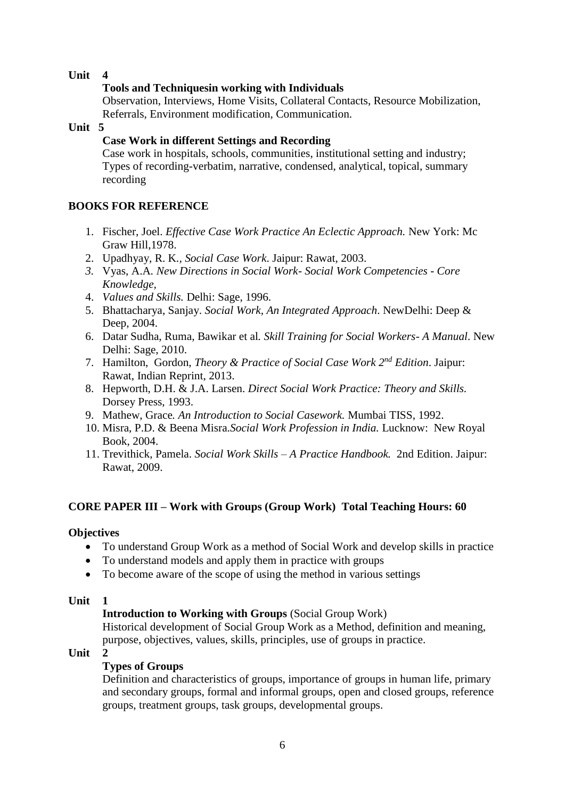# **Tools and Techniquesin working with Individuals**

Observation, Interviews, Home Visits, Collateral Contacts, Resource Mobilization, Referrals, Environment modification, Communication.

**Unit 5** 

# **Case Work in different Settings and Recording**

Case work in hospitals, schools, communities, institutional setting and industry; Types of recording-verbatim, narrative, condensed, analytical, topical, summary recording

# **BOOKS FOR REFERENCE**

- 1. Fischer, Joel. *Effective Case Work Practice An Eclectic Approach.* New York: Mc Graw Hill,1978.
- 2. Upadhyay, R. K*., Social Case Work*. Jaipur: Rawat, 2003.
- *3.* Vyas, A.A*. New Directions in Social Work- Social Work Competencies - Core Knowledge,*
- 4. *Values and Skills.* Delhi: Sage, 1996.
- 5. Bhattacharya, Sanjay. *Social Work, An Integrated Approach*. NewDelhi: Deep & Deep, 2004.
- 6. Datar Sudha, Ruma, Bawikar et al*. Skill Training for Social Workers- A Manual*. New Delhi: Sage, 2010.
- 7. Hamilton, Gordon, *Theory & Practice of Social Case Work 2nd Edition*. Jaipur: Rawat, Indian Reprint, 2013.
- 8. Hepworth, D.H. & J.A. Larsen. *Direct Social Work Practice: Theory and Skills.* Dorsey Press, 1993.
- 9. Mathew, Grace*. An Introduction to Social Casework.* Mumbai TISS, 1992.
- 10. Misra, P.D. & Beena Misra.*Social Work Profession in India.* Lucknow: New Royal Book, 2004.
- 11. Trevithick, Pamela. *Social Work Skills – A Practice Handbook.* 2nd Edition. Jaipur: Rawat, 2009.

# **CORE PAPER III – Work with Groups (Group Work) Total Teaching Hours: 60**

# **Objectives**

- To understand Group Work as a method of Social Work and develop skills in practice
- To understand models and apply them in practice with groups
- To become aware of the scope of using the method in various settings

# **Unit 1**

# **Introduction to Working with Groups** (Social Group Work)

Historical development of Social Group Work as a Method, definition and meaning, purpose, objectives, values, skills, principles, use of groups in practice.

# **Unit 2**

# **Types of Groups**

Definition and characteristics of groups, importance of groups in human life, primary and secondary groups, formal and informal groups, open and closed groups, reference groups, treatment groups, task groups, developmental groups.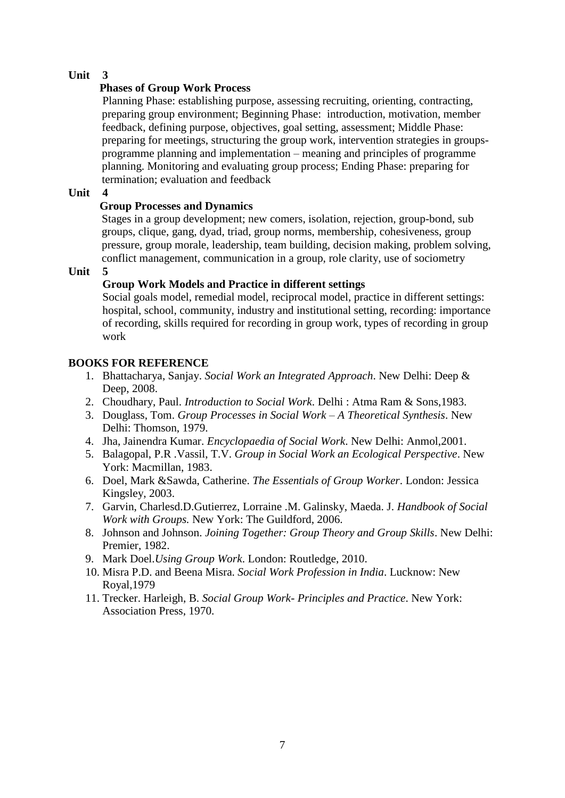# **Phases of Group Work Process**

Planning Phase: establishing purpose, assessing recruiting, orienting, contracting, preparing group environment; Beginning Phase: introduction, motivation, member feedback, defining purpose, objectives, goal setting, assessment; Middle Phase: preparing for meetings, structuring the group work, intervention strategies in groupsprogramme planning and implementation – meaning and principles of programme planning. Monitoring and evaluating group process; Ending Phase: preparing for termination; evaluation and feedback

# **Unit 4**

# **Group Processes and Dynamics**

Stages in a group development; new comers, isolation, rejection, group-bond, sub groups, clique, gang, dyad, triad, group norms, membership, cohesiveness, group pressure, group morale, leadership, team building, decision making, problem solving, conflict management, communication in a group, role clarity, use of sociometry

# **Unit**

# **Group Work Models and Practice in different settings**

Social goals model, remedial model, reciprocal model, practice in different settings: hospital, school, community, industry and institutional setting, recording: importance of recording, skills required for recording in group work, types of recording in group work

# **BOOKS FOR REFERENCE**

- 1. Bhattacharya, Sanjay. *Social Work an Integrated Approach*. New Delhi: Deep & Deep, 2008.
- 2. Choudhary, Paul. *Introduction to Social Work*. Delhi : Atma Ram & Sons,1983.
- 3. Douglass, Tom. *Group Processes in Social Work A Theoretical Synthesis*. New Delhi: Thomson, 1979.
- 4. Jha, Jainendra Kumar. *Encyclopaedia of Social Work*. New Delhi: Anmol,2001.
- 5. Balagopal, P.R .Vassil, T.V. *Group in Social Work an Ecological Perspective*. New York: Macmillan, 1983.
- 6. Doel, Mark &Sawda, Catherine. *The Essentials of Group Worker*. London: Jessica Kingsley, 2003.
- 7. Garvin, Charlesd.D.Gutierrez, Lorraine .M. Galinsky, Maeda. J. *Handbook of Social Work with Groups.* New York: The Guildford, 2006.
- 8. Johnson and Johnson. *Joining Together: Group Theory and Group Skills*. New Delhi: Premier, 1982.
- 9. Mark Doel.*Using Group Work*. London: Routledge, 2010.
- 10. Misra P.D. and Beena Misra. *Social Work Profession in India*. Lucknow: New Royal,1979
- 11. Trecker. Harleigh, B. *Social Group Work- Principles and Practice*. New York: Association Press, 1970.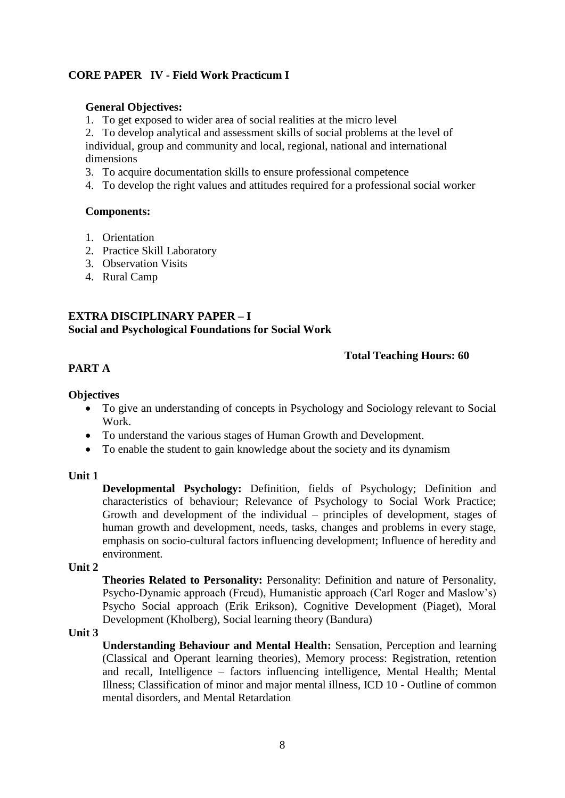# **CORE PAPER IV - Field Work Practicum I**

#### **General Objectives:**

1. To get exposed to wider area of social realities at the micro level

2. To develop analytical and assessment skills of social problems at the level of individual, group and community and local, regional, national and international dimensions

- 3. To acquire documentation skills to ensure professional competence
- 4. To develop the right values and attitudes required for a professional social worker

#### **Components:**

- 1. Orientation
- 2. Practice Skill Laboratory
- 3. Observation Visits
- 4. Rural Camp

# **EXTRA DISCIPLINARY PAPER – I Social and Psychological Foundations for Social Work**

### **Total Teaching Hours: 60**

# **PART A**

### **Objectives**

- To give an understanding of concepts in Psychology and Sociology relevant to Social Work.
- To understand the various stages of Human Growth and Development.
- To enable the student to gain knowledge about the society and its dynamism

### **Unit 1**

**Developmental Psychology:** Definition, fields of Psychology; Definition and characteristics of behaviour; Relevance of Psychology to Social Work Practice; Growth and development of the individual – principles of development, stages of human growth and development, needs, tasks, changes and problems in every stage, emphasis on socio-cultural factors influencing development; Influence of heredity and environment.

#### **Unit 2**

**Theories Related to Personality:** Personality: Definition and nature of Personality, Psycho-Dynamic approach (Freud), Humanistic approach (Carl Roger and Maslow's) Psycho Social approach (Erik Erikson), Cognitive Development (Piaget), Moral Development (Kholberg), Social learning theory (Bandura)

#### **Unit 3**

**Understanding Behaviour and Mental Health:** Sensation, Perception and learning (Classical and Operant learning theories), Memory process: Registration, retention and recall, Intelligence – factors influencing intelligence, Mental Health; Mental Illness; Classification of minor and major mental illness, ICD 10 - Outline of common mental disorders, and Mental Retardation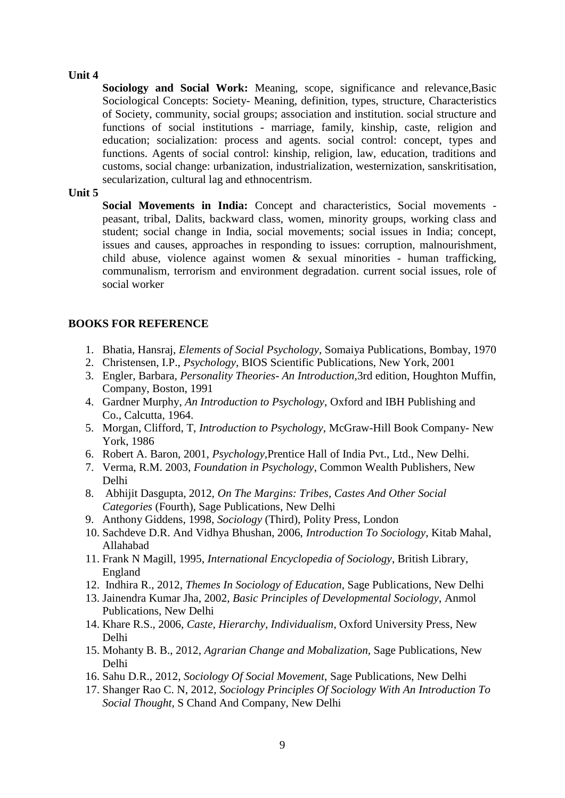**Sociology and Social Work:** Meaning, scope, significance and relevance,Basic Sociological Concepts: Society- Meaning, definition, types, structure, Characteristics of Society, community, social groups; association and institution. social structure and functions of social institutions - marriage, family, kinship, caste, religion and education; socialization: process and agents. social control: concept, types and functions. Agents of social control: kinship, religion, law, education, traditions and customs, social change: urbanization, industrialization, westernization, sanskritisation, secularization, cultural lag and ethnocentrism.

**Unit 5**

**Social Movements in India:** Concept and characteristics, Social movements peasant, tribal, Dalits, backward class, women, minority groups, working class and student; social change in India, social movements; social issues in India; concept, issues and causes, approaches in responding to issues: corruption, malnourishment, child abuse, violence against women & sexual minorities - human trafficking, communalism, terrorism and environment degradation. current social issues, role of social worker

### **BOOKS FOR REFERENCE**

- 1. Bhatia, Hansraj, *Elements of Social Psychology*, Somaiya Publications, Bombay, 1970
- 2. Christensen, I.P., *Psychology*, BIOS Scientific Publications, New York, 2001
- 3. Engler, Barbara*, Personality Theories- An Introduction,*3rd edition, Houghton Muffin, Company, Boston, 1991
- 4. Gardner Murphy, *An Introduction to Psychology*, Oxford and IBH Publishing and Co., Calcutta, 1964.
- 5. Morgan, Clifford, T, *Introduction to Psychology*, McGraw-Hill Book Company- New York, 1986
- 6. Robert A. Baron, 2001, *Psychology,*Prentice Hall of India Pvt., Ltd., New Delhi.
- 7. Verma, R.M. 2003, *Foundation in Psychology*, Common Wealth Publishers, New Delhi
- 8. Abhijit Dasgupta, 2012, *On The Margins: Tribes, Castes And Other Social Categories* (Fourth), Sage Publications, New Delhi
- 9. Anthony Giddens, 1998, *Sociology* (Third), Polity Press, London
- 10. Sachdeve D.R. And Vidhya Bhushan, 2006, *Introduction To Sociology*, Kitab Mahal, Allahabad
- 11. Frank N Magill, 1995, *International Encyclopedia of Sociology*, British Library, England
- 12. Indhira R., 2012, *Themes In Sociology of Education*, Sage Publications, New Delhi
- 13. Jainendra Kumar Jha, 2002, *Basic Principles of Developmental Sociology*, Anmol Publications, New Delhi
- 14. Khare R.S., 2006, *Caste, Hierarchy, Individualism*, Oxford University Press, New Delhi
- 15. Mohanty B. B., 2012, *Agrarian Change and Mobalization,* Sage Publications, New Delhi
- 16. Sahu D.R., 2012, *Sociology Of Social Movement*, Sage Publications, New Delhi
- 17. Shanger Rao C. N, 2012, *Sociology Principles Of Sociology With An Introduction To Social Thought,* S Chand And Company, New Delhi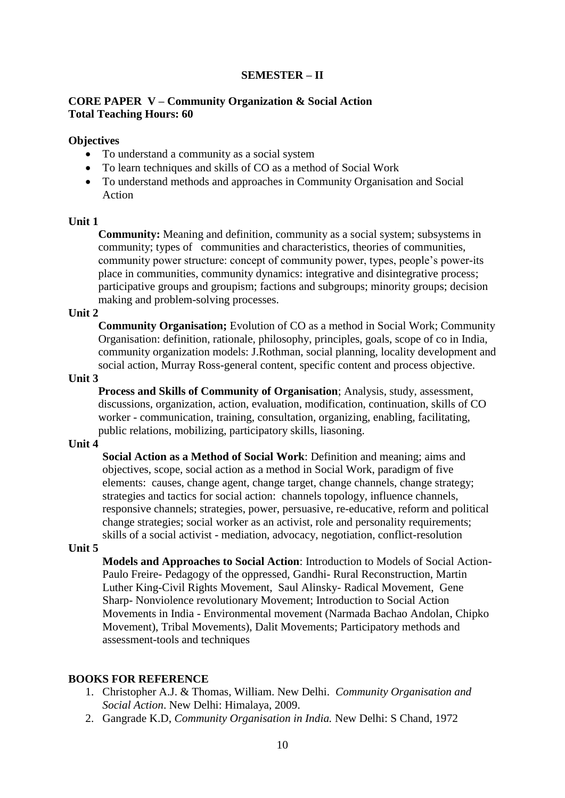### **SEMESTER – II**

### **CORE PAPER V – Community Organization & Social Action Total Teaching Hours: 60**

### **Objectives**

- To understand a community as a social system
- To learn techniques and skills of CO as a method of Social Work
- To understand methods and approaches in Community Organisation and Social Action

#### **Unit 1**

**Community:** Meaning and definition, community as a social system; subsystems in community; types of communities and characteristics, theories of communities, community power structure: concept of community power, types, people's power-its place in communities, community dynamics: integrative and disintegrative process; participative groups and groupism; factions and subgroups; minority groups; decision making and problem-solving processes.

#### **Unit 2**

**Community Organisation;** Evolution of CO as a method in Social Work; Community Organisation: definition, rationale, philosophy, principles, goals, scope of co in India, community organization models: J.Rothman, social planning, locality development and social action, Murray Ross-general content, specific content and process objective.

#### **Unit 3**

**Process and Skills of Community of Organisation**; Analysis, study, assessment, discussions, organization, action, evaluation, modification, continuation, skills of CO worker - communication, training, consultation, organizing, enabling, facilitating, public relations, mobilizing, participatory skills, liasoning.

#### **Unit 4**

**Social Action as a Method of Social Work**: Definition and meaning; aims and objectives, scope, social action as a method in Social Work, paradigm of five elements: causes, change agent, change target, change channels, change strategy; strategies and tactics for social action: channels topology, influence channels, responsive channels; strategies, power, persuasive, re-educative, reform and political change strategies; social worker as an activist, role and personality requirements; skills of a social activist - mediation, advocacy, negotiation, conflict-resolution

#### **Unit 5**

**Models and Approaches to Social Action**: Introduction to Models of Social Action-Paulo Freire- Pedagogy of the oppressed, Gandhi- Rural Reconstruction, Martin Luther King-Civil Rights Movement, Saul Alinsky- Radical Movement, Gene Sharp- Nonviolence revolutionary Movement; Introduction to Social Action Movements in India - Environmental movement (Narmada Bachao Andolan, Chipko Movement), Tribal Movements), Dalit Movements; Participatory methods and assessment-tools and techniques

#### **BOOKS FOR REFERENCE**

- 1. Christopher A.J. & Thomas, William. New Delhi. *Community Organisation and Social Action*. New Delhi: Himalaya, 2009.
- 2. Gangrade K.D, *Community Organisation in India.* New Delhi: S Chand, 1972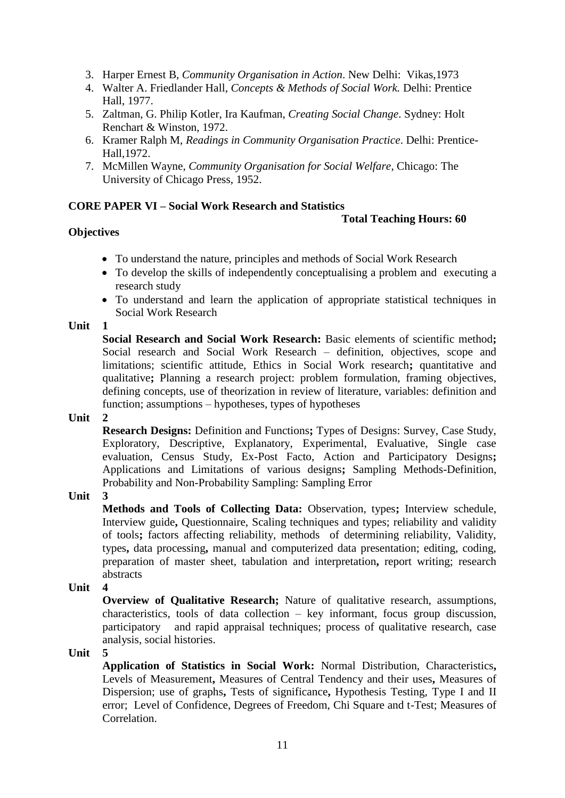- 3. Harper Ernest B, *Community Organisation in Action*. New Delhi: Vikas,1973
- 4. Walter A. Friedlander Hall, *Concepts & Methods of Social Work.* Delhi: Prentice Hall, 1977.
- 5. Zaltman, G. Philip Kotler, Ira Kaufman, *Creating Social Change*. Sydney: Holt Renchart & Winston, 1972.
- 6. Kramer Ralph M, *Readings in Community Organisation Practice*. Delhi: Prentice-Hall,1972.
- 7. McMillen Wayne, *Community Organisation for Social Welfare*, Chicago: The University of Chicago Press, 1952.

# **CORE PAPER VI – Social Work Research and Statistics**

### **Total Teaching Hours: 60**

### **Objectives**

- To understand the nature, principles and methods of Social Work Research
- To develop the skills of independently conceptualising a problem and executing a research study
- To understand and learn the application of appropriate statistical techniques in Social Work Research

### **Unit 1**

**Social Research and Social Work Research:** Basic elements of scientific method**;**  Social research and Social Work Research – definition, objectives, scope and limitations; scientific attitude, Ethics in Social Work research**;** quantitative and qualitative**;** Planning a research project: problem formulation, framing objectives, defining concepts, use of theorization in review of literature, variables: definition and function; assumptions – hypotheses, types of hypotheses

### **Unit 2**

**Research Designs:** Definition and Functions**;** Types of Designs: Survey, Case Study, Exploratory, Descriptive, Explanatory, Experimental, Evaluative, Single case evaluation, Census Study, Ex-Post Facto, Action and Participatory Designs**;**  Applications and Limitations of various designs**;** Sampling Methods-Definition, Probability and Non-Probability Sampling: Sampling Error

**Unit 3** 

**Methods and Tools of Collecting Data:** Observation, types**;** Interview schedule, Interview guide**,** Questionnaire, Scaling techniques and types; reliability and validity of tools**;** factors affecting reliability, methods of determining reliability, Validity, types**,** data processing**,** manual and computerized data presentation; editing, coding, preparation of master sheet, tabulation and interpretation**,** report writing; research abstracts

### **Unit 4**

**Overview of Qualitative Research;** Nature of qualitative research, assumptions, characteristics, tools of data collection – key informant, focus group discussion, participatory and rapid appraisal techniques; process of qualitative research, case analysis, social histories.

**Unit** 

**Application of Statistics in Social Work:** Normal Distribution, Characteristics**,**  Levels of Measurement**,** Measures of Central Tendency and their uses**,** Measures of Dispersion; use of graphs**,** Tests of significance**,** Hypothesis Testing, Type I and II error; Level of Confidence, Degrees of Freedom, Chi Square and t-Test; Measures of Correlation.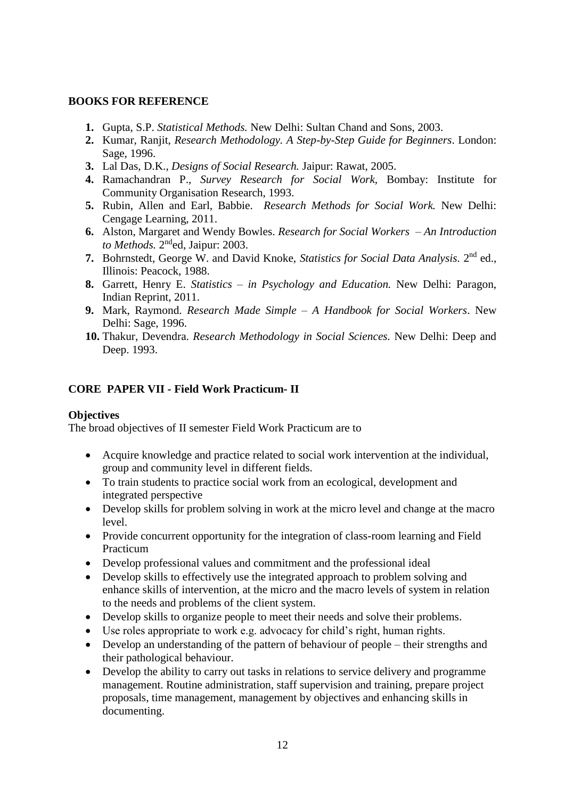### **BOOKS FOR REFERENCE**

- **1.** Gupta, S.P. *Statistical Methods.* New Delhi: Sultan Chand and Sons, 2003.
- **2.** Kumar, Ranjit, *Research Methodology. A Step-by-Step Guide for Beginners*. London: Sage, 1996.
- **3.** Lal Das, D.K., *Designs of Social Research.* Jaipur: Rawat, 2005.
- **4.** Ramachandran P., *Survey Research for Social Work,* Bombay: Institute for Community Organisation Research, 1993.
- **5.** Rubin, Allen and Earl, Babbie. *Research Methods for Social Work.* New Delhi: Cengage Learning, 2011.
- **6.** Alston, Margaret and Wendy Bowles. *Research for Social Workers – An Introduction*  to Methods. 2<sup>nd</sup>ed, Jaipur: 2003.
- 7. Bohrnstedt, George W. and David Knoke, *Statistics for Social Data Analysis*. 2<sup>nd</sup> ed., Illinois: Peacock, 1988.
- **8.** Garrett, Henry E. *Statistics – in Psychology and Education.* New Delhi: Paragon, Indian Reprint, 2011.
- **9.** Mark, Raymond. *Research Made Simple – A Handbook for Social Workers*. New Delhi: Sage, 1996.
- **10.** Thakur, Devendra. *Research Methodology in Social Sciences.* New Delhi: Deep and Deep. 1993.

# **CORE PAPER VII - Field Work Practicum- II**

### **Objectives**

The broad objectives of II semester Field Work Practicum are to

- Acquire knowledge and practice related to social work intervention at the individual, group and community level in different fields.
- To train students to practice social work from an ecological, development and integrated perspective
- Develop skills for problem solving in work at the micro level and change at the macro level.
- Provide concurrent opportunity for the integration of class-room learning and Field Practicum
- Develop professional values and commitment and the professional ideal
- Develop skills to effectively use the integrated approach to problem solving and enhance skills of intervention, at the micro and the macro levels of system in relation to the needs and problems of the client system.
- Develop skills to organize people to meet their needs and solve their problems.
- Use roles appropriate to work e.g. advocacy for child's right, human rights.
- Develop an understanding of the pattern of behaviour of people their strengths and their pathological behaviour.
- Develop the ability to carry out tasks in relations to service delivery and programme management. Routine administration, staff supervision and training, prepare project proposals, time management, management by objectives and enhancing skills in documenting.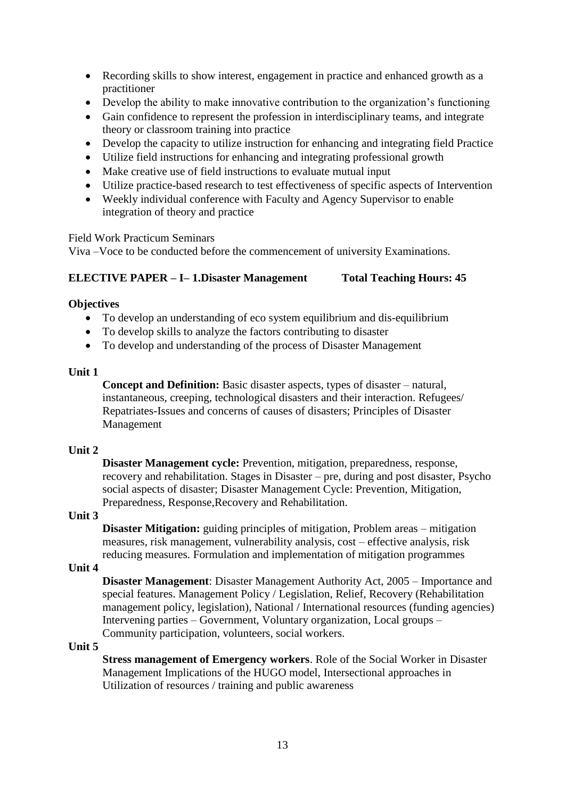- Recording skills to show interest, engagement in practice and enhanced growth as a practitioner
- Develop the ability to make innovative contribution to the organization's functioning
- Gain confidence to represent the profession in interdisciplinary teams, and integrate theory or classroom training into practice
- Develop the capacity to utilize instruction for enhancing and integrating field Practice
- Utilize field instructions for enhancing and integrating professional growth
- Make creative use of field instructions to evaluate mutual input
- Utilize practice-based research to test effectiveness of specific aspects of Intervention
- Weekly individual conference with Faculty and Agency Supervisor to enable integration of theory and practice

Field Work Practicum Seminars

Viva –Voce to be conducted before the commencement of university Examinations.

# **ELECTIVE PAPER – I– 1.Disaster Management Total Teaching Hours: 45**

### **Objectives**

- To develop an understanding of eco system equilibrium and dis-equilibrium
- To develop skills to analyze the factors contributing to disaster
- To develop and understanding of the process of Disaster Management

### **Unit 1**

**Concept and Definition:** Basic disaster aspects, types of disaster – natural, instantaneous, creeping, technological disasters and their interaction. Refugees/ Repatriates-Issues and concerns of causes of disasters; Principles of Disaster Management

# **Unit 2**

**Disaster Management cycle:** Prevention, mitigation, preparedness, response, recovery and rehabilitation. Stages in Disaster – pre, during and post disaster, Psycho social aspects of disaster; Disaster Management Cycle: Prevention, Mitigation, Preparedness, Response,Recovery and Rehabilitation.

### **Unit 3**

**Disaster Mitigation:** guiding principles of mitigation, Problem areas – mitigation measures, risk management, vulnerability analysis, cost – effective analysis, risk reducing measures. Formulation and implementation of mitigation programmes

### **Unit 4**

**Disaster Management**: Disaster Management Authority Act, 2005 – Importance and special features. Management Policy / Legislation, Relief, Recovery (Rehabilitation management policy, legislation), National / International resources (funding agencies) Intervening parties – Government, Voluntary organization, Local groups – Community participation, volunteers, social workers.

# **Unit 5**

**Stress management of Emergency workers**. Role of the Social Worker in Disaster Management Implications of the HUGO model, Intersectional approaches in Utilization of resources / training and public awareness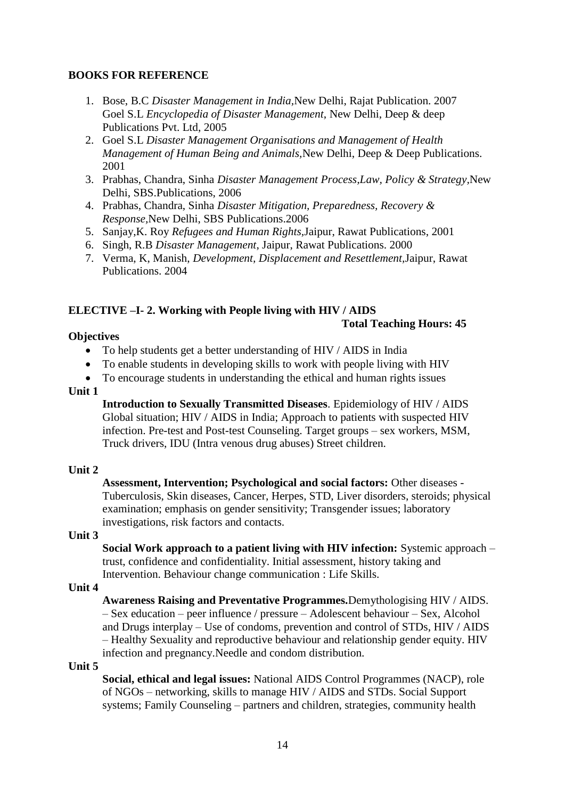### **BOOKS FOR REFERENCE**

- 1. Bose, B.C *Disaster Management in India,*New Delhi, Rajat Publication. 2007 Goel S.L *Encyclopedia of Disaster Management*, New Delhi, Deep & deep Publications Pvt. Ltd, 2005
- 2. Goel S.L *Disaster Management Organisations and Management of Health Management of Human Being and Animals,*New Delhi, Deep & Deep Publications. 2001
- 3. Prabhas, Chandra, Sinha *Disaster Management Process,Law, Policy & Strategy,*New Delhi, SBS.Publications, 2006
- 4. Prabhas, Chandra, Sinha *Disaster Mitigation, Preparedness, Recovery & Response,*New Delhi, SBS Publications.2006
- 5. Sanjay,K. Roy *Refugees and Human Rights,*Jaipur, Rawat Publications, 2001
- 6. Singh, R.B *Disaster Management*, Jaipur, Rawat Publications. 2000
- 7. Verma, K, Manish, *Development, Displacement and Resettlement,*Jaipur, Rawat Publications. 2004

### **ELECTIVE –I- 2. Working with People living with HIV / AIDS Total Teaching Hours: 45**

### **Objectives**

- To help students get a better understanding of HIV / AIDS in India
- To enable students in developing skills to work with people living with HIV
- To encourage students in understanding the ethical and human rights issues

#### **Unit 1**

**Introduction to Sexually Transmitted Diseases**. Epidemiology of HIV / AIDS Global situation; HIV / AIDS in India; Approach to patients with suspected HIV infection. Pre-test and Post-test Counseling. Target groups – sex workers, MSM, Truck drivers, IDU (Intra venous drug abuses) Street children.

#### **Unit 2**

**Assessment, Intervention; Psychological and social factors:** Other diseases - Tuberculosis, Skin diseases, Cancer, Herpes, STD, Liver disorders, steroids; physical examination; emphasis on gender sensitivity; Transgender issues; laboratory investigations, risk factors and contacts.

#### **Unit 3**

**Social Work approach to a patient living with HIV infection:** Systemic approach – trust, confidence and confidentiality. Initial assessment, history taking and Intervention. Behaviour change communication : Life Skills.

### **Unit 4**

**Awareness Raising and Preventative Programmes.**Demythologising HIV / AIDS. – Sex education – peer influence / pressure – Adolescent behaviour – Sex, Alcohol and Drugs interplay – Use of condoms, prevention and control of STDs, HIV / AIDS – Healthy Sexuality and reproductive behaviour and relationship gender equity. HIV infection and pregnancy.Needle and condom distribution.

#### **Unit 5**

**Social, ethical and legal issues:** National AIDS Control Programmes (NACP), role of NGOs – networking, skills to manage HIV / AIDS and STDs. Social Support systems; Family Counseling – partners and children, strategies, community health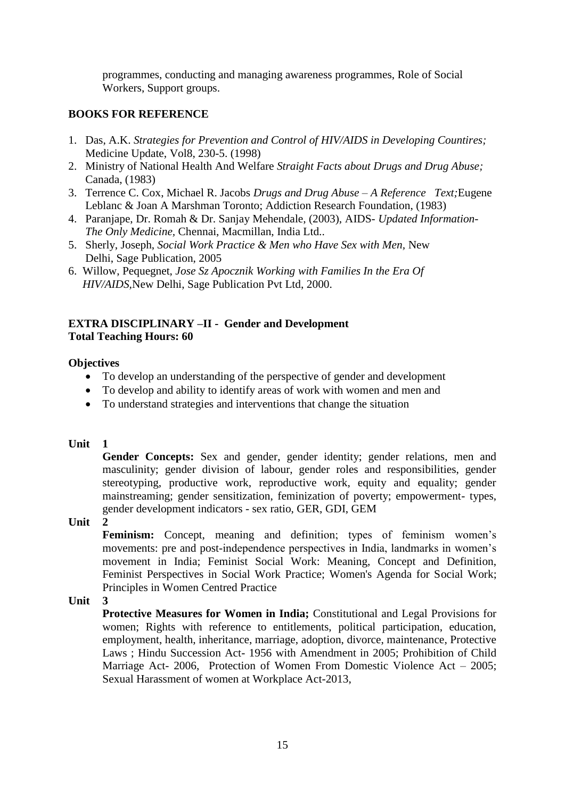programmes, conducting and managing awareness programmes, Role of Social Workers, Support groups.

# **BOOKS FOR REFERENCE**

- 1. Das, A.K. *Strategies for Prevention and Control of HIV/AIDS in Developing Countires;* Medicine Update, Vol8, 230-5. (1998)
- 2. Ministry of National Health And Welfare *Straight Facts about Drugs and Drug Abuse;* Canada, (1983)
- 3. Terrence C. Cox, Michael R. Jacobs *Drugs and Drug Abuse – A Reference Text;*Eugene Leblanc & Joan A Marshman Toronto; Addiction Research Foundation, (1983)
- 4. Paranjape, Dr. Romah & Dr. Sanjay Mehendale, (2003), AIDS- *Updated Information-The Only Medicine,* Chennai, Macmillan, India Ltd..
- 5. Sherly, Joseph, *Social Work Practice & Men who Have Sex with Men,* New Delhi, Sage Publication, 2005
- 6. Willow, Pequegnet, *Jose Sz Apocznik Working with Families In the Era Of HIV/AIDS,*New Delhi, Sage Publication Pvt Ltd, 2000.

# **EXTRA DISCIPLINARY –II - Gender and Development Total Teaching Hours: 60**

# **Objectives**

- To develop an understanding of the perspective of gender and development
- To develop and ability to identify areas of work with women and men and
- To understand strategies and interventions that change the situation

# **Unit 1**

Gender Concepts: Sex and gender, gender identity; gender relations, men and masculinity; gender division of labour, gender roles and responsibilities, gender stereotyping, productive work, reproductive work, equity and equality; gender mainstreaming; gender sensitization, feminization of poverty; empowerment- types, gender development indicators - sex ratio, GER, GDI, GEM

**Unit 2** 

**Feminism:** Concept, meaning and definition; types of feminism women's movements: pre and post-independence perspectives in India, landmarks in women's movement in India; Feminist Social Work: Meaning, Concept and Definition, Feminist Perspectives in Social Work Practice; Women's Agenda for Social Work; Principles in Women Centred Practice

**Unit 3**

**Protective Measures for Women in India;** Constitutional and Legal Provisions for women; Rights with reference to entitlements, political participation, education, employment, health, inheritance, marriage, adoption, divorce, maintenance, Protective Laws ; Hindu Succession Act- 1956 with Amendment in 2005; Prohibition of Child Marriage Act- 2006, Protection of Women From Domestic Violence Act – 2005; Sexual Harassment of women at Workplace Act-2013,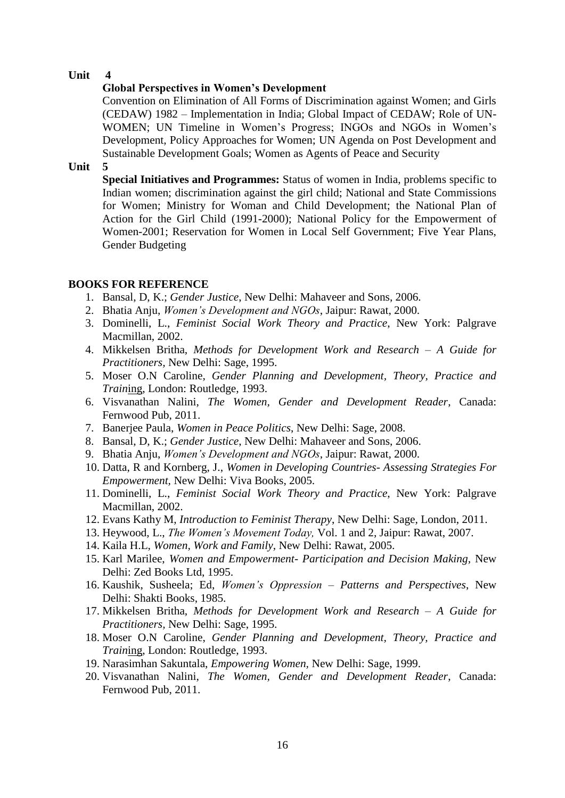### **Global Perspectives in Women's Development**

Convention on Elimination of All Forms of Discrimination against Women; and Girls (CEDAW) 1982 – Implementation in India; Global Impact of CEDAW; Role of UN-WOMEN; UN Timeline in Women's Progress; INGOs and NGOs in Women's Development, Policy Approaches for Women; UN Agenda on Post Development and Sustainable Development Goals; Women as Agents of Peace and Security

#### **Unit 5**

**Special Initiatives and Programmes:** Status of women in India, problems specific to Indian women; discrimination against the girl child; National and State Commissions for Women; Ministry for Woman and Child Development; the National Plan of Action for the Girl Child (1991-2000); National Policy for the Empowerment of Women-2001; Reservation for Women in Local Self Government; Five Year Plans, Gender Budgeting

### **BOOKS FOR REFERENCE**

- 1. Bansal, D, K.; *Gender Justice*, New Delhi: Mahaveer and Sons, 2006.
- 2. Bhatia Anju, *Women's Development and NGOs*, Jaipur: Rawat, 2000.
- 3. Dominelli, L., *Feminist Social Work Theory and Practice*, New York: Palgrave Macmillan, 2002.
- 4. Mikkelsen Britha, *Methods for Development Work and Research – A Guide for Practitioners,* New Delhi: Sage, 1995.
- 5. Moser O.N Caroline, *Gender Planning and Development, Theory, Practice and Train*ing, London: Routledge, 1993.
- 6. Visvanathan Nalini, *The Women, Gender and Development Reader*, Canada: Fernwood Pub, 2011.
- 7. Banerjee Paula, *Women in Peace Politics*, New Delhi: Sage, 2008.
- 8. Bansal, D, K.; *Gender Justice*, New Delhi: Mahaveer and Sons, 2006.
- 9. Bhatia Anju, *Women's Development and NGOs*, Jaipur: Rawat, 2000.
- 10. Datta, R and Kornberg, J., *Women in Developing Countries- Assessing Strategies For Empowerment,* New Delhi: Viva Books, 2005.
- 11. Dominelli, L., *Feminist Social Work Theory and Practice*, New York: Palgrave Macmillan, 2002.
- 12. Evans Kathy M, *Introduction to Feminist Therapy*, New Delhi: Sage, London, 2011.
- 13. Heywood, L., *The Women's Movement Today,* Vol. 1 and 2, Jaipur: Rawat, 2007.
- 14. Kaila H.L, *Women, Work and Family*, New Delhi: Rawat, 2005.
- 15. Karl Marilee, *Women and Empowerment- Participation and Decision Making,* New Delhi: Zed Books Ltd, 1995.
- 16. Kaushik, Susheela; Ed, *Women's Oppression – Patterns and Perspectives*, New Delhi: Shakti Books, 1985.
- 17. Mikkelsen Britha, *Methods for Development Work and Research – A Guide for Practitioners,* New Delhi: Sage, 1995.
- 18. Moser O.N Caroline, *Gender Planning and Development, Theory, Practice and Train*ing, London: Routledge, 1993.
- 19. Narasimhan Sakuntala, *Empowering Women,* New Delhi: Sage, 1999.
- 20. Visvanathan Nalini, *The Women, Gender and Development Reader*, Canada: Fernwood Pub, 2011.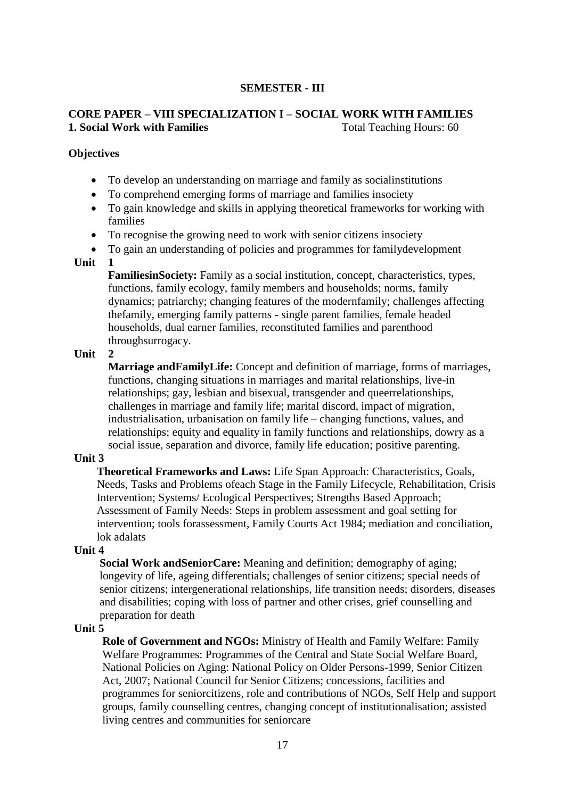### **SEMESTER - III**

# **CORE PAPER – VIII SPECIALIZATION I – SOCIAL WORK WITH FAMILIES 1. Social Work with Families** Total Teaching Hours: 60

#### **Objectives**

- To develop an understanding on marriage and family as socialinstitutions
- To comprehend emerging forms of marriage and families insociety
- To gain knowledge and skills in applying theoretical frameworks for working with families
- To recognise the growing need to work with senior citizens insociety
- To gain an understanding of policies and programmes for familydevelopment

#### **Unit 1**

**FamiliesinSociety:** Family as a social institution, concept, characteristics, types, functions, family ecology, family members and households; norms, family dynamics; patriarchy; changing features of the modernfamily; challenges affecting thefamily, emerging family patterns - single parent families, female headed households, dual earner families, reconstituted families and parenthood throughsurrogacy.

#### **Unit 2**

**Marriage andFamilyLife:** Concept and definition of marriage, forms of marriages, functions, changing situations in marriages and marital relationships, live-in relationships; gay, lesbian and bisexual, transgender and queerrelationships, challenges in marriage and family life; marital discord, impact of migration, industrialisation, urbanisation on family life – changing functions, values, and relationships; equity and equality in family functions and relationships, dowry as a social issue, separation and divorce, family life education; positive parenting.

#### **Unit 3**

**Theoretical Frameworks and Laws:** Life Span Approach: Characteristics, Goals, Needs, Tasks and Problems ofeach Stage in the Family Lifecycle, Rehabilitation, Crisis Intervention; Systems/ Ecological Perspectives; Strengths Based Approach; Assessment of Family Needs: Steps in problem assessment and goal setting for intervention; tools forassessment, Family Courts Act 1984; mediation and conciliation, lok adalats

#### **Unit 4**

**Social Work andSeniorCare:** Meaning and definition; demography of aging; longevity of life, ageing differentials; challenges of senior citizens; special needs of senior citizens; intergenerational relationships, life transition needs; disorders, diseases and disabilities; coping with loss of partner and other crises, grief counselling and preparation for death

#### **Unit 5**

**Role of Government and NGOs:** Ministry of Health and Family Welfare: Family Welfare Programmes: Programmes of the Central and State Social Welfare Board, National Policies on Aging: National Policy on Older Persons-1999, Senior Citizen Act, 2007; National Council for Senior Citizens; concessions, facilities and programmes for seniorcitizens, role and contributions of NGOs, Self Help and support groups, family counselling centres, changing concept of institutionalisation; assisted living centres and communities for seniorcare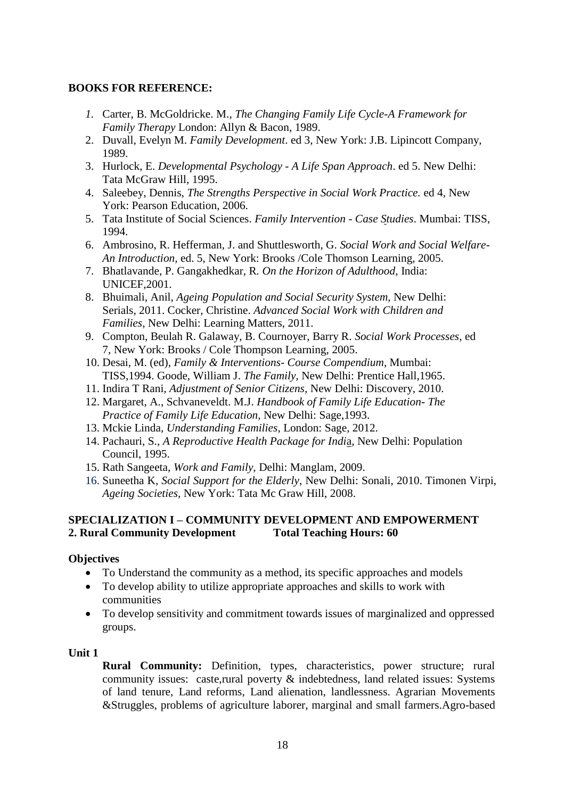### **BOOKS FOR REFERENCE:**

- *1.* Carter, B. McGoldricke. M., *The Changing Family Life Cycle-A Framework for Family Therapy* London: Allyn & Bacon, 1989.
- 2. Duvall, Evelyn M. *Family Development*. ed 3, New York: J.B. Lipincott Company, 1989.
- 3. Hurlock, E. *Developmental Psychology - A Life Span Approach*. ed 5. New Delhi: Tata McGraw Hill, 1995.
- 4. Saleebey, Dennis, *The Strengths Perspective in Social Work Practice.* ed 4, New York: Pearson Education, 2006.
- 5. Tata Institute of Social Sciences. *Family Intervention - Case Studies*. Mumbai: TISS, 1994.
- 6. Ambrosino, R. Hefferman, J. and Shuttlesworth, G. *Social Work and Social Welfare-An Introduction,* ed. 5, New York: Brooks /Cole Thomson Learning, 2005.
- 7. Bhatlavande, P. Gangakhedkar, R*. On the Horizon of Adulthood*, India: UNICEF,2001.
- 8. Bhuimali, Anil, *Ageing Population and Social Security System,* New Delhi: Serials, 2011. Cocker, Christine. *Advanced Social Work with Children and Families,* New Delhi: Learning Matters, 2011.
- 9. Compton, Beulah R. Galaway, B. Cournoyer, Barry R. *Social Work Processes,* ed 7, New York: Brooks / Cole Thompson Learning, 2005.
- 10. Desai, M. (ed), *Family & Interventions- Course Compendium*, Mumbai: TISS,1994. Goode, William J. *The Family,* New Delhi: Prentice Hall,1965.
- 11. Indira T Rani*, Adjustment of Senior Citizens,* New Delhi: Discovery, 2010.
- 12. Margaret, A., Schvaneveldt. M.J. *Handbook of Family Life Education- The Practice of Family Life Education,* New Delhi: Sage,1993.
- 13. Mckie Linda*, Understanding Families*, London: Sage, 2012.
- 14. Pachauri, S., *A Reproductive Health Package for Indi*a, New Delhi: Population Council, 1995.
- 15. Rath Sangeeta, *Work and Family,* Delhi: Manglam, 2009.
- 16. Suneetha K*, Social Support for the Elderly*, New Delhi: Sonali, 2010. Timonen Virpi, *Ageing Societies,* New York: Tata Mc Graw Hill, 2008.

### **SPECIALIZATION I – COMMUNITY DEVELOPMENT AND EMPOWERMENT 2. Rural Community Development Total Teaching Hours: 60**

### **Objectives**

- To Understand the community as a method, its specific approaches and models
- To develop ability to utilize appropriate approaches and skills to work with communities
- To develop sensitivity and commitment towards issues of marginalized and oppressed groups.

### **Unit 1**

**Rural Community:** Definition, types, characteristics, power structure; rural community issues: caste,rural poverty & indebtedness, land related issues: Systems of land tenure, Land reforms, Land alienation, landlessness. Agrarian Movements &Struggles, problems of agriculture laborer, marginal and small farmers.Agro-based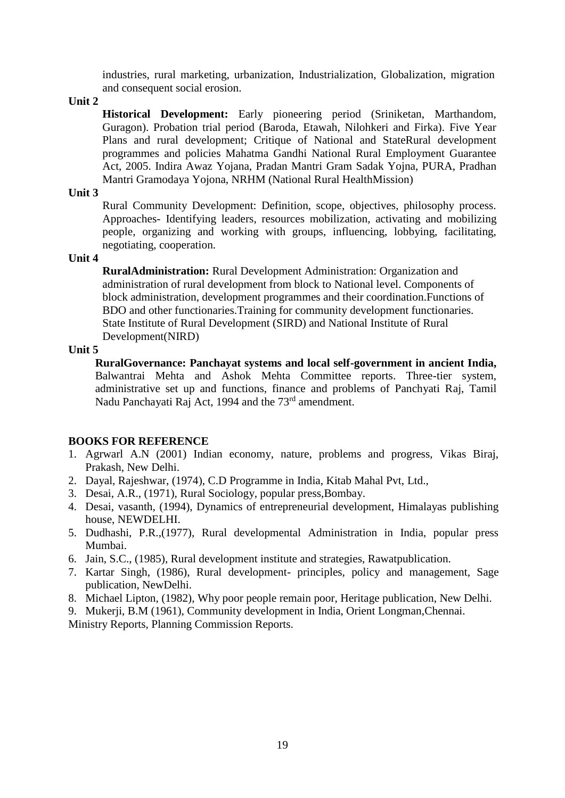industries, rural marketing, urbanization, Industrialization, Globalization, migration and consequent social erosion.

#### **Unit 2**

**Historical Development:** Early pioneering period (Sriniketan, Marthandom, Guragon). Probation trial period (Baroda, Etawah, Nilohkeri and Firka). Five Year Plans and rural development; Critique of National and StateRural development programmes and policies Mahatma Gandhi National Rural Employment Guarantee Act, 2005. Indira Awaz Yojana, Pradan Mantri Gram Sadak Yojna, PURA, Pradhan Mantri Gramodaya Yojona, NRHM (National Rural HealthMission)

### **Unit 3**

Rural Community Development: Definition, scope, objectives, philosophy process. Approaches- Identifying leaders, resources mobilization, activating and mobilizing people, organizing and working with groups, influencing, lobbying, facilitating, negotiating, cooperation.

#### **Unit 4**

**RuralAdministration:** Rural Development Administration: Organization and administration of rural development from block to National level. Components of block administration, development programmes and their coordination.Functions of BDO and other functionaries.Training for community development functionaries. State Institute of Rural Development (SIRD) and National Institute of Rural Development(NIRD)

#### **Unit 5**

**RuralGovernance: Panchayat systems and local self-government in ancient India,**  Balwantrai Mehta and Ashok Mehta Committee reports. Three-tier system, administrative set up and functions, finance and problems of Panchyati Raj, Tamil Nadu Panchayati Raj Act, 1994 and the 73rd amendment.

### **BOOKS FOR REFERENCE**

- 1. Agrwarl A.N (2001) Indian economy, nature, problems and progress, Vikas Biraj, Prakash, New Delhi.
- 2. Dayal, Rajeshwar, (1974), C.D Programme in India, Kitab Mahal Pvt, Ltd.,
- 3. Desai, A.R., (1971), Rural Sociology, popular press,Bombay.
- 4. Desai, vasanth, (1994), Dynamics of entrepreneurial development, Himalayas publishing house, NEWDELHI.
- 5. Dudhashi, P.R.,(1977), Rural developmental Administration in India, popular press Mumbai.
- 6. Jain, S.C., (1985), Rural development institute and strategies, Rawatpublication.
- 7. Kartar Singh, (1986), Rural development- principles, policy and management, Sage publication, NewDelhi.
- 8. Michael Lipton, (1982), Why poor people remain poor, Heritage publication, New Delhi.
- 9. Mukerji, B.M (1961), Community development in India, Orient Longman,Chennai.

Ministry Reports, Planning Commission Reports.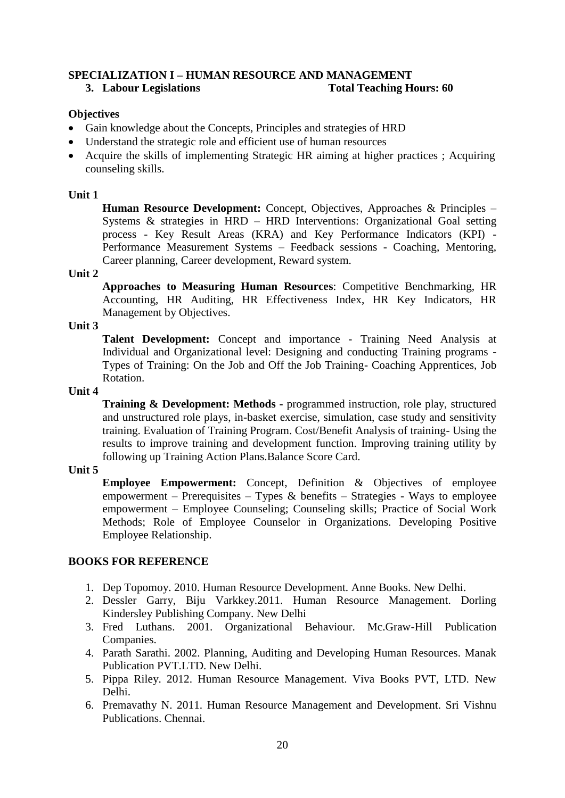### **SPECIALIZATION I – HUMAN RESOURCE AND MANAGEMENT 3. Labour Legislations Total Teaching Hours: 60**

### **Objectives**

- Gain knowledge about the Concepts, Principles and strategies of HRD
- Understand the strategic role and efficient use of human resources
- Acquire the skills of implementing Strategic HR aiming at higher practices ; Acquiring counseling skills.

### **Unit 1**

**Human Resource Development:** Concept, Objectives, Approaches & Principles – Systems & strategies in HRD – HRD Interventions: Organizational Goal setting process - Key Result Areas (KRA) and Key Performance Indicators (KPI) - Performance Measurement Systems – Feedback sessions - Coaching, Mentoring, Career planning, Career development, Reward system.

### **Unit 2**

**Approaches to Measuring Human Resources**: Competitive Benchmarking, HR Accounting, HR Auditing, HR Effectiveness Index, HR Key Indicators, HR Management by Objectives.

### **Unit 3**

**Talent Development:** Concept and importance - Training Need Analysis at Individual and Organizational level: Designing and conducting Training programs - Types of Training: On the Job and Off the Job Training- Coaching Apprentices, Job Rotation.

### **Unit 4**

**Training & Development: Methods -** programmed instruction, role play, structured and unstructured role plays, in-basket exercise, simulation, case study and sensitivity training. Evaluation of Training Program. Cost/Benefit Analysis of training- Using the results to improve training and development function. Improving training utility by following up Training Action Plans.Balance Score Card.

### **Unit 5**

**Employee Empowerment:** Concept, Definition & Objectives of employee empowerment – Prerequisites – Types & benefits – Strategies - Ways to employee empowerment – Employee Counseling; Counseling skills; Practice of Social Work Methods; Role of Employee Counselor in Organizations. Developing Positive Employee Relationship.

### **BOOKS FOR REFERENCE**

- 1. Dep Topomoy. 2010. Human Resource Development. Anne Books. New Delhi.
- 2. Dessler Garry, Biju Varkkey.2011. Human Resource Management. Dorling Kindersley Publishing Company. New Delhi
- 3. Fred Luthans. 2001. Organizational Behaviour. Mc.Graw-Hill Publication Companies.
- 4. Parath Sarathi. 2002. Planning, Auditing and Developing Human Resources. Manak Publication PVT.LTD. New Delhi.
- 5. Pippa Riley. 2012. Human Resource Management. Viva Books PVT, LTD. New Delhi.
- 6. Premavathy N. 2011. Human Resource Management and Development. Sri Vishnu Publications. Chennai.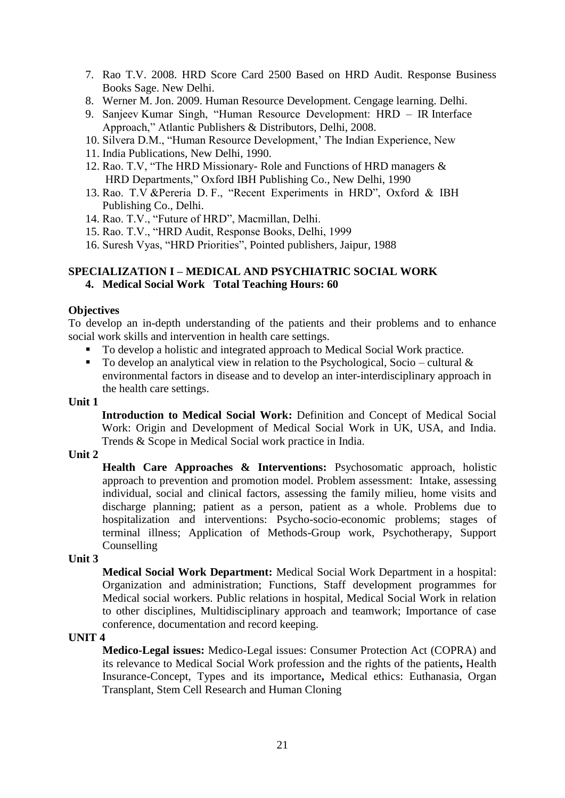- 7. Rao T.V. 2008. HRD Score Card 2500 Based on HRD Audit. Response Business Books Sage. New Delhi.
- 8. Werner M. Jon. 2009. Human Resource Development. Cengage learning. Delhi.
- 9. Sanjeev Kumar Singh, "Human Resource Development: HRD IR Interface Approach," Atlantic Publishers & Distributors, Delhi, 2008.
- 10. Silvera D.M., "Human Resource Development,' The Indian Experience, New
- 11. India Publications, New Delhi, 1990.
- 12. Rao. T.V, "The HRD Missionary- Role and Functions of HRD managers & HRD Departments," Oxford IBH Publishing Co., New Delhi, 1990
- 13. Rao. T.V &Pereria D. F., "Recent Experiments in HRD", Oxford & IBH Publishing Co., Delhi.
- 14. Rao. T.V., "Future of HRD", Macmillan, Delhi.
- 15. Rao. T.V., "HRD Audit, Response Books, Delhi, 1999
- 16. Suresh Vyas, "HRD Priorities", Pointed publishers, Jaipur, 1988

### **SPECIALIZATION I – MEDICAL AND PSYCHIATRIC SOCIAL WORK 4. Medical Social Work Total Teaching Hours: 60**

#### **Objectives**

To develop an in-depth understanding of the patients and their problems and to enhance social work skills and intervention in health care settings.

- To develop a holistic and integrated approach to Medical Social Work practice.
- To develop an analytical view in relation to the Psychological, Socio cultural  $\&$ environmental factors in disease and to develop an inter-interdisciplinary approach in the health care settings.

#### **Unit 1**

**Introduction to Medical Social Work:** Definition and Concept of Medical Social Work: Origin and Development of Medical Social Work in UK, USA, and India. Trends & Scope in Medical Social work practice in India.

#### **Unit 2**

**Health Care Approaches & Interventions:** Psychosomatic approach, holistic approach to prevention and promotion model. Problem assessment: Intake, assessing individual, social and clinical factors, assessing the family milieu, home visits and discharge planning; patient as a person, patient as a whole. Problems due to hospitalization and interventions: Psycho-socio-economic problems; stages of terminal illness; Application of Methods-Group work, Psychotherapy, Support Counselling

#### **Unit 3**

**Medical Social Work Department:** Medical Social Work Department in a hospital: Organization and administration; Functions, Staff development programmes for Medical social workers. Public relations in hospital, Medical Social Work in relation to other disciplines, Multidisciplinary approach and teamwork; Importance of case conference, documentation and record keeping.

#### **UNIT 4**

**Medico-Legal issues:** Medico-Legal issues: Consumer Protection Act (COPRA) and its relevance to Medical Social Work profession and the rights of the patients**,** Health Insurance-Concept, Types and its importance**,** Medical ethics: Euthanasia, Organ Transplant, Stem Cell Research and Human Cloning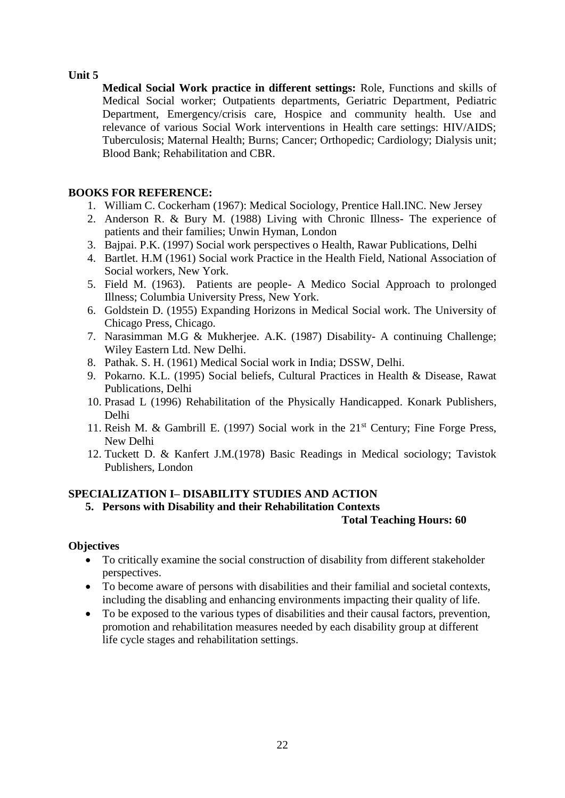**Medical Social Work practice in different settings:** Role, Functions and skills of Medical Social worker; Outpatients departments, Geriatric Department, Pediatric Department, Emergency/crisis care, Hospice and community health. Use and relevance of various Social Work interventions in Health care settings: HIV/AIDS; Tuberculosis; Maternal Health; Burns; Cancer; Orthopedic; Cardiology; Dialysis unit; Blood Bank; Rehabilitation and CBR.

# **BOOKS FOR REFERENCE:**

- 1. William C. Cockerham (1967): Medical Sociology, Prentice Hall.INC. New Jersey
- 2. Anderson R. & Bury M. (1988) Living with Chronic Illness- The experience of patients and their families; Unwin Hyman, London
- 3. Bajpai. P.K. (1997) Social work perspectives o Health, Rawar Publications, Delhi
- 4. Bartlet. H.M (1961) Social work Practice in the Health Field, National Association of Social workers, New York.
- 5. Field M. (1963). Patients are people- A Medico Social Approach to prolonged Illness; Columbia University Press, New York.
- 6. Goldstein D. (1955) Expanding Horizons in Medical Social work. The University of Chicago Press, Chicago.
- 7. Narasimman M.G & Mukherjee. A.K. (1987) Disability- A continuing Challenge; Wiley Eastern Ltd. New Delhi.
- 8. Pathak. S. H. (1961) Medical Social work in India; DSSW, Delhi.
- 9. Pokarno. K.L. (1995) Social beliefs, Cultural Practices in Health & Disease, Rawat Publications, Delhi
- 10. Prasad L (1996) Rehabilitation of the Physically Handicapped. Konark Publishers, Delhi
- 11. Reish M. & Gambrill E. (1997) Social work in the  $21<sup>st</sup>$  Century; Fine Forge Press, New Delhi
- 12. Tuckett D. & Kanfert J.M.(1978) Basic Readings in Medical sociology; Tavistok Publishers, London

# **SPECIALIZATION I– DISABILITY STUDIES AND ACTION**

### **5. Persons with Disability and their Rehabilitation Contexts**

### **Total Teaching Hours: 60**

### **Objectives**

- To critically examine the social construction of disability from different stakeholder perspectives.
- To become aware of persons with disabilities and their familial and societal contexts, including the disabling and enhancing environments impacting their quality of life.
- To be exposed to the various types of disabilities and their causal factors, prevention, promotion and rehabilitation measures needed by each disability group at different life cycle stages and rehabilitation settings.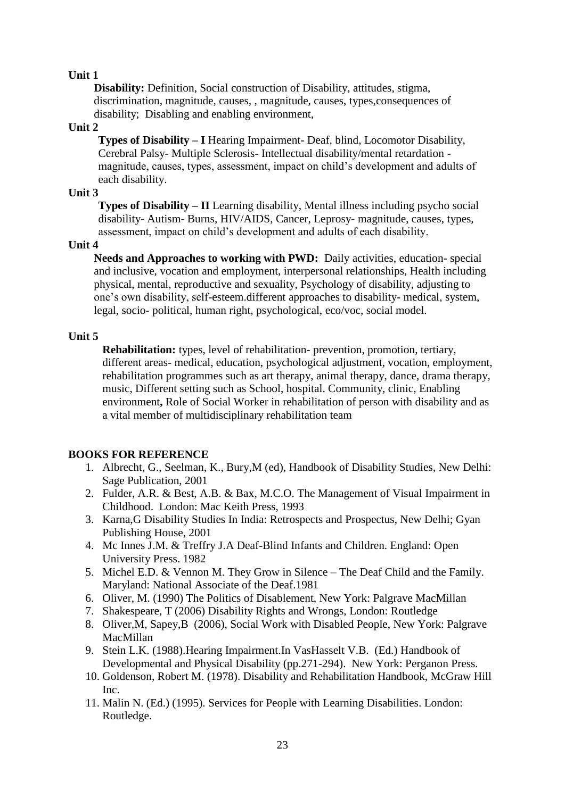**Disability:** Definition, Social construction of Disability, attitudes, stigma, discrimination, magnitude, causes, , magnitude, causes, types,consequences of disability; Disabling and enabling environment,

### **Unit 2**

**Types of Disability – I** Hearing Impairment- Deaf, blind, Locomotor Disability, Cerebral Palsy- Multiple Sclerosis- Intellectual disability/mental retardation magnitude, causes, types, assessment, impact on child's development and adults of each disability.

### **Unit 3**

**Types of Disability – II** Learning disability, Mental illness including psycho social disability- Autism- Burns, HIV/AIDS, Cancer, Leprosy- magnitude, causes, types, assessment, impact on child's development and adults of each disability.

### **Unit 4**

**Needs and Approaches to working with PWD:** Daily activities, education- special and inclusive, vocation and employment, interpersonal relationships, Health including physical, mental, reproductive and sexuality, Psychology of disability, adjusting to one's own disability, self-esteem.different approaches to disability- medical, system, legal, socio- political, human right, psychological, eco/voc, social model.

### **Unit 5**

**Rehabilitation:** types, level of rehabilitation- prevention, promotion, tertiary, different areas- medical, education, psychological adjustment, vocation, employment, rehabilitation programmes such as art therapy, animal therapy, dance, drama therapy, music, Different setting such as School, hospital. Community, clinic, Enabling environment**,** Role of Social Worker in rehabilitation of person with disability and as a vital member of multidisciplinary rehabilitation team

# **BOOKS FOR REFERENCE**

- 1. Albrecht, G., Seelman, K., Bury,M (ed), Handbook of Disability Studies, New Delhi: Sage Publication, 2001
- 2. Fulder, A.R. & Best, A.B. & Bax, M.C.O. The Management of Visual Impairment in Childhood. London: Mac Keith Press, 1993
- 3. Karna,G Disability Studies In India: Retrospects and Prospectus, New Delhi; Gyan Publishing House, 2001
- 4. Mc Innes J.M. & Treffry J.A Deaf-Blind Infants and Children. England: Open University Press. 1982
- 5. Michel E.D. & Vennon M. They Grow in Silence The Deaf Child and the Family. Maryland: National Associate of the Deaf.1981
- 6. Oliver, M. (1990) The Politics of Disablement, New York: Palgrave MacMillan
- 7. Shakespeare, T (2006) Disability Rights and Wrongs, London: Routledge
- 8. Oliver,M, Sapey,B (2006), Social Work with Disabled People, New York: Palgrave MacMillan
- 9. Stein L.K. (1988).Hearing Impairment.In VasHasselt V.B. (Ed.) Handbook of Developmental and Physical Disability (pp.271-294). New York: Perganon Press.
- 10. Goldenson, Robert M. (1978). Disability and Rehabilitation Handbook, McGraw Hill Inc.
- 11. Malin N. (Ed.) (1995). Services for People with Learning Disabilities. London: Routledge.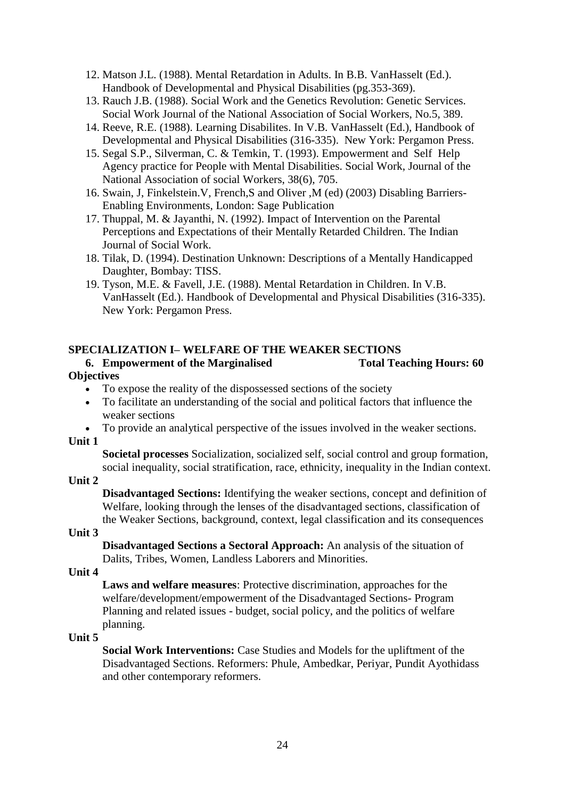- 12. Matson J.L. (1988). Mental Retardation in Adults. In B.B. VanHasselt (Ed.). Handbook of Developmental and Physical Disabilities (pg.353-369).
- 13. Rauch J.B. (1988). Social Work and the Genetics Revolution: Genetic Services. Social Work Journal of the National Association of Social Workers, No.5, 389.
- 14. Reeve, R.E. (1988). Learning Disabilites. In V.B. VanHasselt (Ed.), Handbook of Developmental and Physical Disabilities (316-335). New York: Pergamon Press.
- 15. Segal S.P., Silverman, C. & Temkin, T. (1993). Empowerment and Self Help Agency practice for People with Mental Disabilities. Social Work, Journal of the National Association of social Workers, 38(6), 705.
- 16. Swain, J, Finkelstein.V, French,S and Oliver ,M (ed) (2003) Disabling Barriers-Enabling Environments, London: Sage Publication
- 17. Thuppal, M. & Jayanthi, N. (1992). Impact of Intervention on the Parental Perceptions and Expectations of their Mentally Retarded Children. The Indian Journal of Social Work.
- 18. Tilak, D. (1994). Destination Unknown: Descriptions of a Mentally Handicapped Daughter, Bombay: TISS.
- 19. Tyson, M.E. & Favell, J.E. (1988). Mental Retardation in Children. In V.B. VanHasselt (Ed.). Handbook of Developmental and Physical Disabilities (316-335). New York: Pergamon Press.

#### **SPECIALIZATION I– WELFARE OF THE WEAKER SECTIONS 6. Empowerment of the Marginalised Total Teaching Hours: 60**

# **Objectives**

- To expose the reality of the dispossessed sections of the society
- To facilitate an understanding of the social and political factors that influence the weaker sections
- To provide an analytical perspective of the issues involved in the weaker sections. **Unit 1**

**Societal processes** Socialization, socialized self, social control and group formation, social inequality, social stratification, race, ethnicity, inequality in the Indian context.

**Unit 2** 

**Disadvantaged Sections:** Identifying the weaker sections, concept and definition of Welfare, looking through the lenses of the disadvantaged sections, classification of the Weaker Sections, background, context, legal classification and its consequences

**Unit 3**

**Disadvantaged Sections a Sectoral Approach:** An analysis of the situation of Dalits, Tribes, Women, Landless Laborers and Minorities.

**Unit 4** 

**Laws and welfare measures**: Protective discrimination, approaches for the welfare/development/empowerment of the Disadvantaged Sections- Program Planning and related issues - budget, social policy, and the politics of welfare planning.

### **Unit 5**

**Social Work Interventions:** Case Studies and Models for the upliftment of the Disadvantaged Sections. Reformers: Phule, Ambedkar, Periyar, Pundit Ayothidass and other contemporary reformers.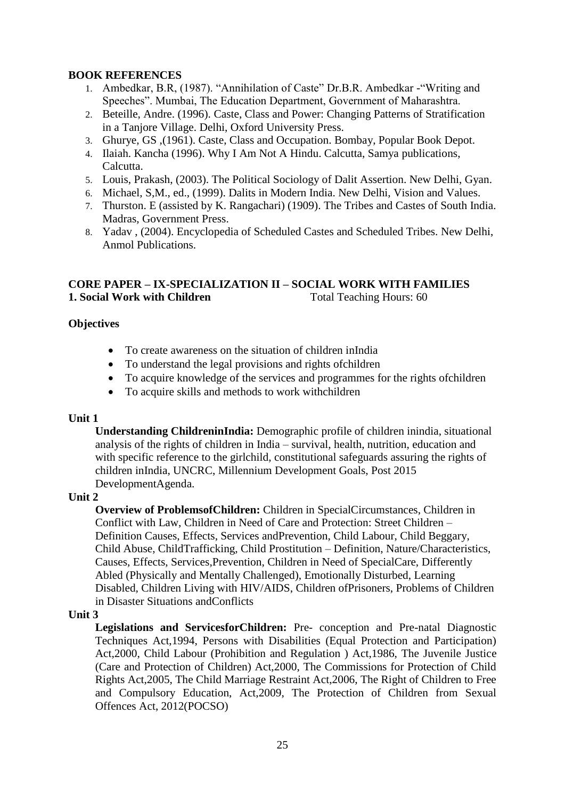# **BOOK REFERENCES**

- 1. Ambedkar, B.R, (1987). "Annihilation of Caste" Dr.B.R. Ambedkar -"Writing and Speeches". Mumbai, The Education Department, Government of Maharashtra.
- 2. Beteille, Andre. (1996). Caste, Class and Power: Changing Patterns of Stratification in a Tanjore Village. Delhi, Oxford University Press.
- 3. Ghurye, GS ,(1961). Caste, Class and Occupation. Bombay, Popular Book Depot.
- 4. Ilaiah. Kancha (1996). Why I Am Not A Hindu. Calcutta, Samya publications, Calcutta.
- 5. Louis, Prakash, (2003). The Political Sociology of Dalit Assertion. New Delhi, Gyan.
- 6. Michael, S,M., ed., (1999). Dalits in Modern India. New Delhi, Vision and Values.
- 7. Thurston. E (assisted by K. Rangachari) (1909). The Tribes and Castes of South India. Madras, Government Press.
- 8. Yadav , (2004). Encyclopedia of Scheduled Castes and Scheduled Tribes. New Delhi, Anmol Publications.

### **CORE PAPER – IX-SPECIALIZATION II – SOCIAL WORK WITH FAMILIES 1. Social Work with Children** Total Teaching Hours: 60

### **Objectives**

- To create awareness on the situation of children inIndia
- To understand the legal provisions and rights of children
- To acquire knowledge of the services and programmes for the rights ofchildren
- To acquire skills and methods to work with children

### **Unit 1**

**Understanding ChildreninIndia:** Demographic profile of children inindia, situational analysis of the rights of children in India – survival, health, nutrition, education and with specific reference to the girlchild, constitutional safeguards assuring the rights of children inIndia, UNCRC, Millennium Development Goals, Post 2015 DevelopmentAgenda.

### **Unit 2**

**Overview of ProblemsofChildren:** Children in SpecialCircumstances, Children in Conflict with Law, Children in Need of Care and Protection: Street Children – Definition Causes, Effects, Services andPrevention, Child Labour, Child Beggary, Child Abuse, ChildTrafficking, Child Prostitution – Definition, Nature/Characteristics, Causes, Effects, Services,Prevention, Children in Need of SpecialCare, Differently Abled (Physically and Mentally Challenged), Emotionally Disturbed, Learning Disabled, Children Living with HIV/AIDS, Children ofPrisoners, Problems of Children in Disaster Situations andConflicts

### **Unit 3**

**Legislations and ServicesforChildren:** Pre- conception and Pre-natal Diagnostic Techniques Act,1994, Persons with Disabilities (Equal Protection and Participation) Act,2000, Child Labour (Prohibition and Regulation ) Act,1986, The Juvenile Justice (Care and Protection of Children) Act,2000, The Commissions for Protection of Child Rights Act,2005, The Child Marriage Restraint Act,2006, The Right of Children to Free and Compulsory Education, Act,2009, The Protection of Children from Sexual Offences Act, 2012(POCSO)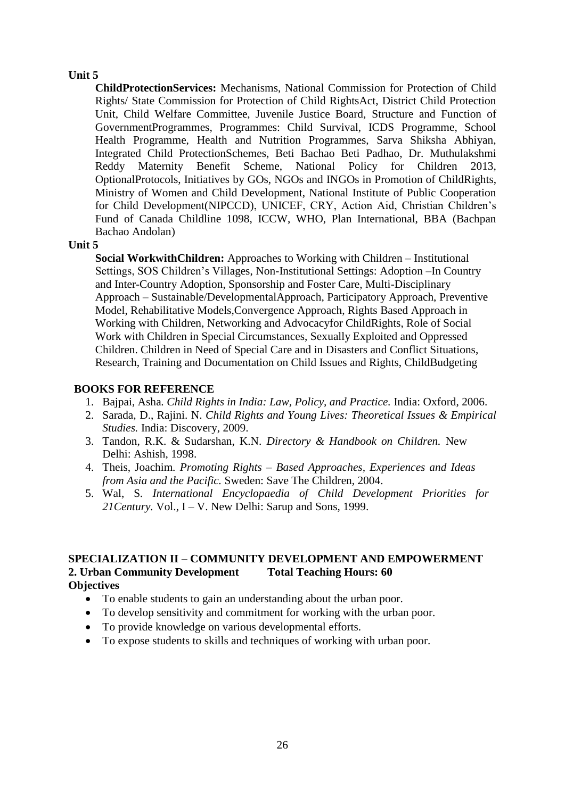**ChildProtectionServices:** Mechanisms, National Commission for Protection of Child Rights/ State Commission for Protection of Child RightsAct, District Child Protection Unit, Child Welfare Committee, Juvenile Justice Board, Structure and Function of GovernmentProgrammes, Programmes: Child Survival, ICDS Programme, School Health Programme, Health and Nutrition Programmes, Sarva Shiksha Abhiyan, Integrated Child ProtectionSchemes, Beti Bachao Beti Padhao, Dr. Muthulakshmi Reddy Maternity Benefit Scheme, National Policy for Children 2013, OptionalProtocols, Initiatives by GOs, NGOs and INGOs in Promotion of ChildRights, Ministry of Women and Child Development, National Institute of Public Cooperation for Child Development(NIPCCD), UNICEF, CRY, Action Aid, Christian Children's Fund of Canada Childline 1098, ICCW, WHO, Plan International, BBA (Bachpan Bachao Andolan)

#### **Unit 5**

**Social WorkwithChildren:** Approaches to Working with Children – Institutional Settings, SOS Children's Villages, Non-Institutional Settings: Adoption –In Country and Inter-Country Adoption, Sponsorship and Foster Care, Multi-Disciplinary Approach – Sustainable/DevelopmentalApproach, Participatory Approach, Preventive Model, Rehabilitative Models,Convergence Approach, Rights Based Approach in Working with Children, Networking and Advocacyfor ChildRights, Role of Social Work with Children in Special Circumstances, Sexually Exploited and Oppressed Children. Children in Need of Special Care and in Disasters and Conflict Situations, Research, Training and Documentation on Child Issues and Rights, ChildBudgeting

### **BOOKS FOR REFERENCE**

- 1. Bajpai, Asha*. Child Rights in India: Law, Policy, and Practice.* India: Oxford, 2006.
- 2. Sarada, D., Rajini. N. *Child Rights and Young Lives: Theoretical Issues & Empirical Studies.* India: Discovery, 2009.
- 3. Tandon, R.K. & Sudarshan, K.N. *Directory & Handbook on Children.* New Delhi: Ashish, 1998.
- 4. Theis, Joachim*. Promoting Rights – Based Approaches, Experiences and Ideas from Asia and the Pacific.* Sweden: Save The Children, 2004.
- 5. Wal, S*. International Encyclopaedia of Child Development Priorities for 21Century.* Vol., I – V. New Delhi: Sarup and Sons, 1999.

### **SPECIALIZATION II – COMMUNITY DEVELOPMENT AND EMPOWERMENT 2. Urban Community Development Total Teaching Hours: 60 Objectives**

- To enable students to gain an understanding about the urban poor.
- To develop sensitivity and commitment for working with the urban poor.
- To provide knowledge on various developmental efforts.
- To expose students to skills and techniques of working with urban poor.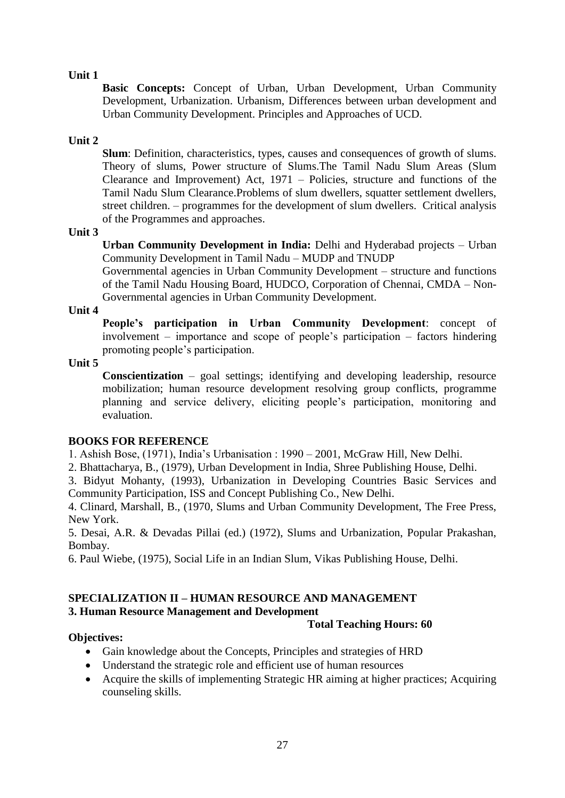**Basic Concepts:** Concept of Urban, Urban Development, Urban Community Development, Urbanization. Urbanism, Differences between urban development and Urban Community Development. Principles and Approaches of UCD.

### **Unit 2**

**Slum**: Definition, characteristics, types, causes and consequences of growth of slums. Theory of slums, Power structure of Slums.The Tamil Nadu Slum Areas (Slum Clearance and Improvement) Act, 1971 – Policies, structure and functions of the Tamil Nadu Slum Clearance.Problems of slum dwellers, squatter settlement dwellers, street children. – programmes for the development of slum dwellers. Critical analysis of the Programmes and approaches.

### **Unit 3**

**Urban Community Development in India:** Delhi and Hyderabad projects – Urban Community Development in Tamil Nadu – MUDP and TNUDP

Governmental agencies in Urban Community Development – structure and functions of the Tamil Nadu Housing Board, HUDCO, Corporation of Chennai, CMDA – Non-Governmental agencies in Urban Community Development.

### **Unit 4**

**People's participation in Urban Community Development**: concept of involvement – importance and scope of people's participation – factors hindering promoting people's participation.

# **Unit 5**

**Conscientization** – goal settings; identifying and developing leadership, resource mobilization; human resource development resolving group conflicts, programme planning and service delivery, eliciting people's participation, monitoring and evaluation.

# **BOOKS FOR REFERENCE**

1. Ashish Bose, (1971), India's Urbanisation : 1990 – 2001, McGraw Hill, New Delhi.

2. Bhattacharya, B., (1979), Urban Development in India, Shree Publishing House, Delhi.

3. Bidyut Mohanty, (1993), Urbanization in Developing Countries Basic Services and Community Participation, ISS and Concept Publishing Co., New Delhi.

4. Clinard, Marshall, B., (1970, Slums and Urban Community Development, The Free Press, New York.

5. Desai, A.R. & Devadas Pillai (ed.) (1972), Slums and Urbanization, Popular Prakashan, Bombay.

6. Paul Wiebe, (1975), Social Life in an Indian Slum, Vikas Publishing House, Delhi.

### **SPECIALIZATION II – HUMAN RESOURCE AND MANAGEMENT 3. Human Resource Management and Development**

### **Total Teaching Hours: 60**

# **Objectives:**

- Gain knowledge about the Concepts, Principles and strategies of HRD
- Understand the strategic role and efficient use of human resources
- Acquire the skills of implementing Strategic HR aiming at higher practices; Acquiring counseling skills.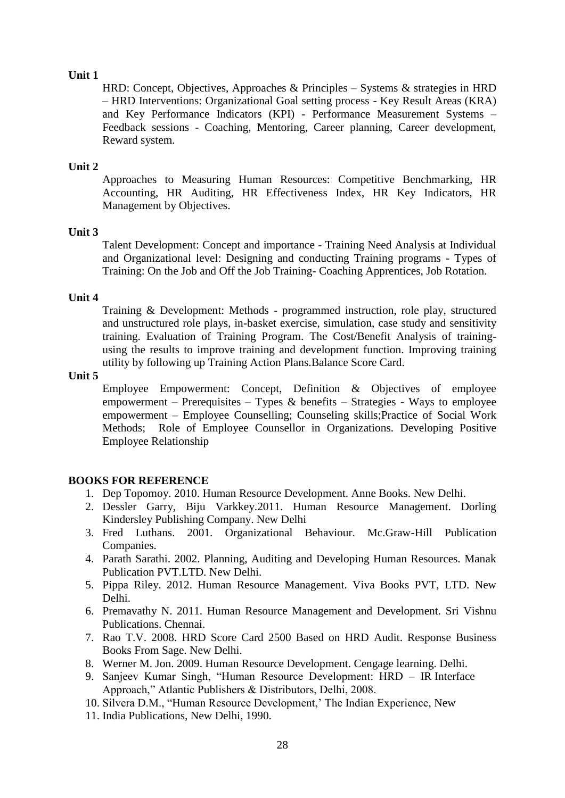HRD: Concept, Objectives, Approaches & Principles – Systems & strategies in HRD – HRD Interventions: Organizational Goal setting process - Key Result Areas (KRA) and Key Performance Indicators (KPI) - Performance Measurement Systems – Feedback sessions - Coaching, Mentoring, Career planning, Career development, Reward system.

### **Unit 2**

Approaches to Measuring Human Resources: Competitive Benchmarking, HR Accounting, HR Auditing, HR Effectiveness Index, HR Key Indicators, HR Management by Objectives.

### **Unit 3**

Talent Development: Concept and importance - Training Need Analysis at Individual and Organizational level: Designing and conducting Training programs - Types of Training: On the Job and Off the Job Training- Coaching Apprentices, Job Rotation.

### **Unit 4**

Training & Development: Methods - programmed instruction, role play, structured and unstructured role plays, in-basket exercise, simulation, case study and sensitivity training. Evaluation of Training Program. The Cost/Benefit Analysis of trainingusing the results to improve training and development function. Improving training utility by following up Training Action Plans.Balance Score Card.

### **Unit 5**

Employee Empowerment: Concept, Definition & Objectives of employee empowerment – Prerequisites – Types & benefits – Strategies - Ways to employee empowerment – Employee Counselling; Counseling skills;Practice of Social Work Methods; Role of Employee Counsellor in Organizations. Developing Positive Employee Relationship

### **BOOKS FOR REFERENCE**

- 1. Dep Topomoy. 2010. Human Resource Development. Anne Books. New Delhi.
- 2. Dessler Garry, Biju Varkkey.2011. Human Resource Management. Dorling Kindersley Publishing Company. New Delhi
- 3. Fred Luthans. 2001. Organizational Behaviour. Mc.Graw-Hill Publication Companies.
- 4. Parath Sarathi. 2002. Planning, Auditing and Developing Human Resources. Manak Publication PVT.LTD. New Delhi.
- 5. Pippa Riley. 2012. Human Resource Management. Viva Books PVT, LTD. New Delhi.
- 6. Premavathy N. 2011. Human Resource Management and Development. Sri Vishnu Publications. Chennai.
- 7. Rao T.V. 2008. HRD Score Card 2500 Based on HRD Audit. Response Business Books From Sage. New Delhi.
- 8. Werner M. Jon. 2009. Human Resource Development. Cengage learning. Delhi.
- 9. Sanjeev Kumar Singh, "Human Resource Development: HRD IR Interface Approach," Atlantic Publishers & Distributors, Delhi, 2008.
- 10. Silvera D.M., "Human Resource Development,' The Indian Experience, New
- 11. India Publications, New Delhi, 1990.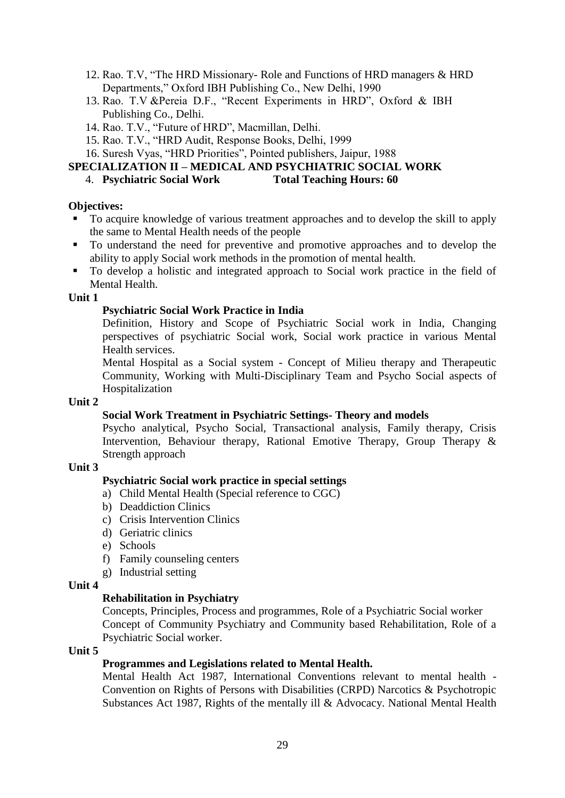- 12. Rao. T.V, "The HRD Missionary- Role and Functions of HRD managers & HRD Departments," Oxford IBH Publishing Co., New Delhi, 1990
- 13. Rao. T.V &Pereia D.F., "Recent Experiments in HRD", Oxford & IBH Publishing Co., Delhi.
- 14. Rao. T.V., "Future of HRD", Macmillan, Delhi.
- 15. Rao. T.V., "HRD Audit, Response Books, Delhi, 1999
- 16. Suresh Vyas, "HRD Priorities", Pointed publishers, Jaipur, 1988

### **SPECIALIZATION II – MEDICAL AND PSYCHIATRIC SOCIAL WORK**

### 4. **Psychiatric Social Work Total Teaching Hours: 60**

### **Objectives:**

- To acquire knowledge of various treatment approaches and to develop the skill to apply the same to Mental Health needs of the people
- To understand the need for preventive and promotive approaches and to develop the ability to apply Social work methods in the promotion of mental health.
- To develop a holistic and integrated approach to Social work practice in the field of Mental Health.

### **Unit 1**

# **Psychiatric Social Work Practice in India**

Definition, History and Scope of Psychiatric Social work in India, Changing perspectives of psychiatric Social work, Social work practice in various Mental Health services.

Mental Hospital as a Social system - Concept of Milieu therapy and Therapeutic Community, Working with Multi-Disciplinary Team and Psycho Social aspects of Hospitalization

### **Unit 2**

# **Social Work Treatment in Psychiatric Settings- Theory and models**

Psycho analytical, Psycho Social, Transactional analysis, Family therapy, Crisis Intervention, Behaviour therapy, Rational Emotive Therapy, Group Therapy & Strength approach

### **Unit 3**

### **Psychiatric Social work practice in special settings**

- a) Child Mental Health (Special reference to CGC)
- b) Deaddiction Clinics
- c) Crisis Intervention Clinics
- d) Geriatric clinics
- e) Schools
- f) Family counseling centers
- g) Industrial setting

### **Unit 4**

### **Rehabilitation in Psychiatry**

Concepts, Principles, Process and programmes, Role of a Psychiatric Social worker Concept of Community Psychiatry and Community based Rehabilitation, Role of a Psychiatric Social worker.

### **Unit 5**

# **Programmes and Legislations related to Mental Health.**

Mental Health Act 1987, International Conventions relevant to mental health - Convention on Rights of Persons with Disabilities (CRPD) Narcotics & Psychotropic Substances Act 1987, Rights of the mentally ill & Advocacy. National Mental Health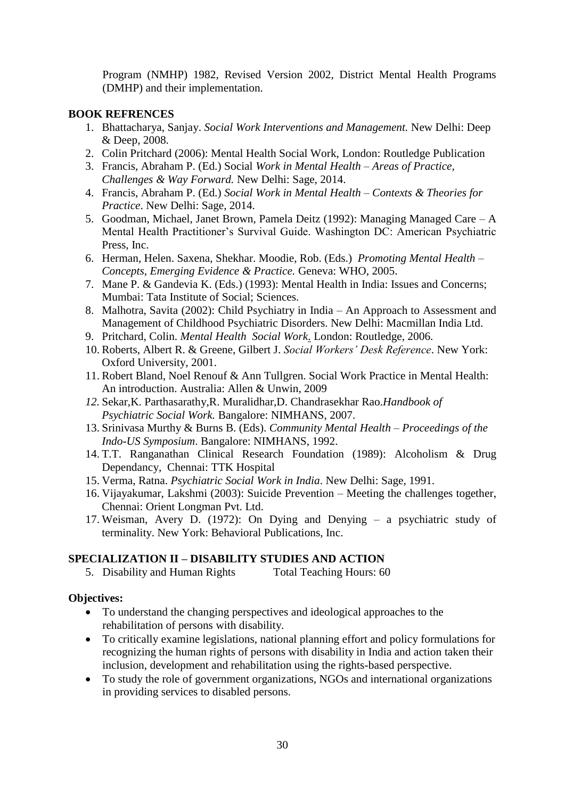Program (NMHP) 1982, Revised Version 2002, District Mental Health Programs (DMHP) and their implementation.

### **BOOK REFRENCES**

- 1. Bhattacharya, Sanjay. *Social Work Interventions and Management.* New Delhi: Deep & Deep, 2008.
- 2. Colin Pritchard (2006): Mental Health Social Work, London: Routledge Publication
- 3. Francis, Abraham P. (Ed.) Social *Work in Mental Health – Areas of Practice, Challenges & Way Forward.* New Delhi: Sage, 2014.
- 4. Francis, Abraham P. (Ed.) *Social Work in Mental Health – Contexts & Theories for Practice*. New Delhi: Sage, 2014.
- 5. Goodman, Michael, Janet Brown, Pamela Deitz (1992): Managing Managed Care A Mental Health Practitioner's Survival Guide. Washington DC: American Psychiatric Press, Inc.
- 6. Herman, Helen. Saxena, Shekhar. Moodie, Rob. (Eds.) *Promoting Mental Health – Concepts, Emerging Evidence & Practice.* Geneva: WHO, 2005.
- 7. Mane P. & Gandevia K. (Eds.) (1993): Mental Health in India: Issues and Concerns; Mumbai: Tata Institute of Social; Sciences.
- 8. Malhotra, Savita (2002): Child Psychiatry in India An Approach to Assessment and Management of Childhood Psychiatric Disorders. New Delhi: Macmillan India Ltd.
- 9. Pritchard, Colin. *Mental Health Social Work*. London: Routledge, 2006.
- 10. Roberts, Albert R. & Greene, Gilbert J. *Social Workers' Desk Reference*. New York: Oxford University, 2001.
- 11. Robert Bland, Noel Renouf & Ann Tullgren. Social Work Practice in Mental Health: An introduction. Australia: Allen & Unwin, 2009
- *12.* Sekar,K. Parthasarathy,R. Muralidhar,D. Chandrasekhar Rao.*Handbook of Psychiatric Social Work.* Bangalore: NIMHANS, 2007.
- 13. Srinivasa Murthy & Burns B. (Eds). *Community Mental Health – Proceedings of the Indo-US Symposium*. Bangalore: NIMHANS, 1992.
- 14. T.T. Ranganathan Clinical Research Foundation (1989): Alcoholism & Drug Dependancy, Chennai: TTK Hospital
- 15. Verma, Ratna. *Psychiatric Social Work in India*. New Delhi: Sage, 1991.
- 16. Vijayakumar, Lakshmi (2003): Suicide Prevention Meeting the challenges together, Chennai: Orient Longman Pvt. Ltd.
- 17. Weisman, Avery D. (1972): On Dying and Denying a psychiatric study of terminality. New York: Behavioral Publications, Inc.

### **SPECIALIZATION II – DISABILITY STUDIES AND ACTION**

5. Disability and Human Rights Total Teaching Hours: 60

### **Objectives:**

- To understand the changing perspectives and ideological approaches to the rehabilitation of persons with disability.
- To critically examine legislations, national planning effort and policy formulations for recognizing the human rights of persons with disability in India and action taken their inclusion, development and rehabilitation using the rights-based perspective.
- To study the role of government organizations, NGOs and international organizations in providing services to disabled persons.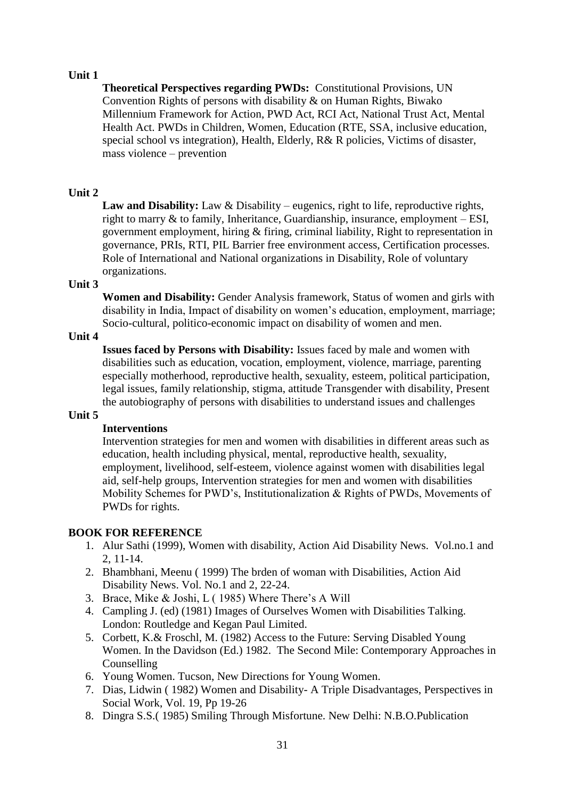**Theoretical Perspectives regarding PWDs:** Constitutional Provisions, UN Convention Rights of persons with disability & on Human Rights, Biwako Millennium Framework for Action, PWD Act, RCI Act, National Trust Act, Mental Health Act. PWDs in Children, Women, Education (RTE, SSA, inclusive education, special school vs integration), Health, Elderly, R& R policies, Victims of disaster, mass violence – prevention

### **Unit 2**

Law and Disability: Law & Disability – eugenics, right to life, reproductive rights, right to marry & to family, Inheritance, Guardianship, insurance, employment – ESI, government employment, hiring & firing, criminal liability, Right to representation in governance, PRIs, RTI, PIL Barrier free environment access, Certification processes. Role of International and National organizations in Disability, Role of voluntary organizations.

### **Unit 3**

**Women and Disability:** Gender Analysis framework, Status of women and girls with disability in India, Impact of disability on women's education, employment, marriage; Socio-cultural, politico-economic impact on disability of women and men.

### **Unit 4**

**Issues faced by Persons with Disability:** Issues faced by male and women with disabilities such as education, vocation, employment, violence, marriage, parenting especially motherhood, reproductive health, sexuality, esteem, political participation, legal issues, family relationship, stigma, attitude Transgender with disability, Present the autobiography of persons with disabilities to understand issues and challenges

### **Unit 5**

### **Interventions**

Intervention strategies for men and women with disabilities in different areas such as education, health including physical, mental, reproductive health, sexuality, employment, livelihood, self-esteem, violence against women with disabilities legal aid, self-help groups, Intervention strategies for men and women with disabilities Mobility Schemes for PWD's, Institutionalization & Rights of PWDs, Movements of PWDs for rights.

### **BOOK FOR REFERENCE**

- 1. Alur Sathi (1999), Women with disability, Action Aid Disability News. Vol.no.1 and 2, 11-14.
- 2. Bhambhani, Meenu ( 1999) The brden of woman with Disabilities, Action Aid Disability News. Vol. No.1 and 2, 22-24.
- 3. Brace, Mike & Joshi, L ( 1985) Where There's A Will
- 4. Campling J. (ed) (1981) Images of Ourselves Women with Disabilities Talking. London: Routledge and Kegan Paul Limited.
- 5. Corbett, K.& Froschl, M. (1982) Access to the Future: Serving Disabled Young Women. In the Davidson (Ed.) 1982. The Second Mile: Contemporary Approaches in Counselling
- 6. Young Women. Tucson, New Directions for Young Women.
- 7. Dias, Lidwin ( 1982) Women and Disability- A Triple Disadvantages, Perspectives in Social Work, Vol. 19, Pp 19-26
- 8. Dingra S.S.( 1985) Smiling Through Misfortune. New Delhi: N.B.O.Publication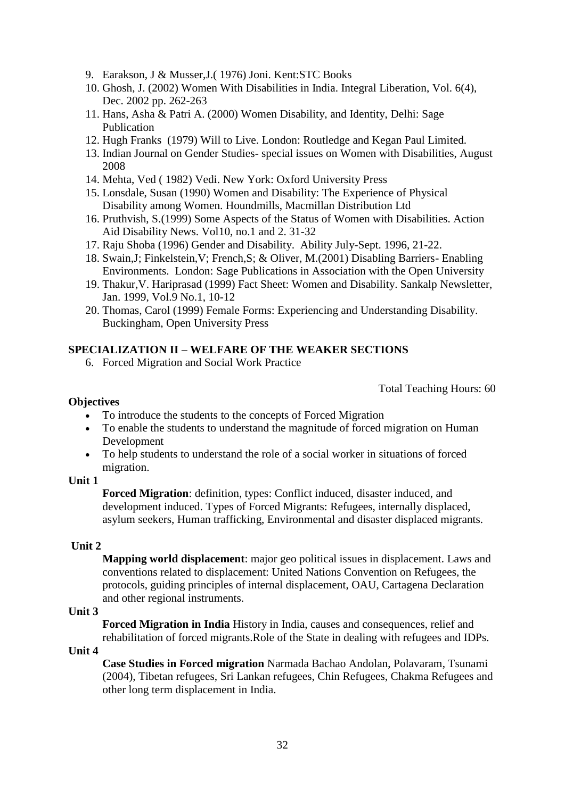- 9. Earakson, J & Musser,J.( 1976) Joni. Kent:STC Books
- 10. Ghosh, J. (2002) Women With Disabilities in India. Integral Liberation, Vol. 6(4), Dec. 2002 pp. 262-263
- 11. Hans, Asha & Patri A. (2000) Women Disability, and Identity, Delhi: Sage Publication
- 12. Hugh Franks (1979) Will to Live. London: Routledge and Kegan Paul Limited.
- 13. Indian Journal on Gender Studies- special issues on Women with Disabilities, August 2008
- 14. Mehta, Ved ( 1982) Vedi. New York: Oxford University Press
- 15. Lonsdale, Susan (1990) Women and Disability: The Experience of Physical Disability among Women. Houndmills, Macmillan Distribution Ltd
- 16. Pruthvish, S.(1999) Some Aspects of the Status of Women with Disabilities. Action Aid Disability News. Vol10, no.1 and 2. 31-32
- 17. Raju Shoba (1996) Gender and Disability. Ability July-Sept. 1996, 21-22.
- 18. Swain,J; Finkelstein,V; French,S; & Oliver, M.(2001) Disabling Barriers- Enabling Environments. London: Sage Publications in Association with the Open University
- 19. Thakur,V. Hariprasad (1999) Fact Sheet: Women and Disability. Sankalp Newsletter, Jan. 1999, Vol.9 No.1, 10-12
- 20. Thomas, Carol (1999) Female Forms: Experiencing and Understanding Disability. Buckingham, Open University Press

#### **SPECIALIZATION II – WELFARE OF THE WEAKER SECTIONS**

6. Forced Migration and Social Work Practice

Total Teaching Hours: 60

#### **Objectives**

- To introduce the students to the concepts of Forced Migration
- To enable the students to understand the magnitude of forced migration on Human Development
- To help students to understand the role of a social worker in situations of forced migration.

#### **Unit 1**

**Forced Migration**: definition, types: Conflict induced, disaster induced, and development induced. Types of Forced Migrants: Refugees, internally displaced, asylum seekers, Human trafficking, Environmental and disaster displaced migrants.

#### **Unit 2**

**Mapping world displacement**: major geo political issues in displacement. Laws and conventions related to displacement: United Nations Convention on Refugees, the protocols, guiding principles of internal displacement, OAU, Cartagena Declaration and other regional instruments.

#### **Unit 3**

**Forced Migration in India** History in India, causes and consequences, relief and rehabilitation of forced migrants.Role of the State in dealing with refugees and IDPs.

#### **Unit 4**

**Case Studies in Forced migration** Narmada Bachao Andolan, Polavaram, Tsunami (2004), Tibetan refugees, Sri Lankan refugees, Chin Refugees, Chakma Refugees and other long term displacement in India.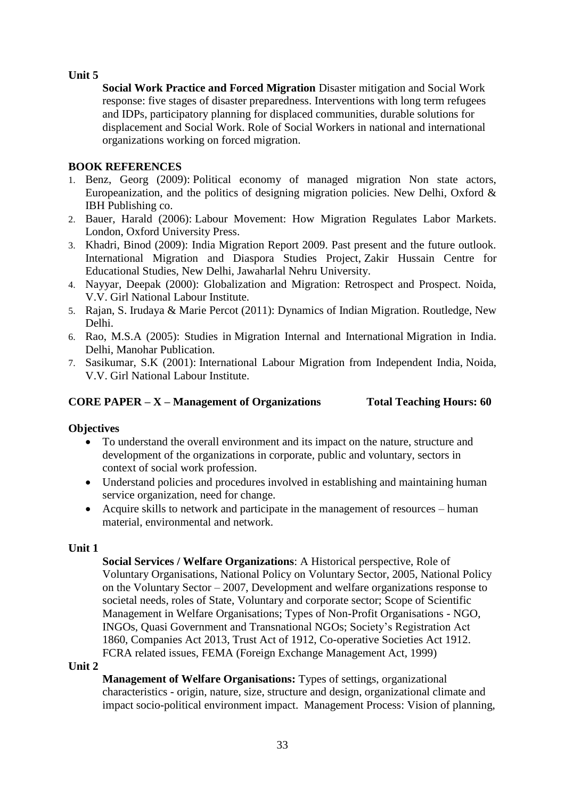**Social Work Practice and Forced Migration** Disaster mitigation and Social Work response: five stages of disaster preparedness. Interventions with long term refugees and IDPs, participatory planning for displaced communities, durable solutions for displacement and Social Work. Role of Social Workers in national and international organizations working on forced migration.

### **BOOK REFERENCES**

- 1. Benz, Georg (2009): Political economy of managed migration Non state actors, Europeanization, and the politics of designing migration policies. New Delhi, Oxford & IBH Publishing co.
- 2. Bauer, Harald (2006): Labour Movement: How Migration Regulates Labor Markets. London, Oxford University Press.
- 3. Khadri, Binod (2009): India Migration Report 2009. Past present and the future outlook. International Migration and Diaspora Studies Project, Zakir Hussain Centre for Educational Studies, New Delhi, Jawaharlal Nehru University.
- 4. Nayyar, Deepak (2000): Globalization and Migration: Retrospect and Prospect. Noida, V.V. Girl National Labour Institute.
- 5. Rajan, S. Irudaya & Marie Percot (2011): Dynamics of Indian Migration. Routledge, New Delhi.
- 6. Rao, M.S.A (2005): Studies in Migration Internal and International Migration in India. Delhi, Manohar Publication.
- 7. Sasikumar, S.K (2001): International Labour Migration from Independent India, Noida, V.V. Girl National Labour Institute.

# **CORE PAPER – X – Management of Organizations Total Teaching Hours: 60**

### **Objectives**

- To understand the overall environment and its impact on the nature, structure and development of the organizations in corporate, public and voluntary, sectors in context of social work profession.
- Understand policies and procedures involved in establishing and maintaining human service organization, need for change.
- Acquire skills to network and participate in the management of resources human material, environmental and network.

### **Unit 1**

**Social Services / Welfare Organizations**: A Historical perspective, Role of Voluntary Organisations, National Policy on Voluntary Sector, 2005, National Policy on the Voluntary Sector – 2007, Development and welfare organizations response to societal needs, roles of State, Voluntary and corporate sector; Scope of Scientific Management in Welfare Organisations; Types of Non-Profit Organisations - NGO, INGOs, Quasi Government and Transnational NGOs; Society's Registration Act 1860, Companies Act 2013, Trust Act of 1912, Co-operative Societies Act 1912. FCRA related issues, FEMA (Foreign Exchange Management Act, 1999)

### **Unit 2**

**Management of Welfare Organisations:** Types of settings, organizational characteristics - origin, nature, size, structure and design, organizational climate and impact socio-political environment impact. Management Process: Vision of planning,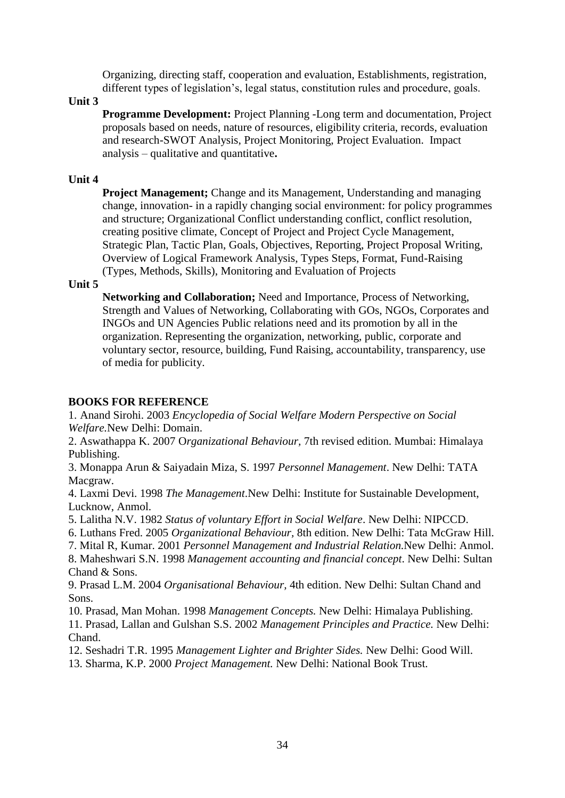Organizing, directing staff, cooperation and evaluation, Establishments, registration, different types of legislation's, legal status, constitution rules and procedure, goals.

#### **Unit 3**

**Programme Development:** Project Planning -Long term and documentation, Project proposals based on needs, nature of resources, eligibility criteria, records, evaluation and research-SWOT Analysis, Project Monitoring, Project Evaluation. Impact analysis – qualitative and quantitative**.**

### **Unit 4**

**Project Management:** Change and its Management, Understanding and managing change, innovation- in a rapidly changing social environment: for policy programmes and structure; Organizational Conflict understanding conflict, conflict resolution, creating positive climate, Concept of Project and Project Cycle Management, Strategic Plan, Tactic Plan, Goals, Objectives, Reporting, Project Proposal Writing, Overview of Logical Framework Analysis, Types Steps, Format, Fund-Raising (Types, Methods, Skills), Monitoring and Evaluation of Projects

### **Unit 5**

**Networking and Collaboration;** Need and Importance, Process of Networking, Strength and Values of Networking, Collaborating with GOs, NGOs, Corporates and INGOs and UN Agencies Public relations need and its promotion by all in the organization. Representing the organization, networking, public, corporate and voluntary sector, resource, building, Fund Raising, accountability, transparency, use of media for publicity.

### **BOOKS FOR REFERENCE**

1. Anand Sirohi. 2003 *Encyclopedia of Social Welfare Modern Perspective on Social Welfare.*New Delhi: Domain.

2. Aswathappa K. 2007 O*rganizational Behaviour,* 7th revised edition. Mumbai: Himalaya Publishing.

3. Monappa Arun & Saiyadain Miza, S. 1997 *Personnel Management*. New Delhi: TATA Macgraw.

4. Laxmi Devi. 1998 *The Management*.New Delhi: Institute for Sustainable Development, Lucknow, Anmol.

5. Lalitha N.V. 1982 *Status of voluntary Effort in Social Welfare*. New Delhi: NIPCCD.

6. Luthans Fred. 2005 *Organizational Behaviour,* 8th edition. New Delhi: Tata McGraw Hill.

7. Mital R, Kumar. 2001 *Personnel Management and Industrial Relation.*New Delhi: Anmol.

8. Maheshwari S.N. 1998 *Management accounting and financial concept*. New Delhi: Sultan Chand & Sons.

9. Prasad L.M. 2004 *Organisational Behaviour,* 4th edition. New Delhi: Sultan Chand and Sons.

10. Prasad, Man Mohan. 1998 *Management Concepts.* New Delhi: Himalaya Publishing.

11. Prasad, Lallan and Gulshan S.S. 2002 *Management Principles and Practice.* New Delhi: Chand.

12. Seshadri T.R. 1995 *Management Lighter and Brighter Sides.* New Delhi: Good Will.

13. Sharma, K.P. 2000 *Project Management.* New Delhi: National Book Trust.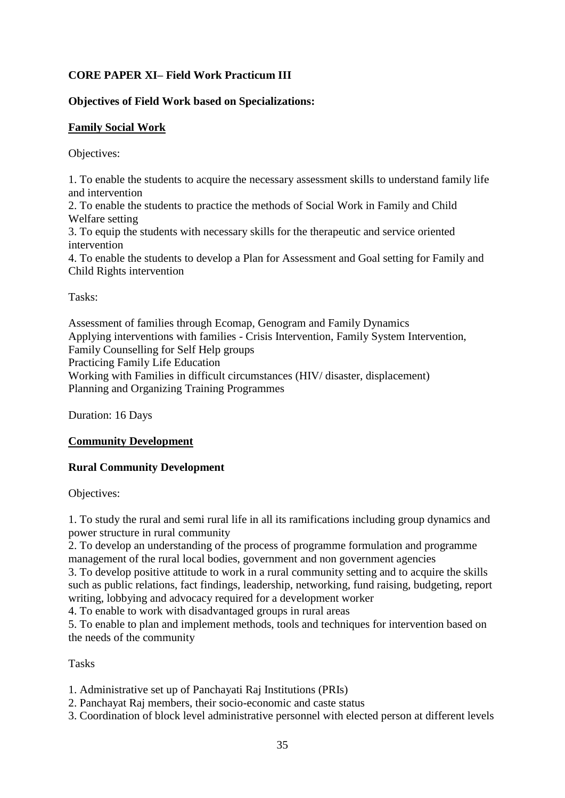# **CORE PAPER XI– Field Work Practicum III**

# **Objectives of Field Work based on Specializations:**

# **Family Social Work**

Objectives:

1. To enable the students to acquire the necessary assessment skills to understand family life and intervention

2. To enable the students to practice the methods of Social Work in Family and Child Welfare setting

3. To equip the students with necessary skills for the therapeutic and service oriented intervention

4. To enable the students to develop a Plan for Assessment and Goal setting for Family and Child Rights intervention

Tasks:

Assessment of families through Ecomap, Genogram and Family Dynamics Applying interventions with families - Crisis Intervention, Family System Intervention, Family Counselling for Self Help groups Practicing Family Life Education Working with Families in difficult circumstances (HIV/ disaster, displacement) Planning and Organizing Training Programmes

Duration: 16 Days

# **Community Development**

# **Rural Community Development**

Objectives:

1. To study the rural and semi rural life in all its ramifications including group dynamics and power structure in rural community

2. To develop an understanding of the process of programme formulation and programme management of the rural local bodies, government and non government agencies

3. To develop positive attitude to work in a rural community setting and to acquire the skills such as public relations, fact findings, leadership, networking, fund raising, budgeting, report writing, lobbying and advocacy required for a development worker

4. To enable to work with disadvantaged groups in rural areas

5. To enable to plan and implement methods, tools and techniques for intervention based on the needs of the community

Tasks

1. Administrative set up of Panchayati Raj Institutions (PRIs)

- 2. Panchayat Raj members, their socio-economic and caste status
- 3. Coordination of block level administrative personnel with elected person at different levels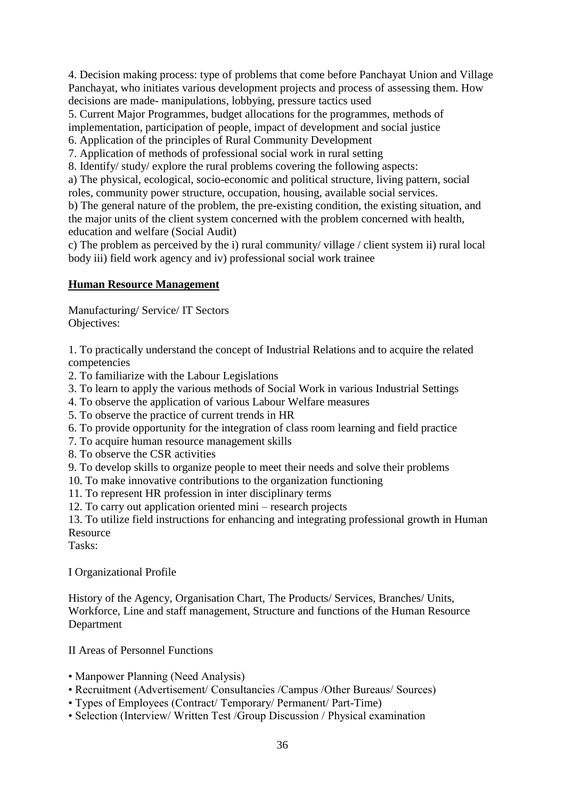4. Decision making process: type of problems that come before Panchayat Union and Village Panchayat, who initiates various development projects and process of assessing them. How decisions are made- manipulations, lobbying, pressure tactics used

5. Current Major Programmes, budget allocations for the programmes, methods of

implementation, participation of people, impact of development and social justice

6. Application of the principles of Rural Community Development

7. Application of methods of professional social work in rural setting

8. Identify/ study/ explore the rural problems covering the following aspects:

a) The physical, ecological, socio-economic and political structure, living pattern, social roles, community power structure, occupation, housing, available social services.

b) The general nature of the problem, the pre-existing condition, the existing situation, and the major units of the client system concerned with the problem concerned with health, education and welfare (Social Audit)

c) The problem as perceived by the i) rural community/ village / client system ii) rural local body iii) field work agency and iv) professional social work trainee

# **Human Resource Management**

Manufacturing/ Service/ IT Sectors Objectives:

1. To practically understand the concept of Industrial Relations and to acquire the related competencies

2. To familiarize with the Labour Legislations

3. To learn to apply the various methods of Social Work in various Industrial Settings

4. To observe the application of various Labour Welfare measures

5. To observe the practice of current trends in HR

6. To provide opportunity for the integration of class room learning and field practice

7. To acquire human resource management skills

8. To observe the CSR activities

9. To develop skills to organize people to meet their needs and solve their problems

10. To make innovative contributions to the organization functioning

11. To represent HR profession in inter disciplinary terms

12. To carry out application oriented mini – research projects

13. To utilize field instructions for enhancing and integrating professional growth in Human Resource

Tasks:

I Organizational Profile

History of the Agency, Organisation Chart, The Products/ Services, Branches/ Units, Workforce, Line and staff management, Structure and functions of the Human Resource Department

II Areas of Personnel Functions

- Manpower Planning (Need Analysis)
- Recruitment (Advertisement/ Consultancies /Campus /Other Bureaus/ Sources)
- Types of Employees (Contract/ Temporary/ Permanent/ Part-Time)
- Selection (Interview/ Written Test /Group Discussion / Physical examination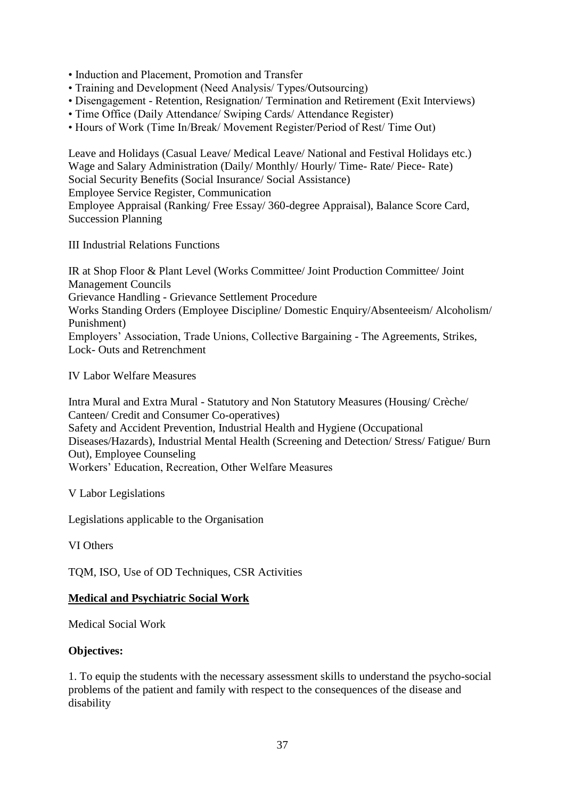- Induction and Placement, Promotion and Transfer
- Training and Development (Need Analysis/ Types/Outsourcing)
- Disengagement Retention, Resignation/ Termination and Retirement (Exit Interviews)
- Time Office (Daily Attendance/ Swiping Cards/ Attendance Register)
- Hours of Work (Time In/Break/ Movement Register/Period of Rest/ Time Out)

Leave and Holidays (Casual Leave/ Medical Leave/ National and Festival Holidays etc.) Wage and Salary Administration (Daily/ Monthly/ Hourly/ Time- Rate/ Piece- Rate) Social Security Benefits (Social Insurance/ Social Assistance) Employee Service Register, Communication Employee Appraisal (Ranking/ Free Essay/ 360-degree Appraisal), Balance Score Card, Succession Planning

III Industrial Relations Functions

IR at Shop Floor & Plant Level (Works Committee/ Joint Production Committee/ Joint Management Councils Grievance Handling - Grievance Settlement Procedure Works Standing Orders (Employee Discipline/ Domestic Enquiry/Absenteeism/ Alcoholism/ Punishment) Employers' Association, Trade Unions, Collective Bargaining - The Agreements, Strikes, Lock- Outs and Retrenchment

IV Labor Welfare Measures

Intra Mural and Extra Mural - Statutory and Non Statutory Measures (Housing/ Crèche/ Canteen/ Credit and Consumer Co-operatives) Safety and Accident Prevention, Industrial Health and Hygiene (Occupational Diseases/Hazards), Industrial Mental Health (Screening and Detection/ Stress/ Fatigue/ Burn Out), Employee Counseling Workers' Education, Recreation, Other Welfare Measures

V Labor Legislations

Legislations applicable to the Organisation

VI Others

TQM, ISO, Use of OD Techniques, CSR Activities

# **Medical and Psychiatric Social Work**

Medical Social Work

# **Objectives:**

1. To equip the students with the necessary assessment skills to understand the psycho-social problems of the patient and family with respect to the consequences of the disease and disability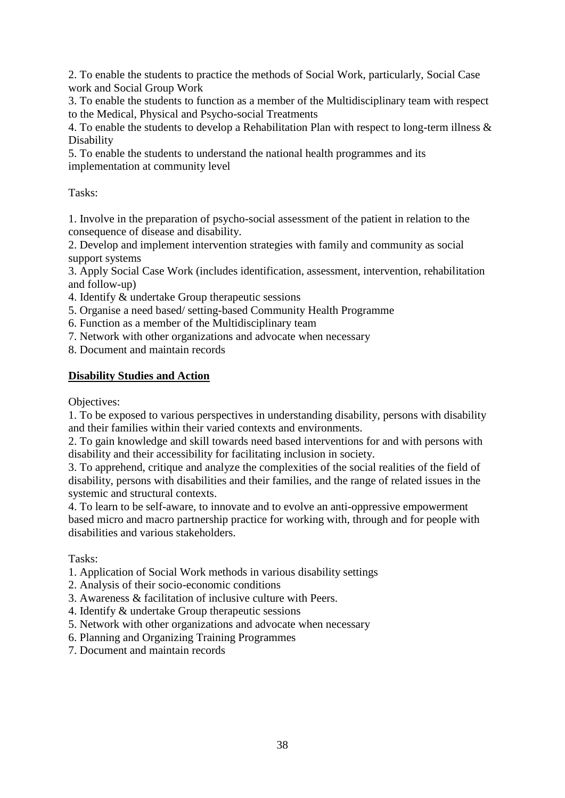2. To enable the students to practice the methods of Social Work, particularly, Social Case work and Social Group Work

3. To enable the students to function as a member of the Multidisciplinary team with respect to the Medical, Physical and Psycho-social Treatments

4. To enable the students to develop a Rehabilitation Plan with respect to long-term illness & Disability

5. To enable the students to understand the national health programmes and its implementation at community level

Tasks:

1. Involve in the preparation of psycho-social assessment of the patient in relation to the consequence of disease and disability.

2. Develop and implement intervention strategies with family and community as social support systems

3. Apply Social Case Work (includes identification, assessment, intervention, rehabilitation and follow-up)

- 4. Identify & undertake Group therapeutic sessions
- 5. Organise a need based/ setting-based Community Health Programme
- 6. Function as a member of the Multidisciplinary team
- 7. Network with other organizations and advocate when necessary

8. Document and maintain records

# **Disability Studies and Action**

Objectives:

1. To be exposed to various perspectives in understanding disability, persons with disability and their families within their varied contexts and environments.

2. To gain knowledge and skill towards need based interventions for and with persons with disability and their accessibility for facilitating inclusion in society.

3. To apprehend, critique and analyze the complexities of the social realities of the field of disability, persons with disabilities and their families, and the range of related issues in the systemic and structural contexts.

4. To learn to be self-aware, to innovate and to evolve an anti-oppressive empowerment based micro and macro partnership practice for working with, through and for people with disabilities and various stakeholders.

Tasks:

- 1. Application of Social Work methods in various disability settings
- 2. Analysis of their socio-economic conditions
- 3. Awareness & facilitation of inclusive culture with Peers.
- 4. Identify & undertake Group therapeutic sessions
- 5. Network with other organizations and advocate when necessary
- 6. Planning and Organizing Training Programmes
- 7. Document and maintain records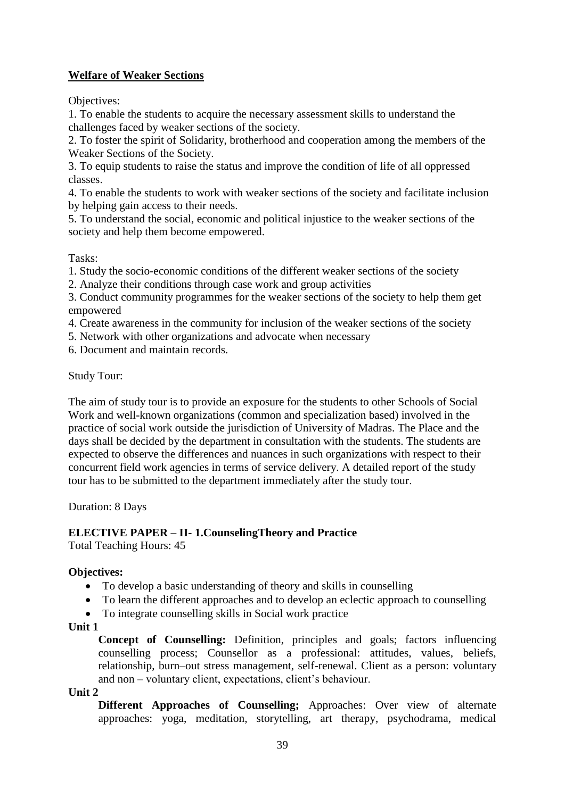# **Welfare of Weaker Sections**

Objectives:

1. To enable the students to acquire the necessary assessment skills to understand the challenges faced by weaker sections of the society.

2. To foster the spirit of Solidarity, brotherhood and cooperation among the members of the Weaker Sections of the Society.

3. To equip students to raise the status and improve the condition of life of all oppressed classes.

4. To enable the students to work with weaker sections of the society and facilitate inclusion by helping gain access to their needs.

5. To understand the social, economic and political injustice to the weaker sections of the society and help them become empowered.

Tasks:

1. Study the socio-economic conditions of the different weaker sections of the society

2. Analyze their conditions through case work and group activities

3. Conduct community programmes for the weaker sections of the society to help them get empowered

4. Create awareness in the community for inclusion of the weaker sections of the society

5. Network with other organizations and advocate when necessary

6. Document and maintain records.

Study Tour:

The aim of study tour is to provide an exposure for the students to other Schools of Social Work and well-known organizations (common and specialization based) involved in the practice of social work outside the jurisdiction of University of Madras. The Place and the days shall be decided by the department in consultation with the students. The students are expected to observe the differences and nuances in such organizations with respect to their concurrent field work agencies in terms of service delivery. A detailed report of the study tour has to be submitted to the department immediately after the study tour.

Duration: 8 Days

# **ELECTIVE PAPER – II- 1.CounselingTheory and Practice**

Total Teaching Hours: 45

# **Objectives:**

- To develop a basic understanding of theory and skills in counselling
- To learn the different approaches and to develop an eclectic approach to counselling
- To integrate counselling skills in Social work practice

### **Unit 1**

**Concept of Counselling:** Definition, principles and goals; factors influencing counselling process; Counsellor as a professional: attitudes, values, beliefs, relationship, burn–out stress management, self-renewal. Client as a person: voluntary and non – voluntary client, expectations, client's behaviour.

**Unit 2** 

**Different Approaches of Counselling;** Approaches: Over view of alternate approaches: yoga, meditation, storytelling, art therapy, psychodrama, medical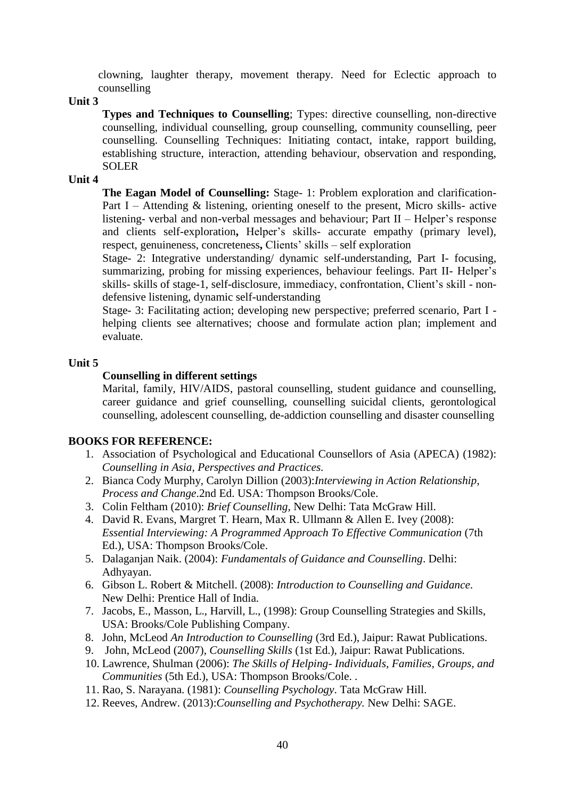clowning, laughter therapy, movement therapy. Need for Eclectic approach to counselling

**Unit 3**

**Types and Techniques to Counselling**; Types: directive counselling, non-directive counselling, individual counselling, group counselling, community counselling, peer counselling. Counselling Techniques: Initiating contact, intake, rapport building, establishing structure, interaction, attending behaviour, observation and responding, SOLER

#### **Unit 4**

**The Eagan Model of Counselling:** Stage- 1: Problem exploration and clarification-Part I – Attending & listening, orienting oneself to the present, Micro skills- active listening- verbal and non-verbal messages and behaviour; Part II – Helper's response and clients self-exploration**,** Helper's skills- accurate empathy (primary level), respect, genuineness, concreteness**,** Clients' skills – self exploration

Stage- 2: Integrative understanding/ dynamic self-understanding, Part I- focusing, summarizing, probing for missing experiences, behaviour feelings. Part II- Helper's skills- skills of stage-1, self-disclosure, immediacy, confrontation, Client's skill - nondefensive listening, dynamic self-understanding

Stage- 3: Facilitating action; developing new perspective; preferred scenario, Part I helping clients see alternatives; choose and formulate action plan; implement and evaluate.

#### **Unit 5**

#### **Counselling in different settings**

Marital, family, HIV/AIDS, pastoral counselling, student guidance and counselling, career guidance and grief counselling, counselling suicidal clients, gerontological counselling, adolescent counselling, de-addiction counselling and disaster counselling

#### **BOOKS FOR REFERENCE:**

- 1. Association of Psychological and Educational Counsellors of Asia (APECA) (1982): *Counselling in Asia, Perspectives and Practices.*
- 2. Bianca Cody Murphy, Carolyn Dillion (2003):*Interviewing in Action Relationship, Process and Change*.2nd Ed. USA: Thompson Brooks/Cole.
- 3. Colin Feltham (2010): *Brief Counselling*, New Delhi: Tata McGraw Hill.
- 4. David R. Evans, Margret T. Hearn, Max R. Ullmann & Allen E. Ivey (2008): *Essential Interviewing: A Programmed Approach To Effective Communication* (7th Ed.), USA: Thompson Brooks/Cole.
- 5. Dalaganjan Naik. (2004): *Fundamentals of Guidance and Counselling*. Delhi: Adhyayan.
- 6. Gibson L. Robert & Mitchell. (2008): *Introduction to Counselling and Guidance*. New Delhi: Prentice Hall of India.
- 7. Jacobs, E., Masson, L., Harvill, L., (1998): Group Counselling Strategies and Skills, USA: Brooks/Cole Publishing Company.
- 8. John, McLeod *An Introduction to Counselling* (3rd Ed.), Jaipur: Rawat Publications.
- 9. John, McLeod (2007), *Counselling Skills* (1st Ed.), Jaipur: Rawat Publications.
- 10. Lawrence, Shulman (2006): *The Skills of Helping- Individuals, Families, Groups, and Communities* (5th Ed.), USA: Thompson Brooks/Cole. .
- 11. Rao, S. Narayana. (1981): *Counselling Psychology*. Tata McGraw Hill.
- 12. Reeves, Andrew. (2013):*Counselling and Psychotherapy.* New Delhi: SAGE.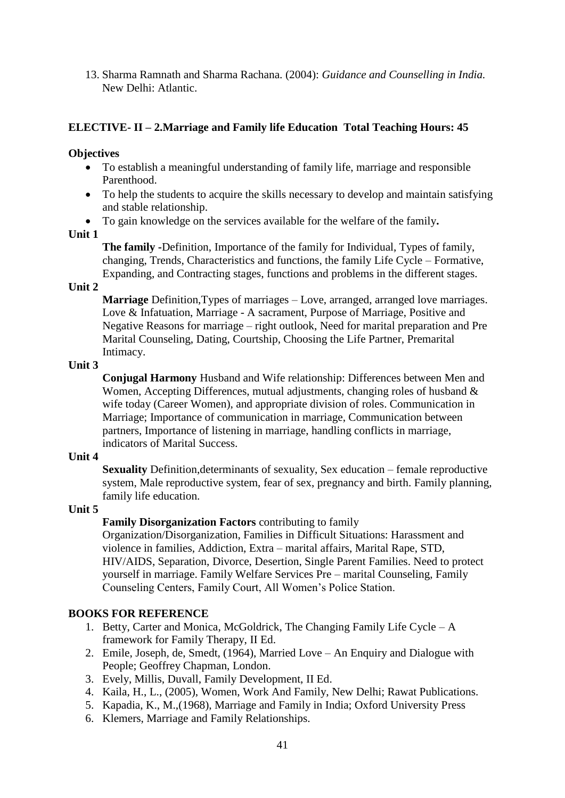13. Sharma Ramnath and Sharma Rachana. (2004): *Guidance and Counselling in India.* New Delhi: Atlantic.

# **ELECTIVE- II – 2.Marriage and Family life Education Total Teaching Hours: 45**

### **Objectives**

- To establish a meaningful understanding of family life, marriage and responsible Parenthood.
- To help the students to acquire the skills necessary to develop and maintain satisfying and stable relationship.
- To gain knowledge on the services available for the welfare of the family**.**

### **Unit 1**

**The family -**Definition, Importance of the family for Individual, Types of family, changing, Trends, Characteristics and functions, the family Life Cycle – Formative, Expanding, and Contracting stages, functions and problems in the different stages.

### **Unit 2**

**Marriage** Definition,Types of marriages – Love, arranged, arranged love marriages. Love & Infatuation, Marriage - A sacrament, Purpose of Marriage, Positive and Negative Reasons for marriage – right outlook, Need for marital preparation and Pre Marital Counseling, Dating, Courtship, Choosing the Life Partner, Premarital Intimacy.

### **Unit 3**

**Conjugal Harmony** Husband and Wife relationship: Differences between Men and Women, Accepting Differences, mutual adjustments, changing roles of husband & wife today (Career Women), and appropriate division of roles. Communication in Marriage; Importance of communication in marriage, Communication between partners, Importance of listening in marriage, handling conflicts in marriage, indicators of Marital Success.

### **Unit 4**

**Sexuality** Definition,determinants of sexuality, Sex education – female reproductive system, Male reproductive system, fear of sex, pregnancy and birth. Family planning, family life education.

# **Unit 5**

# **Family Disorganization Factors** contributing to family

Organization/Disorganization, Families in Difficult Situations: Harassment and violence in families, Addiction, Extra – marital affairs, Marital Rape, STD, HIV/AIDS, Separation, Divorce, Desertion, Single Parent Families. Need to protect yourself in marriage. Family Welfare Services Pre – marital Counseling, Family Counseling Centers, Family Court, All Women's Police Station.

### **BOOKS FOR REFERENCE**

- 1. Betty, Carter and Monica, McGoldrick, The Changing Family Life Cycle A framework for Family Therapy, II Ed.
- 2. Emile, Joseph, de, Smedt, (1964), Married Love An Enquiry and Dialogue with People; Geoffrey Chapman, London.
- 3. Evely, Millis, Duvall, Family Development, II Ed.
- 4. Kaila, H., L., (2005), Women, Work And Family, New Delhi; Rawat Publications.
- 5. Kapadia, K., M.,(1968), Marriage and Family in India; Oxford University Press
- 6. Klemers, Marriage and Family Relationships.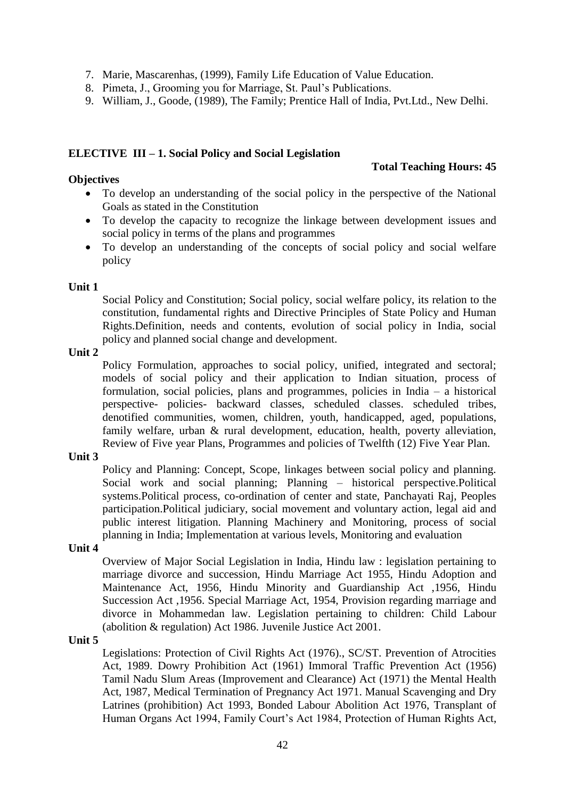- 7. Marie, Mascarenhas, (1999), Family Life Education of Value Education.
- 8. Pimeta, J., Grooming you for Marriage, St. Paul's Publications.
- 9. William, J., Goode, (1989), The Family; Prentice Hall of India, Pvt.Ltd., New Delhi.

### **ELECTIVE III – 1. Social Policy and Social Legislation**

### **Total Teaching Hours: 45**

- To develop an understanding of the social policy in the perspective of the National Goals as stated in the Constitution
- To develop the capacity to recognize the linkage between development issues and social policy in terms of the plans and programmes
- To develop an understanding of the concepts of social policy and social welfare policy

### **Unit 1**

**Objectives**

Social Policy and Constitution; Social policy, social welfare policy, its relation to the constitution, fundamental rights and Directive Principles of State Policy and Human Rights.Definition, needs and contents, evolution of social policy in India, social policy and planned social change and development.

### **Unit 2**

Policy Formulation, approaches to social policy, unified, integrated and sectoral; models of social policy and their application to Indian situation, process of formulation, social policies, plans and programmes, policies in India – a historical perspective- policies- backward classes, scheduled classes. scheduled tribes, denotified communities, women, children, youth, handicapped, aged, populations, family welfare, urban & rural development, education, health, poverty alleviation, Review of Five year Plans, Programmes and policies of Twelfth (12) Five Year Plan.

### **Unit 3**

Policy and Planning: Concept, Scope, linkages between social policy and planning. Social work and social planning; Planning – historical perspective.Political systems.Political process, co-ordination of center and state, Panchayati Raj, Peoples participation.Political judiciary, social movement and voluntary action, legal aid and public interest litigation. Planning Machinery and Monitoring, process of social planning in India; Implementation at various levels, Monitoring and evaluation

# **Unit 4**

Overview of Major Social Legislation in India, Hindu law : legislation pertaining to marriage divorce and succession, Hindu Marriage Act 1955, Hindu Adoption and Maintenance Act, 1956, Hindu Minority and Guardianship Act ,1956, Hindu Succession Act ,1956. Special Marriage Act, 1954, Provision regarding marriage and divorce in Mohammedan law. Legislation pertaining to children: Child Labour (abolition & regulation) Act 1986. Juvenile Justice Act 2001.

### **Unit 5**

Legislations: Protection of Civil Rights Act (1976)., SC/ST. Prevention of Atrocities Act, 1989. Dowry Prohibition Act (1961) Immoral Traffic Prevention Act (1956) Tamil Nadu Slum Areas (Improvement and Clearance) Act (1971) the Mental Health Act, 1987, Medical Termination of Pregnancy Act 1971. Manual Scavenging and Dry Latrines (prohibition) Act 1993, Bonded Labour Abolition Act 1976, Transplant of Human Organs Act 1994, Family Court's Act 1984, Protection of Human Rights Act,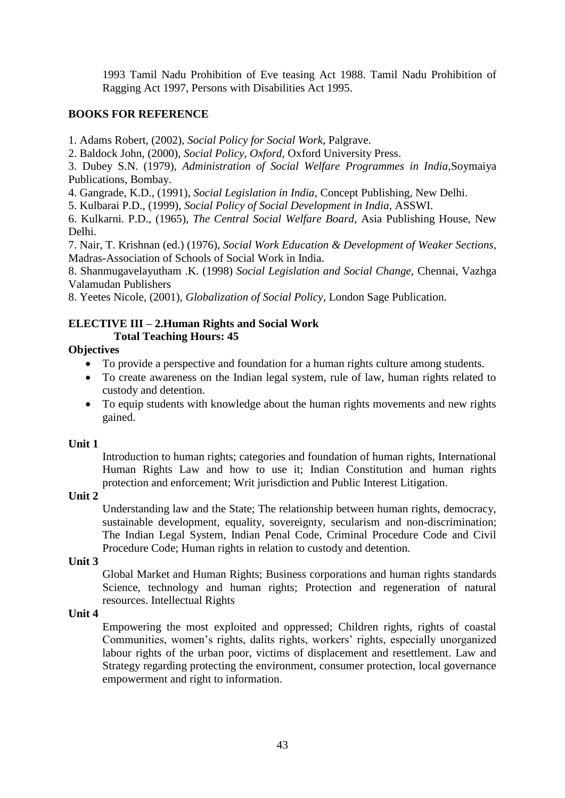1993 Tamil Nadu Prohibition of Eve teasing Act 1988. Tamil Nadu Prohibition of Ragging Act 1997, Persons with Disabilities Act 1995.

# **BOOKS FOR REFERENCE**

1. Adams Robert, (2002), *Social Policy for Social Work*, Palgrave.

2. Baldock John, (2000), *Social Policy, Oxford*, Oxford University Press.

3. Dubey S.N. (1979), *Administration of Social Welfare Programmes in India,*Soymaiya Publications, Bombay.

4. Gangrade, K.D., (1991), *Social Legislation in India*, Concept Publishing, New Delhi.

5. Kulbarai P.D., (1999), *Social Policy of Social Development in India*, ASSWI.

6. Kulkarni. P.D., (1965), *The Central Social Welfare Board*, Asia Publishing House, New Delhi.

7. Nair, T. Krishnan (ed.) (1976), *Social Work Education & Development of Weaker Sections,*  Madras-Association of Schools of Social Work in India.

8. Shanmugavelayutham .K. (1998) *Social Legislation and Social Change,* Chennai, Vazhga Valamudan Publishers

8. Yeetes Nicole, (2001), *Globalization of Social Policy,* London Sage Publication.

### **ELECTIVE III – 2.Human Rights and Social Work Total Teaching Hours: 45**

# **Objectives**

- To provide a perspective and foundation for a human rights culture among students.
- To create awareness on the Indian legal system, rule of law, human rights related to custody and detention.
- To equip students with knowledge about the human rights movements and new rights gained.

# **Unit 1**

Introduction to human rights; categories and foundation of human rights, International Human Rights Law and how to use it; Indian Constitution and human rights protection and enforcement; Writ jurisdiction and Public Interest Litigation.

# **Unit 2**

Understanding law and the State; The relationship between human rights, democracy, sustainable development, equality, sovereignty, secularism and non-discrimination; The Indian Legal System, Indian Penal Code, Criminal Procedure Code and Civil Procedure Code; Human rights in relation to custody and detention.

# **Unit 3**

Global Market and Human Rights; Business corporations and human rights standards Science, technology and human rights; Protection and regeneration of natural resources. Intellectual Rights

# **Unit 4**

Empowering the most exploited and oppressed; Children rights, rights of coastal Communities, women's rights, dalits rights, workers' rights, especially unorganized labour rights of the urban poor, victims of displacement and resettlement. Law and Strategy regarding protecting the environment, consumer protection, local governance empowerment and right to information.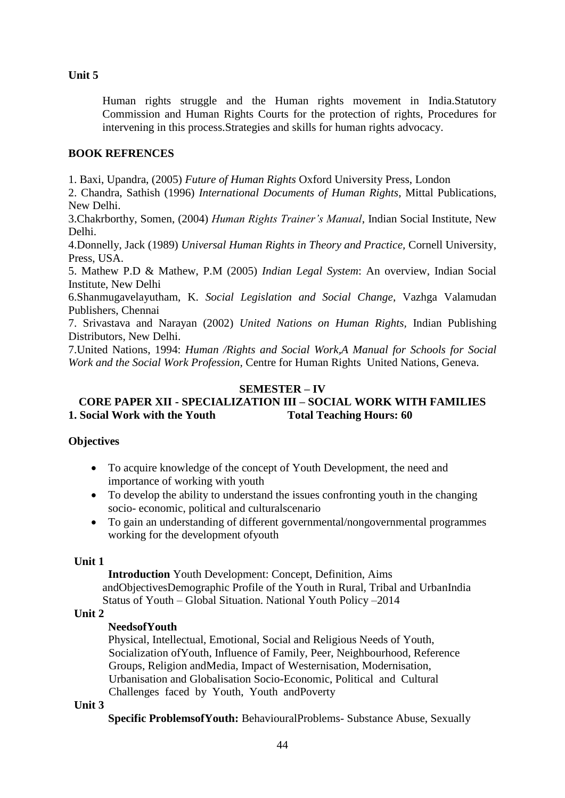Human rights struggle and the Human rights movement in India.Statutory Commission and Human Rights Courts for the protection of rights, Procedures for intervening in this process.Strategies and skills for human rights advocacy.

### **BOOK REFRENCES**

1. Baxi, Upandra, (2005) *Future of Human Rights* Oxford University Press, London

2. Chandra, Sathish (1996) *International Documents of Human Rights*, Mittal Publications, New Delhi.

3.Chakrborthy, Somen, (2004) *Human Rights Trainer's Manual*, Indian Social Institute, New Delhi.

4.Donnelly, Jack (1989) *Universal Human Rights in Theory and Practice,* Cornell University, Press, USA.

5. Mathew P.D & Mathew, P.M (2005) *Indian Legal System*: An overview, Indian Social Institute, New Delhi

6.Shanmugavelayutham, K. *Social Legislation and Social Change*, Vazhga Valamudan Publishers, Chennai

7. Srivastava and Narayan (2002) *United Nations on Human Rights,* Indian Publishing Distributors, New Delhi.

7.United Nations, 1994: *Human /Rights and Social Work,A Manual for Schools for Social Work and the Social Work Profession,* Centre for Human Rights United Nations, Geneva.

### **SEMESTER – IV**

# **CORE PAPER XII - SPECIALIZATION III – SOCIAL WORK WITH FAMILIES 1. Social Work with the Youth Total Teaching Hours: 60**

### **Objectives**

- To acquire knowledge of the concept of Youth Development, the need and importance of working with youth
- To develop the ability to understand the issues confronting youth in the changing socio- economic, political and culturalscenario
- To gain an understanding of different governmental/nongovernmental programmes working for the development ofyouth

### **Unit 1**

**Introduction** Youth Development: Concept, Definition, Aims andObjectivesDemographic Profile of the Youth in Rural, Tribal and UrbanIndia Status of Youth – Global Situation. National Youth Policy –2014

### **Unit 2**

### **NeedsofYouth**

Physical, Intellectual, Emotional, Social and Religious Needs of Youth, Socialization ofYouth, Influence of Family, Peer, Neighbourhood, Reference Groups, Religion andMedia, Impact of Westernisation, Modernisation, Urbanisation and Globalisation Socio-Economic, Political and Cultural Challenges faced by Youth, Youth andPoverty

### **Unit 3**

**Specific ProblemsofYouth:** BehaviouralProblems- Substance Abuse, Sexually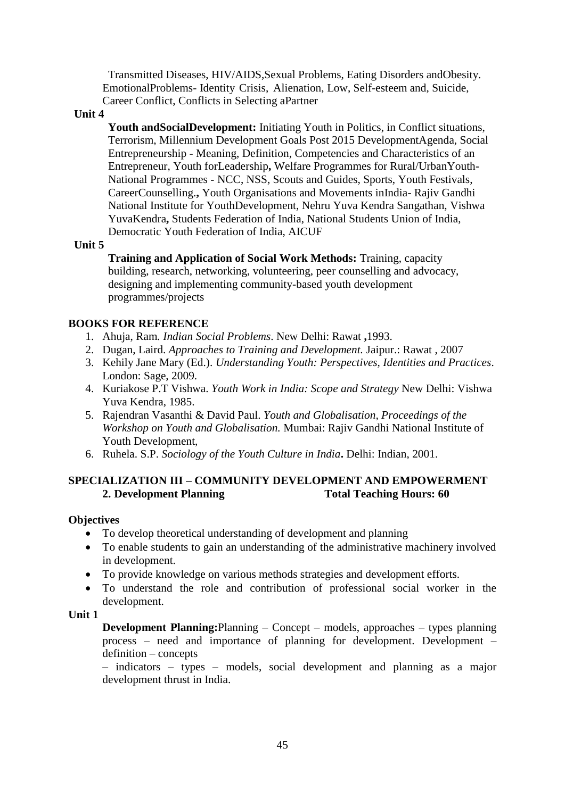Transmitted Diseases, HIV/AIDS,Sexual Problems, Eating Disorders andObesity. EmotionalProblems- Identity Crisis, Alienation, Low, Self-esteem and, Suicide, Career Conflict, Conflicts in Selecting aPartner

### **Unit 4**

**Youth andSocialDevelopment:** Initiating Youth in Politics, in Conflict situations, Terrorism, Millennium Development Goals Post 2015 DevelopmentAgenda, Social Entrepreneurship - Meaning, Definition, Competencies and Characteristics of an Entrepreneur, Youth forLeadership**,** Welfare Programmes for Rural/UrbanYouth-National Programmes - NCC, NSS, Scouts and Guides, Sports, Youth Festivals, CareerCounselling.**,** Youth Organisations and Movements inIndia- Rajiv Gandhi National Institute for YouthDevelopment, Nehru Yuva Kendra Sangathan, Vishwa YuvaKendra**,** Students Federation of India, National Students Union of India, Democratic Youth Federation of India, AICUF

### **Unit 5**

**Training and Application of Social Work Methods:** Training, capacity building, research, networking, volunteering, peer counselling and advocacy, designing and implementing community-based youth development programmes/projects

# **BOOKS FOR REFERENCE**

- 1. Ahuja, Ram*. Indian Social Problems*. New Delhi: Rawat **,**1993.
- 2. Dugan, Laird. *Approaches to Training and Development.* Jaipur.: Rawat , 2007
- 3. Kehily Jane Mary (Ed.). *Understanding Youth: Perspectives, Identities and Practices*. London: Sage, 2009.
- 4. Kuriakose P.T Vishwa. *Youth Work in India: Scope and Strategy* New Delhi: Vishwa Yuva Kendra, 1985.
- 5. Rajendran Vasanthi & David Paul. *Youth and Globalisation, Proceedings of the Workshop on Youth and Globalisation.* Mumbai: Rajiv Gandhi National Institute of Youth Development,
- 6. Ruhela. S.P. *Sociology of the Youth Culture in India***.** Delhi: Indian, 2001.

# **SPECIALIZATION III – COMMUNITY DEVELOPMENT AND EMPOWERMENT 2.** Development Planning Total Teaching Hours: 60

### **Objectives**

- To develop theoretical understanding of development and planning
- To enable students to gain an understanding of the administrative machinery involved in development.
- To provide knowledge on various methods strategies and development efforts.
- To understand the role and contribution of professional social worker in the development.

### **Unit 1**

**Development Planning:**Planning – Concept – models, approaches – types planning process – need and importance of planning for development. Development – definition – concepts

– indicators – types – models, social development and planning as a major development thrust in India.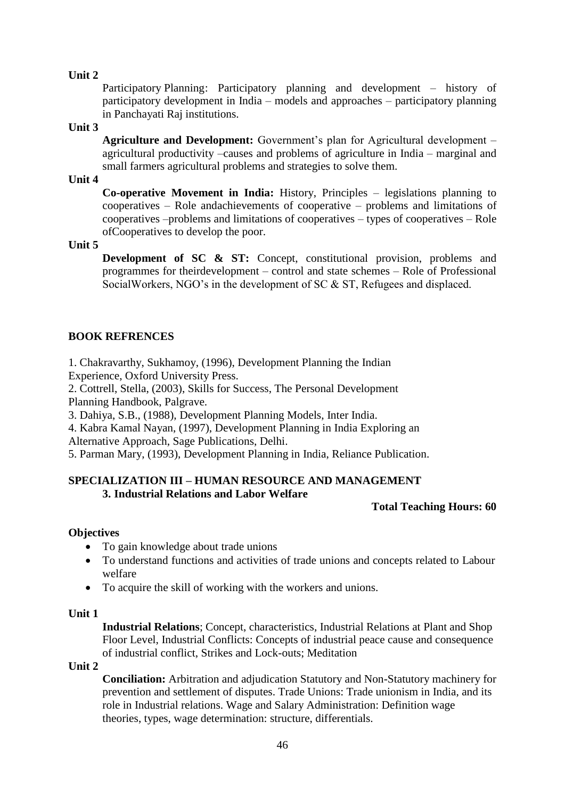Participatory Planning: Participatory planning and development – history of participatory development in India – models and approaches – participatory planning in Panchayati Raj institutions.

#### **Unit 3**

**Agriculture and Development:** Government's plan for Agricultural development – agricultural productivity –causes and problems of agriculture in India – marginal and small farmers agricultural problems and strategies to solve them.

#### **Unit 4**

**Co-operative Movement in India:** History, Principles – legislations planning to cooperatives – Role andachievements of cooperative – problems and limitations of cooperatives –problems and limitations of cooperatives – types of cooperatives – Role ofCooperatives to develop the poor.

### **Unit 5**

**Development of SC & ST:** Concept, constitutional provision, problems and programmes for theirdevelopment – control and state schemes – Role of Professional SocialWorkers, NGO's in the development of SC & ST, Refugees and displaced.

# **BOOK REFRENCES**

1. Chakravarthy, Sukhamoy, (1996), Development Planning the Indian Experience, Oxford University Press.

2. Cottrell, Stella, (2003), Skills for Success, The Personal Development Planning Handbook, Palgrave.

3. Dahiya, S.B., (1988), Development Planning Models, Inter India.

4. Kabra Kamal Nayan, (1997), Development Planning in India Exploring an

Alternative Approach, Sage Publications, Delhi.

5. Parman Mary, (1993), Development Planning in India, Reliance Publication.

# **SPECIALIZATION III – HUMAN RESOURCE AND MANAGEMENT 3. Industrial Relations and Labor Welfare**

### **Total Teaching Hours: 60**

### **Objectives**

- To gain knowledge about trade unions
- To understand functions and activities of trade unions and concepts related to Labour welfare
- To acquire the skill of working with the workers and unions.

### **Unit 1**

**Industrial Relations**; Concept, characteristics, Industrial Relations at Plant and Shop Floor Level, Industrial Conflicts: Concepts of industrial peace cause and consequence of industrial conflict, Strikes and Lock-outs; Meditation

#### **Unit 2**

**Conciliation:** Arbitration and adjudication Statutory and Non-Statutory machinery for prevention and settlement of disputes. Trade Unions: Trade unionism in India, and its role in Industrial relations. Wage and Salary Administration: Definition wage theories, types, wage determination: structure, differentials.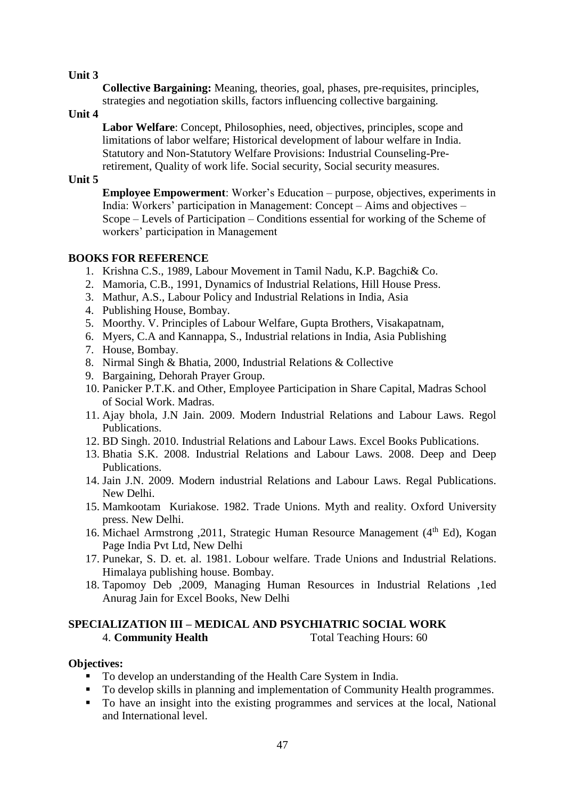**Collective Bargaining:** Meaning, theories, goal, phases, pre-requisites, principles, strategies and negotiation skills, factors influencing collective bargaining.

### **Unit 4**

**Labor Welfare**: Concept, Philosophies, need, objectives, principles, scope and limitations of labor welfare; Historical development of labour welfare in India. Statutory and Non-Statutory Welfare Provisions: Industrial Counseling-Preretirement, Quality of work life. Social security, Social security measures.

### **Unit 5**

**Employee Empowerment**: Worker's Education – purpose, objectives, experiments in India: Workers' participation in Management: Concept – Aims and objectives – Scope – Levels of Participation – Conditions essential for working of the Scheme of workers' participation in Management

# **BOOKS FOR REFERENCE**

- 1. Krishna C.S., 1989, Labour Movement in Tamil Nadu, K.P. Bagchi& Co.
- 2. Mamoria, C.B., 1991, Dynamics of Industrial Relations, Hill House Press.
- 3. Mathur, A.S., Labour Policy and Industrial Relations in India, Asia
- 4. Publishing House, Bombay.
- 5. Moorthy. V. Principles of Labour Welfare, Gupta Brothers, Visakapatnam,
- 6. Myers, C.A and Kannappa, S., Industrial relations in India, Asia Publishing
- 7. House, Bombay.
- 8. Nirmal Singh & Bhatia, 2000, Industrial Relations & Collective
- 9. Bargaining, Dehorah Prayer Group.
- 10. Panicker P.T.K. and Other, Employee Participation in Share Capital, Madras School of Social Work. Madras.
- 11. Ajay bhola, J.N Jain. 2009. Modern Industrial Relations and Labour Laws. Regol Publications.
- 12. BD Singh. 2010. Industrial Relations and Labour Laws. Excel Books Publications.
- 13. Bhatia S.K. 2008. Industrial Relations and Labour Laws. 2008. Deep and Deep Publications.
- 14. Jain J.N. 2009. Modern industrial Relations and Labour Laws. Regal Publications. New Delhi.
- 15. Mamkootam Kuriakose. 1982. Trade Unions. Myth and reality. Oxford University press. New Delhi.
- 16. Michael Armstrong , 2011, Strategic Human Resource Management (4<sup>th</sup> Ed), Kogan Page India Pvt Ltd, New Delhi
- 17. Punekar, S. D. et. al. 1981. Lobour welfare. Trade Unions and Industrial Relations. Himalaya publishing house. Bombay.
- 18. Tapomoy Deb ,2009, Managing Human Resources in Industrial Relations ,1ed Anurag Jain for Excel Books, New Delhi

# **SPECIALIZATION III – MEDICAL AND PSYCHIATRIC SOCIAL WORK** 4. **Community Health** Total Teaching Hours: 60

### **Objectives:**

- To develop an understanding of the Health Care System in India.
- To develop skills in planning and implementation of Community Health programmes.
- To have an insight into the existing programmes and services at the local, National and International level.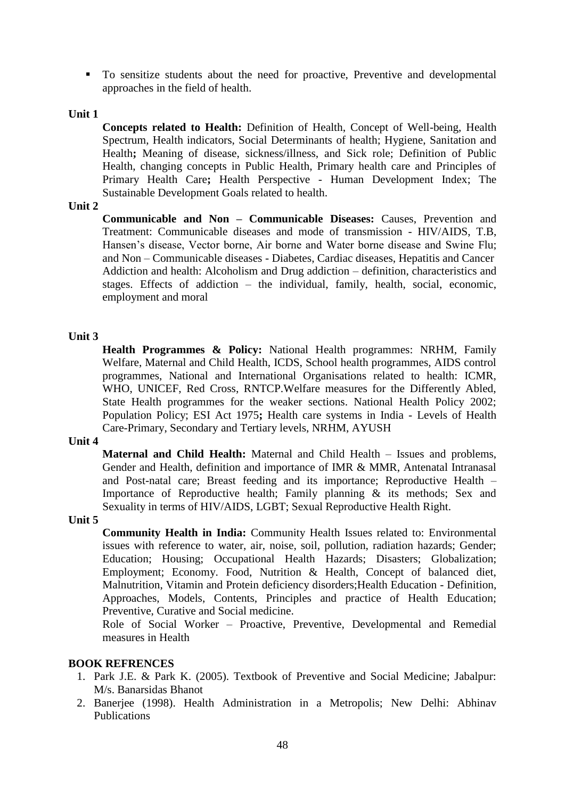To sensitize students about the need for proactive, Preventive and developmental approaches in the field of health.

#### **Unit 1**

**Concepts related to Health:** Definition of Health, Concept of Well-being, Health Spectrum, Health indicators, Social Determinants of health; Hygiene, Sanitation and Health**;** Meaning of disease, sickness/illness, and Sick role; Definition of Public Health, changing concepts in Public Health, Primary health care and Principles of Primary Health Care**;** Health Perspective - Human Development Index; The Sustainable Development Goals related to health.

#### **Unit 2**

**Communicable and Non – Communicable Diseases:** Causes, Prevention and Treatment: Communicable diseases and mode of transmission - HIV/AIDS, T.B, Hansen's disease, Vector borne, Air borne and Water borne disease and Swine Flu; and Non – Communicable diseases - Diabetes, Cardiac diseases, Hepatitis and Cancer Addiction and health: Alcoholism and Drug addiction – definition, characteristics and stages. Effects of addiction – the individual, family, health, social, economic, employment and moral

#### **Unit 3**

**Health Programmes & Policy:** National Health programmes: NRHM, Family Welfare, Maternal and Child Health, ICDS, School health programmes, AIDS control programmes, National and International Organisations related to health: ICMR, WHO, UNICEF, Red Cross, RNTCP.Welfare measures for the Differently Abled, State Health programmes for the weaker sections. National Health Policy 2002; Population Policy; ESI Act 1975**;** Health care systems in India - Levels of Health Care-Primary, Secondary and Tertiary levels, NRHM, AYUSH

#### **Unit 4**

**Maternal and Child Health:** Maternal and Child Health – Issues and problems, Gender and Health, definition and importance of IMR & MMR, Antenatal Intranasal and Post-natal care; Breast feeding and its importance; Reproductive Health – Importance of Reproductive health; Family planning & its methods; Sex and Sexuality in terms of HIV/AIDS, LGBT; Sexual Reproductive Health Right.

#### **Unit 5**

**Community Health in India:** Community Health Issues related to: Environmental issues with reference to water, air, noise, soil, pollution, radiation hazards; Gender; Education; Housing; Occupational Health Hazards; Disasters; Globalization; Employment; Economy. Food, Nutrition & Health, Concept of balanced diet, Malnutrition, Vitamin and Protein deficiency disorders;Health Education - Definition, Approaches, Models, Contents, Principles and practice of Health Education; Preventive, Curative and Social medicine.

Role of Social Worker – Proactive, Preventive, Developmental and Remedial measures in Health

### **BOOK REFRENCES**

- 1. Park J.E. & Park K. (2005). Textbook of Preventive and Social Medicine; Jabalpur: M/s. Banarsidas Bhanot
- 2. Banerjee (1998). Health Administration in a Metropolis; New Delhi: Abhinav Publications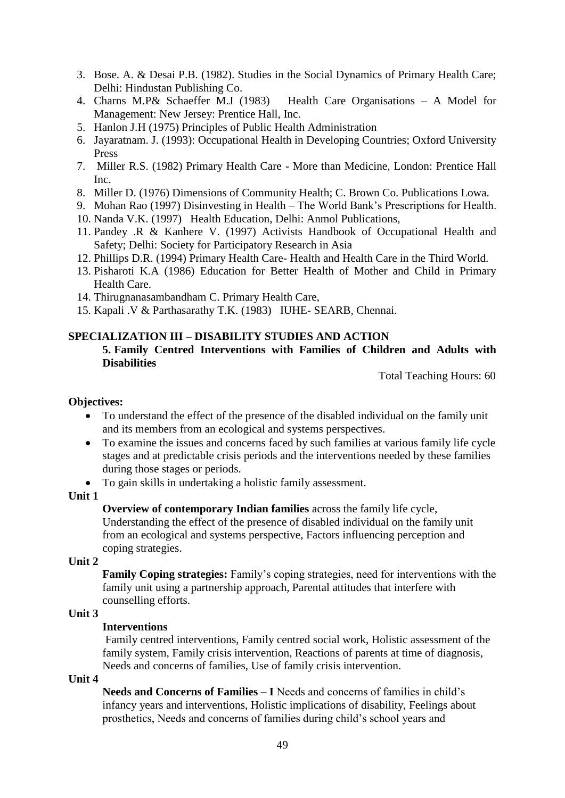- 3. Bose. A. & Desai P.B. (1982). Studies in the Social Dynamics of Primary Health Care; Delhi: Hindustan Publishing Co.
- 4. Charns M.P& Schaeffer M.J (1983) Health Care Organisations A Model for Management: New Jersey: Prentice Hall, Inc.
- 5. Hanlon J.H (1975) Principles of Public Health Administration
- 6. Jayaratnam. J. (1993): Occupational Health in Developing Countries; Oxford University Press
- 7. Miller R.S. (1982) Primary Health Care More than Medicine, London: Prentice Hall Inc.
- 8. Miller D. (1976) Dimensions of Community Health; C. Brown Co. Publications Lowa.
- 9. Mohan Rao (1997) Disinvesting in Health The World Bank's Prescriptions for Health.
- 10. Nanda V.K. (1997) Health Education, Delhi: Anmol Publications,
- 11. Pandey .R & Kanhere V. (1997) Activists Handbook of Occupational Health and Safety; Delhi: Society for Participatory Research in Asia
- 12. Phillips D.R. (1994) Primary Health Care- Health and Health Care in the Third World.
- 13. Pisharoti K.A (1986) Education for Better Health of Mother and Child in Primary Health Care.
- 14. Thirugnanasambandham C. Primary Health Care,
- 15. Kapali .V & Parthasarathy T.K. (1983) IUHE- SEARB, Chennai.

### **SPECIALIZATION III – DISABILITY STUDIES AND ACTION**

#### **5. Family Centred Interventions with Families of Children and Adults with Disabilities**

Total Teaching Hours: 60

#### **Objectives:**

- To understand the effect of the presence of the disabled individual on the family unit and its members from an ecological and systems perspectives.
- To examine the issues and concerns faced by such families at various family life cycle stages and at predictable crisis periods and the interventions needed by these families during those stages or periods.
- To gain skills in undertaking a holistic family assessment.

#### **Unit 1**

**Overview of contemporary Indian families** across the family life cycle, Understanding the effect of the presence of disabled individual on the family unit from an ecological and systems perspective, Factors influencing perception and coping strategies.

**Unit 2**

**Family Coping strategies:** Family's coping strategies, need for interventions with the family unit using a partnership approach, Parental attitudes that interfere with counselling efforts.

# **Unit 3**

# **Interventions**

Family centred interventions, Family centred social work, Holistic assessment of the family system, Family crisis intervention, Reactions of parents at time of diagnosis, Needs and concerns of families, Use of family crisis intervention.

**Unit 4**

**Needs and Concerns of Families – I** Needs and concerns of families in child's infancy years and interventions, Holistic implications of disability, Feelings about prosthetics, Needs and concerns of families during child's school years and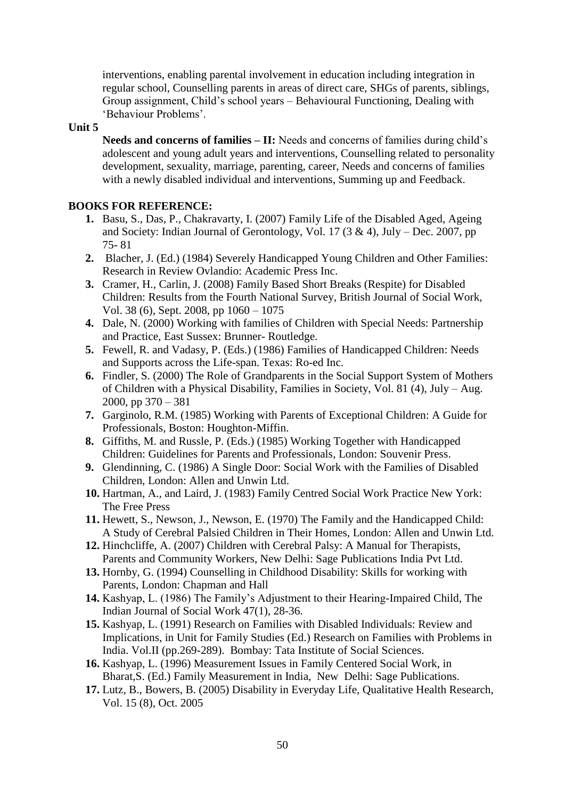interventions, enabling parental involvement in education including integration in regular school, Counselling parents in areas of direct care, SHGs of parents, siblings, Group assignment, Child's school years – Behavioural Functioning, Dealing with 'Behaviour Problems'.

#### **Unit 5**

Needs and concerns of families – II: Needs and concerns of families during child's adolescent and young adult years and interventions, Counselling related to personality development, sexuality, marriage, parenting, career, Needs and concerns of families with a newly disabled individual and interventions, Summing up and Feedback.

### **BOOKS FOR REFERENCE:**

- **1.** Basu, S., Das, P., Chakravarty, I. (2007) Family Life of the Disabled Aged, Ageing and Society: Indian Journal of Gerontology, Vol. 17  $(3 \& 4)$ , July – Dec. 2007, pp 75- 81
- **2.** Blacher, J. (Ed.) (1984) Severely Handicapped Young Children and Other Families: Research in Review Ovlandio: Academic Press Inc.
- **3.** Cramer, H., Carlin, J. (2008) Family Based Short Breaks (Respite) for Disabled Children: Results from the Fourth National Survey, British Journal of Social Work, Vol. 38 (6), Sept. 2008, pp 1060 – 1075
- **4.** Dale, N. (2000) Working with families of Children with Special Needs: Partnership and Practice, East Sussex: Brunner- Routledge.
- **5.** Fewell, R. and Vadasy, P. (Eds.) (1986) Families of Handicapped Children: Needs and Supports across the Life-span. Texas: Ro-ed Inc.
- **6.** Findler, S. (2000) The Role of Grandparents in the Social Support System of Mothers of Children with a Physical Disability, Families in Society, Vol. 81 (4), July – Aug. 2000, pp 370 – 381
- **7.** Garginolo, R.M. (1985) Working with Parents of Exceptional Children: A Guide for Professionals, Boston: Houghton-Miffin.
- **8.** Giffiths, M. and Russle, P. (Eds.) (1985) Working Together with Handicapped Children: Guidelines for Parents and Professionals, London: Souvenir Press.
- **9.** Glendinning, C. (1986) A Single Door: Social Work with the Families of Disabled Children, London: Allen and Unwin Ltd.
- **10.** Hartman, A., and Laird, J. (1983) Family Centred Social Work Practice New York: The Free Press
- **11.** Hewett, S., Newson, J., Newson, E. (1970) The Family and the Handicapped Child: A Study of Cerebral Palsied Children in Their Homes, London: Allen and Unwin Ltd.
- **12.** Hinchcliffe, A. (2007) Children with Cerebral Palsy: A Manual for Therapists, Parents and Community Workers, New Delhi: Sage Publications India Pvt Ltd.
- **13.** Hornby, G. (1994) Counselling in Childhood Disability: Skills for working with Parents, London: Chapman and Hall
- **14.** Kashyap, L. (1986) The Family's Adjustment to their Hearing-Impaired Child, The Indian Journal of Social Work 47(1), 28-36.
- **15.** Kashyap, L. (1991) Research on Families with Disabled Individuals: Review and Implications, in Unit for Family Studies (Ed.) Research on Families with Problems in India. Vol.II (pp.269-289). Bombay: Tata Institute of Social Sciences.
- **16.** Kashyap, L. (1996) Measurement Issues in Family Centered Social Work, in Bharat,S. (Ed.) Family Measurement in India, New Delhi: Sage Publications.
- **17.** Lutz, B., Bowers, B. (2005) Disability in Everyday Life, Qualitative Health Research, Vol. 15 (8), Oct. 2005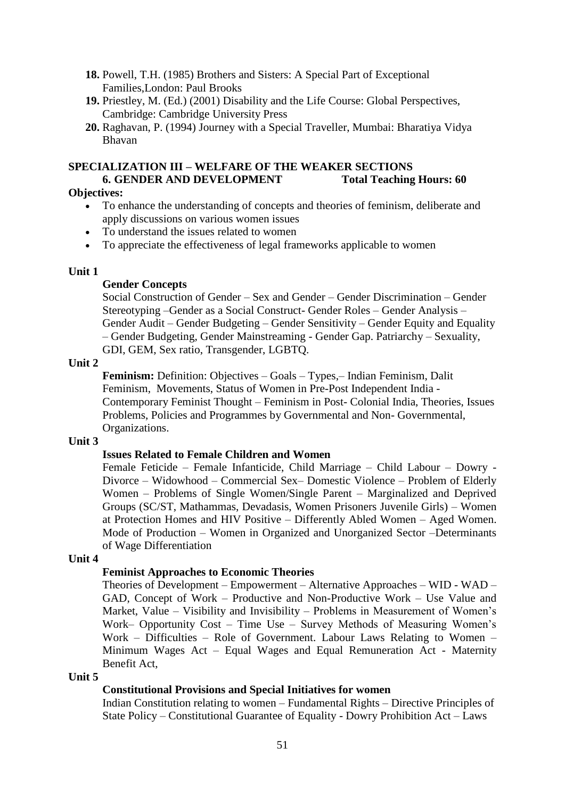- **18.** Powell, T.H. (1985) Brothers and Sisters: A Special Part of Exceptional Families,London: Paul Brooks
- **19.** Priestley, M. (Ed.) (2001) Disability and the Life Course: Global Perspectives, Cambridge: Cambridge University Press
- **20.** Raghavan, P. (1994) Journey with a Special Traveller, Mumbai: Bharatiya Vidya Bhavan

### **SPECIALIZATION III – WELFARE OF THE WEAKER SECTIONS 6. GENDER AND DEVELOPMENT Total Teaching Hours: 60**

### **Objectives:**

- To enhance the understanding of concepts and theories of feminism, deliberate and apply discussions on various women issues
- To understand the issues related to women
- To appreciate the effectiveness of legal frameworks applicable to women

### **Unit 1**

### **Gender Concepts**

Social Construction of Gender – Sex and Gender – Gender Discrimination – Gender Stereotyping –Gender as a Social Construct- Gender Roles – Gender Analysis – Gender Audit – Gender Budgeting – Gender Sensitivity – Gender Equity and Equality – Gender Budgeting, Gender Mainstreaming - Gender Gap. Patriarchy – Sexuality, GDI, GEM, Sex ratio, Transgender, LGBTQ.

### **Unit 2**

**Feminism:** Definition: Objectives – Goals – Types,– Indian Feminism, Dalit Feminism, Movements, Status of Women in Pre-Post Independent India - Contemporary Feminist Thought – Feminism in Post- Colonial India, Theories, Issues Problems, Policies and Programmes by Governmental and Non- Governmental, Organizations.

### **Unit 3**

### **Issues Related to Female Children and Women**

Female Feticide – Female Infanticide, Child Marriage – Child Labour – Dowry - Divorce – Widowhood – Commercial Sex– Domestic Violence – Problem of Elderly Women – Problems of Single Women/Single Parent – Marginalized and Deprived Groups (SC/ST, Mathammas, Devadasis, Women Prisoners Juvenile Girls) – Women at Protection Homes and HIV Positive – Differently Abled Women – Aged Women. Mode of Production – Women in Organized and Unorganized Sector –Determinants of Wage Differentiation

### **Unit 4**

# **Feminist Approaches to Economic Theories**

Theories of Development – Empowerment – Alternative Approaches – WID - WAD – GAD, Concept of Work – Productive and Non-Productive Work – Use Value and Market, Value – Visibility and Invisibility – Problems in Measurement of Women's Work– Opportunity Cost – Time Use – Survey Methods of Measuring Women's Work – Difficulties – Role of Government. Labour Laws Relating to Women – Minimum Wages Act – Equal Wages and Equal Remuneration Act - Maternity Benefit Act,

**Unit 5**

# **Constitutional Provisions and Special Initiatives for women**

Indian Constitution relating to women – Fundamental Rights – Directive Principles of State Policy – Constitutional Guarantee of Equality - Dowry Prohibition Act – Laws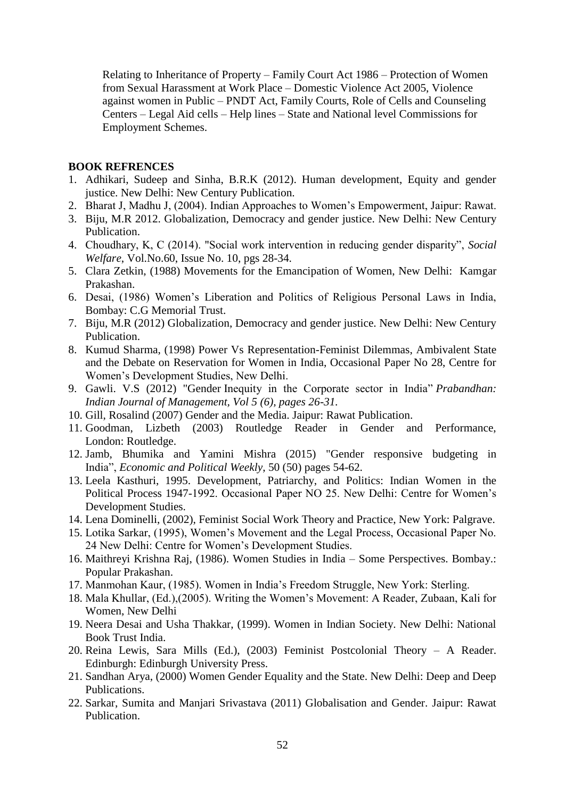Relating to Inheritance of Property – Family Court Act 1986 – Protection of Women from Sexual Harassment at Work Place – Domestic Violence Act 2005, Violence against women in Public – PNDT Act, Family Courts, Role of Cells and Counseling Centers – Legal Aid cells – Help lines – State and National level Commissions for Employment Schemes.

#### **BOOK REFRENCES**

- 1. Adhikari, Sudeep and Sinha, B.R.K (2012). Human development, Equity and gender justice. New Delhi: New Century Publication.
- 2. Bharat J, Madhu J, (2004). Indian Approaches to Women's Empowerment, Jaipur: Rawat.
- 3. Biju, M.R 2012. Globalization, Democracy and gender justice. New Delhi: New Century Publication.
- 4. Choudhary, K, C (2014). "Social work intervention in reducing gender disparity", *Social Welfare*, Vol.No.60, Issue No. 10, pgs 28-34.
- 5. Clara Zetkin, (1988) Movements for the Emancipation of Women, New Delhi: Kamgar Prakashan.
- 6. Desai, (1986) Women's Liberation and Politics of Religious Personal Laws in India, Bombay: C.G Memorial Trust.
- 7. Biju, M.R (2012) Globalization, Democracy and gender justice. New Delhi: New Century Publication.
- 8. Kumud Sharma, (1998) Power Vs Representation-Feminist Dilemmas, Ambivalent State and the Debate on Reservation for Women in India, Occasional Paper No 28, Centre for Women's Development Studies, New Delhi.
- 9. Gawli. V.S (2012) "Gender Inequity in the Corporate sector in India" *Prabandhan: Indian Journal of Management, Vol 5 (6), pages 26-31.*
- 10. Gill, Rosalind (2007) Gender and the Media. Jaipur: Rawat Publication.
- 11. Goodman, Lizbeth (2003) Routledge Reader in Gender and Performance, London: Routledge.
- 12. Jamb, Bhumika and Yamini Mishra (2015) "Gender responsive budgeting in India", *Economic and Political Weekly*, 50 (50) pages 54-62.
- 13. Leela Kasthuri, 1995. Development, Patriarchy, and Politics: Indian Women in the Political Process 1947-1992. Occasional Paper NO 25. New Delhi: Centre for Women's Development Studies.
- 14. Lena Dominelli, (2002), Feminist Social Work Theory and Practice, New York: Palgrave.
- 15. Lotika Sarkar, (1995), Women's Movement and the Legal Process, Occasional Paper No. 24 New Delhi: Centre for Women's Development Studies.
- 16. Maithreyi Krishna Raj, (1986). Women Studies in India Some Perspectives. Bombay.: Popular Prakashan.
- 17. Manmohan Kaur, (1985). Women in India's Freedom Struggle, New York: Sterling.
- 18. Mala Khullar, (Ed.),(2005). Writing the Women's Movement: A Reader, Zubaan, Kali for Women, New Delhi
- 19. Neera Desai and Usha Thakkar, (1999). Women in Indian Society. New Delhi: National Book Trust India.
- 20. Reina Lewis, Sara Mills (Ed.), (2003) Feminist Postcolonial Theory A Reader. Edinburgh: Edinburgh University Press.
- 21. Sandhan Arya, (2000) Women Gender Equality and the State. New Delhi: Deep and Deep Publications.
- 22. Sarkar, Sumita and Manjari Srivastava (2011) Globalisation and Gender. Jaipur: Rawat Publication.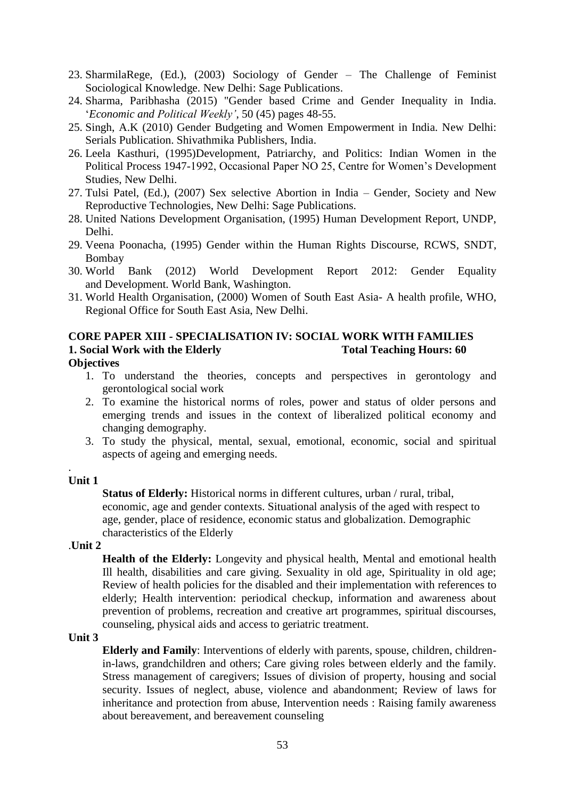- 23. SharmilaRege, (Ed.), (2003) Sociology of Gender The Challenge of Feminist Sociological Knowledge. New Delhi: Sage Publications.
- 24. Sharma, Paribhasha (2015) "Gender based Crime and Gender Inequality in India. '*Economic and Political Weekly'*, 50 (45) pages 48-55.
- 25. Singh, A.K (2010) Gender Budgeting and Women Empowerment in India. New Delhi: Serials Publication. Shivathmika Publishers, India.
- 26. Leela Kasthuri, (1995)Development, Patriarchy, and Politics: Indian Women in the Political Process 1947-1992, Occasional Paper NO 25, Centre for Women's Development Studies, New Delhi.
- 27. Tulsi Patel, (Ed.), (2007) Sex selective Abortion in India Gender, Society and New Reproductive Technologies, New Delhi: Sage Publications.
- 28. United Nations Development Organisation, (1995) Human Development Report, UNDP, Delhi.
- 29. Veena Poonacha, (1995) Gender within the Human Rights Discourse, RCWS, SNDT, Bombay
- 30. World Bank (2012) World Development Report 2012: Gender Equality and Development. World Bank, Washington.
- 31. World Health Organisation, (2000) Women of South East Asia- A health profile, WHO, Regional Office for South East Asia, New Delhi.

# **CORE PAPER XIII - SPECIALISATION IV: SOCIAL WORK WITH FAMILIES 1. Social Work with the Elderly Total Teaching Hours: 60**

### **Objectives**

- 1. To understand the theories, concepts and perspectives in gerontology and gerontological social work
- 2. To examine the historical norms of roles, power and status of older persons and emerging trends and issues in the context of liberalized political economy and changing demography.
- 3. To study the physical, mental, sexual, emotional, economic, social and spiritual aspects of ageing and emerging needs.

### **Unit 1**

.

**Status of Elderly:** Historical norms in different cultures, urban / rural, tribal, economic, age and gender contexts. Situational analysis of the aged with respect to age, gender, place of residence, economic status and globalization. Demographic characteristics of the Elderly

### .**Unit 2**

**Health of the Elderly:** Longevity and physical health, Mental and emotional health Ill health, disabilities and care giving. Sexuality in old age, Spirituality in old age; Review of health policies for the disabled and their implementation with references to elderly; Health intervention: periodical checkup, information and awareness about prevention of problems, recreation and creative art programmes, spiritual discourses, counseling, physical aids and access to geriatric treatment.

#### **Unit 3**

**Elderly and Family**: Interventions of elderly with parents, spouse, children, childrenin-laws, grandchildren and others; Care giving roles between elderly and the family. Stress management of caregivers; Issues of division of property, housing and social security. Issues of neglect, abuse, violence and abandonment; Review of laws for inheritance and protection from abuse, Intervention needs : Raising family awareness about bereavement, and bereavement counseling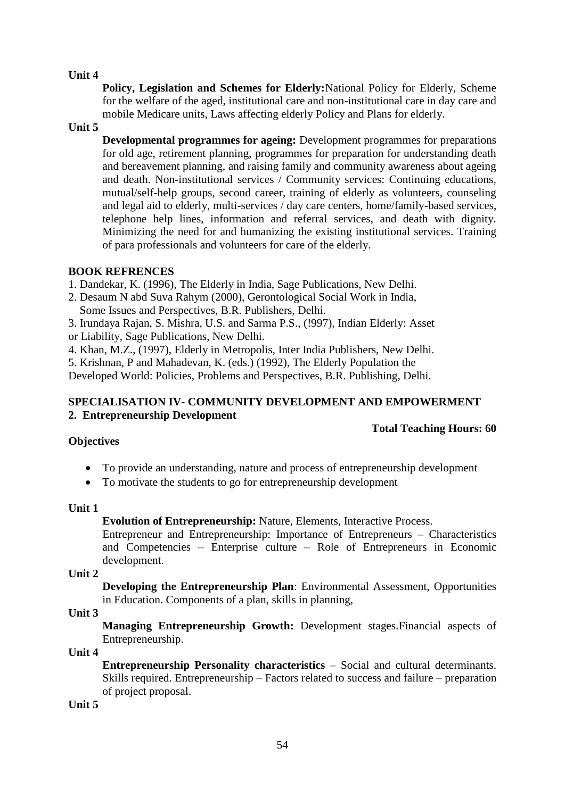**Policy, Legislation and Schemes for Elderly:**National Policy for Elderly, Scheme for the welfare of the aged, institutional care and non-institutional care in day care and mobile Medicare units, Laws affecting elderly Policy and Plans for elderly.

### **Unit 5**

**Developmental programmes for ageing:** Development programmes for preparations for old age, retirement planning, programmes for preparation for understanding death and bereavement planning, and raising family and community awareness about ageing and death. Non-institutional services / Community services: Continuing educations, mutual/self-help groups, second career, training of elderly as volunteers, counseling and legal aid to elderly, multi-services / day care centers, home/family-based services, telephone help lines, information and referral services, and death with dignity. Minimizing the need for and humanizing the existing institutional services. Training of para professionals and volunteers for care of the elderly.

### **BOOK REFRENCES**

1. Dandekar, K. (1996), The Elderly in India, Sage Publications, New Delhi.

- 2. Desaum N abd Suva Rahym (2000), Gerontological Social Work in India,
- Some Issues and Perspectives, B.R. Publishers, Delhi.
- 3. Irundaya Rajan, S. Mishra, U.S. and Sarma P.S., (!997), Indian Elderly: Asset or Liability, Sage Publications, New Delhi.
- 
- 4. Khan, M.Z., (1997), Elderly in Metropolis, Inter India Publishers, New Delhi.

5. Krishnan, P and Mahadevan, K. (eds.) (1992), The Elderly Population the

Developed World: Policies, Problems and Perspectives, B.R. Publishing, Delhi.

# **SPECIALISATION IV- COMMUNITY DEVELOPMENT AND EMPOWERMENT 2. Entrepreneurship Development**

### **Total Teaching Hours: 60**

# **Objectives**

- To provide an understanding, nature and process of entrepreneurship development
- To motivate the students to go for entrepreneurship development

### **Unit 1**

**Evolution of Entrepreneurship:** Nature, Elements, Interactive Process.

Entrepreneur and Entrepreneurship: Importance of Entrepreneurs – Characteristics and Competencies – Enterprise culture – Role of Entrepreneurs in Economic development.

**Unit 2** 

**Developing the Entrepreneurship Plan**: Environmental Assessment, Opportunities in Education. Components of a plan, skills in planning,

### **Unit 3**

**Managing Entrepreneurship Growth:** Development stages.Financial aspects of Entrepreneurship.

### **Unit 4**

**Entrepreneurship Personality characteristics** – Social and cultural determinants. Skills required. Entrepreneurship – Factors related to success and failure – preparation of project proposal.

### **Unit 5**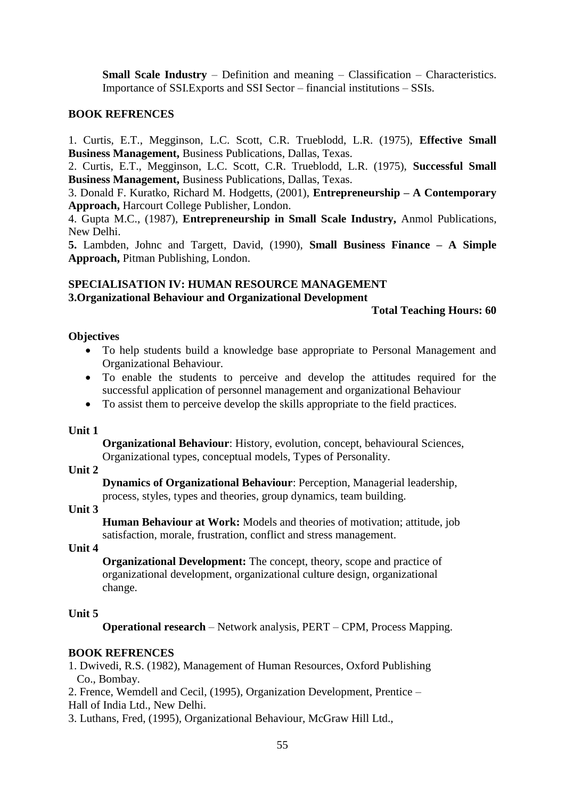**Small Scale Industry** – Definition and meaning – Classification – Characteristics. Importance of SSI.Exports and SSI Sector – financial institutions – SSIs.

### **BOOK REFRENCES**

1. Curtis, E.T., Megginson, L.C. Scott, C.R. Trueblodd, L.R. (1975), **Effective Small Business Management,** Business Publications, Dallas, Texas.

2. Curtis, E.T., Megginson, L.C. Scott, C.R. Trueblodd, L.R. (1975), **Successful Small Business Management,** Business Publications, Dallas, Texas.

3. Donald F. Kuratko, Richard M. Hodgetts, (2001), **Entrepreneurship – A Contemporary Approach,** Harcourt College Publisher, London.

4. Gupta M.C., (1987), **Entrepreneurship in Small Scale Industry,** Anmol Publications, New Delhi.

**5.** Lambden, Johnc and Targett, David, (1990), **Small Business Finance – A Simple Approach,** Pitman Publishing, London.

# **SPECIALISATION IV: HUMAN RESOURCE MANAGEMENT 3.Organizational Behaviour and Organizational Development**

#### **Total Teaching Hours: 60**

### **Objectives**

- To help students build a knowledge base appropriate to Personal Management and Organizational Behaviour.
- To enable the students to perceive and develop the attitudes required for the successful application of personnel management and organizational Behaviour
- To assist them to perceive develop the skills appropriate to the field practices.

### **Unit 1**

**Organizational Behaviour**: History, evolution, concept, behavioural Sciences, Organizational types, conceptual models, Types of Personality.

### **Unit 2**

**Dynamics of Organizational Behaviour**: Perception, Managerial leadership, process, styles, types and theories, group dynamics, team building.

### **Unit 3**

**Human Behaviour at Work:** Models and theories of motivation; attitude, job satisfaction, morale, frustration, conflict and stress management.

#### **Unit 4**

**Organizational Development:** The concept, theory, scope and practice of organizational development, organizational culture design, organizational change.

### **Unit 5**

**Operational research** – Network analysis, PERT – CPM, Process Mapping.

### **BOOK REFRENCES**

1. Dwivedi, R.S. (1982), Management of Human Resources, Oxford Publishing Co., Bombay.

2. Frence, Wemdell and Cecil, (1995), Organization Development, Prentice – Hall of India Ltd., New Delhi.

3. Luthans, Fred, (1995), Organizational Behaviour, McGraw Hill Ltd.,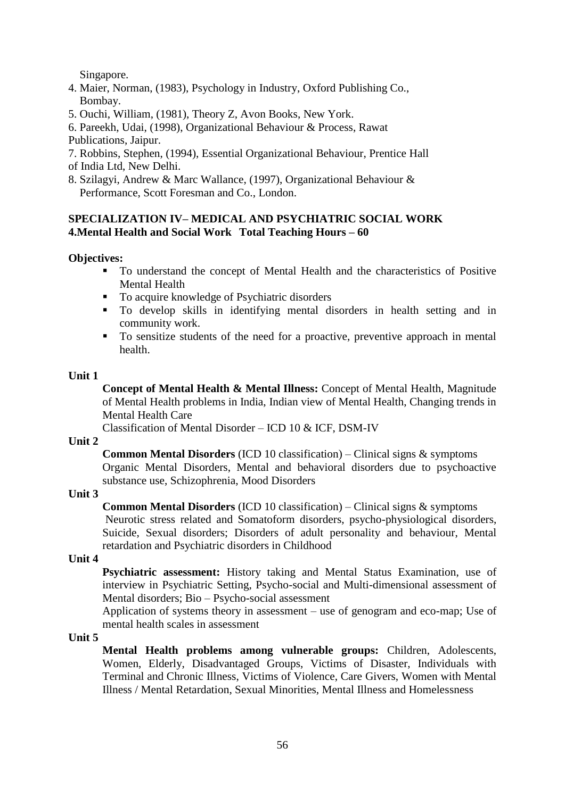Singapore.

- 4. Maier, Norman, (1983), Psychology in Industry, Oxford Publishing Co., Bombay.
- 5. Ouchi, William, (1981), Theory Z, Avon Books, New York.
- 6. Pareekh, Udai, (1998), Organizational Behaviour & Process, Rawat

Publications, Jaipur.

- 7. Robbins, Stephen, (1994), Essential Organizational Behaviour, Prentice Hall
- of India Ltd, New Delhi.
- 8. Szilagyi, Andrew & Marc Wallance, (1997), Organizational Behaviour & Performance, Scott Foresman and Co., London.

# **SPECIALIZATION IV– MEDICAL AND PSYCHIATRIC SOCIAL WORK 4.Mental Health and Social Work Total Teaching Hours – 60**

# **Objectives:**

- To understand the concept of Mental Health and the characteristics of Positive Mental Health
- To acquire knowledge of Psychiatric disorders
- To develop skills in identifying mental disorders in health setting and in community work.
- To sensitize students of the need for a proactive, preventive approach in mental health.

### **Unit 1**

**Concept of Mental Health & Mental Illness:** Concept of Mental Health, Magnitude of Mental Health problems in India, Indian view of Mental Health, Changing trends in Mental Health Care

Classification of Mental Disorder – ICD 10 & ICF, DSM-IV

### **Unit 2**

**Common Mental Disorders** (ICD 10 classification) – Clinical signs & symptoms Organic Mental Disorders, Mental and behavioral disorders due to psychoactive substance use, Schizophrenia, Mood Disorders

# **Unit 3**

**Common Mental Disorders** (ICD 10 classification) – Clinical signs & symptoms Neurotic stress related and Somatoform disorders, psycho-physiological disorders, Suicide, Sexual disorders; Disorders of adult personality and behaviour, Mental retardation and Psychiatric disorders in Childhood

### **Unit 4**

**Psychiatric assessment:** History taking and Mental Status Examination, use of interview in Psychiatric Setting, Psycho-social and Multi-dimensional assessment of Mental disorders; Bio – Psycho-social assessment

Application of systems theory in assessment – use of genogram and eco-map; Use of mental health scales in assessment

### **Unit 5**

**Mental Health problems among vulnerable groups:** Children, Adolescents, Women, Elderly, Disadvantaged Groups, Victims of Disaster, Individuals with Terminal and Chronic Illness, Victims of Violence, Care Givers, Women with Mental Illness / Mental Retardation, Sexual Minorities, Mental Illness and Homelessness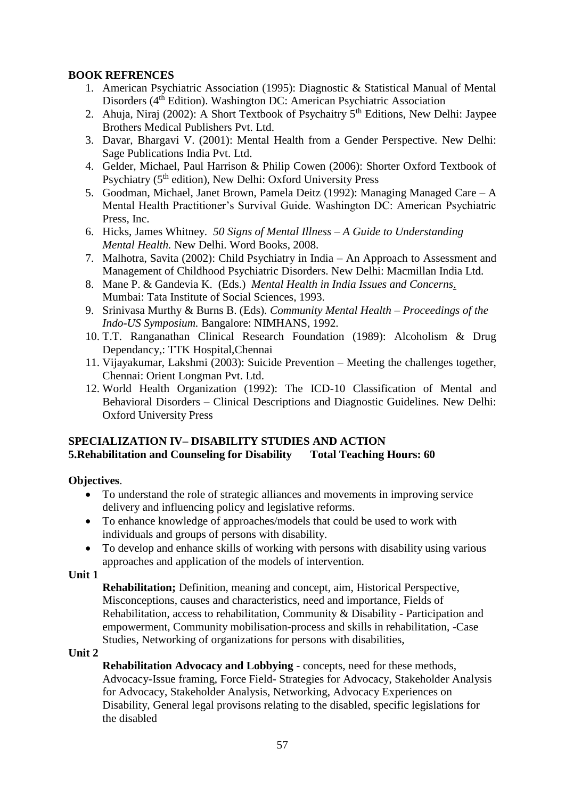# **BOOK REFRENCES**

- 1. American Psychiatric Association (1995): Diagnostic & Statistical Manual of Mental Disorders (4<sup>th</sup> Edition). Washington DC: American Psychiatric Association
- 2. Ahuja, Niraj (2002): A Short Textbook of Psychaitry 5th Editions, New Delhi: Jaypee Brothers Medical Publishers Pvt. Ltd.
- 3. Davar, Bhargavi V. (2001): Mental Health from a Gender Perspective. New Delhi: Sage Publications India Pvt. Ltd.
- 4. Gelder, Michael, Paul Harrison & Philip Cowen (2006): Shorter Oxford Textbook of Psychiatry (5<sup>th</sup> edition), New Delhi: Oxford University Press
- 5. Goodman, Michael, Janet Brown, Pamela Deitz (1992): Managing Managed Care A Mental Health Practitioner's Survival Guide. Washington DC: American Psychiatric Press, Inc.
- 6. Hicks, James Whitney. *50 Signs of Mental Illness – A Guide to Understanding Mental Health.* New Delhi. Word Books, 2008.
- 7. Malhotra, Savita (2002): Child Psychiatry in India An Approach to Assessment and Management of Childhood Psychiatric Disorders. New Delhi: Macmillan India Ltd.
- 8. Mane P. & Gandevia K. (Eds.) *Mental Health in India Issues and Concerns*. Mumbai: Tata Institute of Social Sciences, 1993.
- 9. Srinivasa Murthy & Burns B. (Eds). *Community Mental Health – Proceedings of the Indo-US Symposium.* Bangalore: NIMHANS, 1992.
- 10. T.T. Ranganathan Clinical Research Foundation (1989): Alcoholism & Drug Dependancy,: TTK Hospital,Chennai
- 11. Vijayakumar, Lakshmi (2003): Suicide Prevention Meeting the challenges together, Chennai: Orient Longman Pvt. Ltd.
- 12. World Health Organization (1992): The ICD-10 Classification of Mental and Behavioral Disorders – Clinical Descriptions and Diagnostic Guidelines. New Delhi: Oxford University Press

# **SPECIALIZATION IV– DISABILITY STUDIES AND ACTION 5.Rehabilitation and Counseling for Disability Total Teaching Hours: 60**

# **Objectives**.

- To understand the role of strategic alliances and movements in improving service delivery and influencing policy and legislative reforms.
- To enhance knowledge of approaches/models that could be used to work with individuals and groups of persons with disability.
- To develop and enhance skills of working with persons with disability using various approaches and application of the models of intervention.

### **Unit 1**

**Rehabilitation;** Definition, meaning and concept, aim, Historical Perspective, Misconceptions, causes and characteristics, need and importance, Fields of Rehabilitation, access to rehabilitation, Community & Disability - Participation and empowerment, Community mobilisation-process and skills in rehabilitation, -Case Studies, Networking of organizations for persons with disabilities,

### **Unit 2**

**Rehabilitation Advocacy and Lobbying** - concepts, need for these methods, Advocacy-Issue framing, Force Field- Strategies for Advocacy, Stakeholder Analysis for Advocacy, Stakeholder Analysis, Networking, Advocacy Experiences on Disability, General legal provisons relating to the disabled, specific legislations for the disabled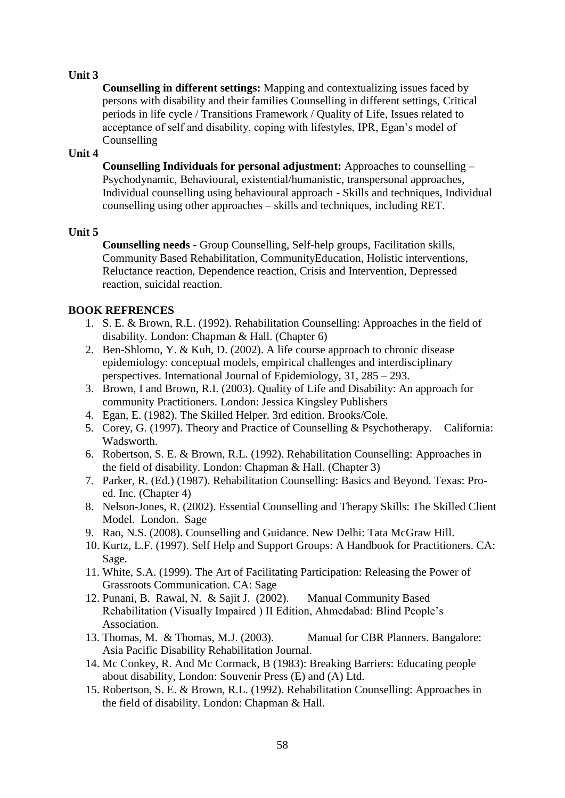**Counselling in different settings:** Mapping and contextualizing issues faced by persons with disability and their families Counselling in different settings, Critical periods in life cycle / Transitions Framework / Quality of Life, Issues related to acceptance of self and disability, coping with lifestyles, IPR, Egan's model of Counselling

### **Unit 4**

**Counselling Individuals for personal adjustment:** Approaches to counselling – Psychodynamic, Behavioural, existential/humanistic, transpersonal approaches, Individual counselling using behavioural approach - Skills and techniques, Individual counselling using other approaches – skills and techniques, including RET.

### **Unit 5**

**Counselling needs -** Group Counselling, Self-help groups, Facilitation skills, Community Based Rehabilitation, CommunityEducation, Holistic interventions, Reluctance reaction, Dependence reaction, Crisis and Intervention, Depressed reaction, suicidal reaction.

# **BOOK REFRENCES**

- 1. S. E. & Brown, R.L. (1992). Rehabilitation Counselling: Approaches in the field of disability. London: Chapman & Hall. (Chapter 6)
- 2. Ben-Shlomo, Y. & Kuh, D. (2002). A life course approach to chronic disease epidemiology: conceptual models, empirical challenges and interdisciplinary perspectives. International Journal of Epidemiology, 31, 285 – 293.
- 3. Brown, I and Brown, R.I. (2003). Quality of Life and Disability: An approach for community Practitioners. London: Jessica Kingsley Publishers
- 4. Egan, E. (1982). The Skilled Helper. 3rd edition. Brooks/Cole.
- 5. Corey, G. (1997). Theory and Practice of Counselling & Psychotherapy. California: Wadsworth.
- 6. Robertson, S. E. & Brown, R.L. (1992). Rehabilitation Counselling: Approaches in the field of disability. London: Chapman & Hall. (Chapter 3)
- 7. Parker, R. (Ed.) (1987). Rehabilitation Counselling: Basics and Beyond. Texas: Proed. Inc. (Chapter 4)
- 8. Nelson-Jones, R. (2002). Essential Counselling and Therapy Skills: The Skilled Client Model. London. Sage
- 9. Rao, N.S. (2008). Counselling and Guidance. New Delhi: Tata McGraw Hill.
- 10. Kurtz, L.F. (1997). Self Help and Support Groups: A Handbook for Practitioners. CA: Sage.
- 11. White, S.A. (1999). The Art of Facilitating Participation: Releasing the Power of Grassroots Communication. CA: Sage
- 12. Punani, B. Rawal, N. & Sajit J. (2002). Manual Community Based Rehabilitation (Visually Impaired ) II Edition, Ahmedabad: Blind People's Association.
- 13. Thomas, M. & Thomas, M.J. (2003). Manual for CBR Planners. Bangalore: Asia Pacific Disability Rehabilitation Journal.
- 14. Mc Conkey, R. And Mc Cormack, B (1983): Breaking Barriers: Educating people about disability, London: Souvenir Press (E) and (A) Ltd.
- 15. Robertson, S. E. & Brown, R.L. (1992). Rehabilitation Counselling: Approaches in the field of disability. London: Chapman & Hall.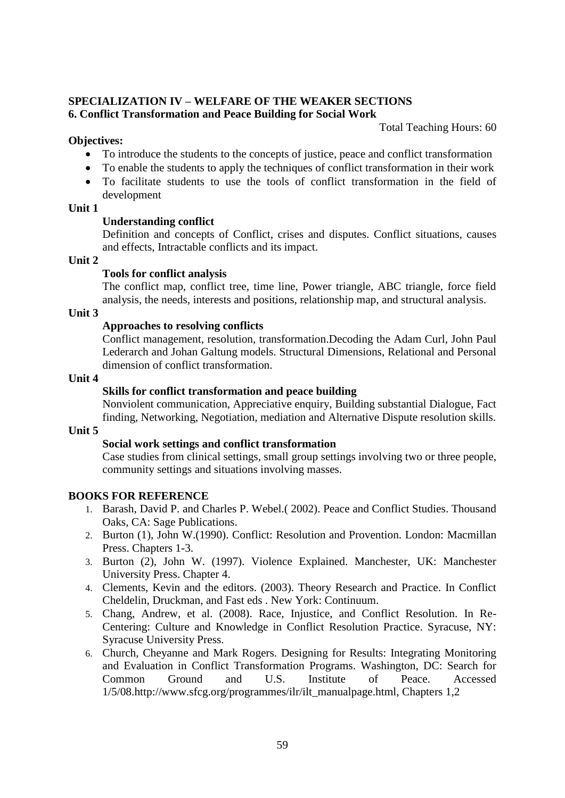#### **SPECIALIZATION IV – WELFARE OF THE WEAKER SECTIONS 6. Conflict Transformation and Peace Building for Social Work**

Total Teaching Hours: 60

### **Objectives:**

- To introduce the students to the concepts of justice, peace and conflict transformation
- To enable the students to apply the techniques of conflict transformation in their work
- To facilitate students to use the tools of conflict transformation in the field of development

### **Unit 1**

### **Understanding conflict**

Definition and concepts of Conflict, crises and disputes. Conflict situations, causes and effects, Intractable conflicts and its impact.

### **Unit 2**

### **Tools for conflict analysis**

The conflict map, conflict tree, time line, Power triangle, ABC triangle, force field analysis, the needs, interests and positions, relationship map, and structural analysis.

### **Unit 3**

### **Approaches to resolving conflicts**

Conflict management, resolution, transformation.Decoding the Adam Curl, John Paul Lederarch and Johan Galtung models. Structural Dimensions, Relational and Personal dimension of conflict transformation.

### **Unit 4**

# **Skills for conflict transformation and peace building**

Nonviolent communication, Appreciative enquiry, Building substantial Dialogue, Fact finding, Networking, Negotiation, mediation and Alternative Dispute resolution skills.

### **Unit 5**

# **Social work settings and conflict transformation**

Case studies from clinical settings, small group settings involving two or three people, community settings and situations involving masses.

# **BOOKS FOR REFERENCE**

- 1. Barash, David P. and Charles P. Webel.( 2002). Peace and Conflict Studies. Thousand Oaks, CA: Sage Publications.
- 2. Burton (1), John W.(1990). Conflict: Resolution and Provention. London: Macmillan Press. Chapters 1-3.
- 3. Burton (2), John W. (1997). Violence Explained. Manchester, UK: Manchester University Press. Chapter 4.
- 4. Clements, Kevin and the editors. (2003). Theory Research and Practice. In Conflict Cheldelin, Druckman, and Fast eds . New York: Continuum.
- 5. Chang, Andrew, et al. (2008). Race, Injustice, and Conflict Resolution. In Re-Centering: Culture and Knowledge in Conflict Resolution Practice. Syracuse, NY: Syracuse University Press.
- 6. Church, Cheyanne and Mark Rogers. Designing for Results: Integrating Monitoring and Evaluation in Conflict Transformation Programs. Washington, DC: Search for Common Ground and U.S. Institute of Peace. Accessed 1/5/08.http://www.sfcg.org/programmes/ilr/ilt\_manualpage.html, Chapters 1,2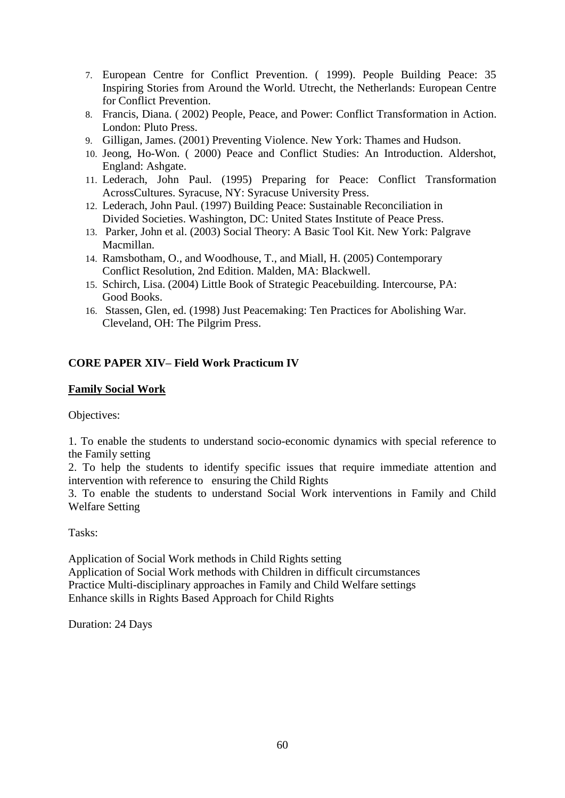- 7. European Centre for Conflict Prevention. ( 1999). People Building Peace: 35 Inspiring Stories from Around the World. Utrecht, the Netherlands: European Centre for Conflict Prevention.
- 8. Francis, Diana. ( 2002) People, Peace, and Power: Conflict Transformation in Action. London: Pluto Press.
- 9. Gilligan, James. (2001) Preventing Violence. New York: Thames and Hudson.
- 10. Jeong, Ho-Won. ( 2000) Peace and Conflict Studies: An Introduction. Aldershot, England: Ashgate.
- 11. Lederach, John Paul. (1995) Preparing for Peace: Conflict Transformation AcrossCultures. Syracuse, NY: Syracuse University Press.
- 12. Lederach, John Paul. (1997) Building Peace: Sustainable Reconciliation in Divided Societies. Washington, DC: United States Institute of Peace Press.
- 13. Parker, John et al. (2003) Social Theory: A Basic Tool Kit. New York: Palgrave Macmillan.
- 14. Ramsbotham, O., and Woodhouse, T., and Miall, H. (2005) Contemporary Conflict Resolution, 2nd Edition. Malden, MA: Blackwell.
- 15. Schirch, Lisa. (2004) Little Book of Strategic Peacebuilding. Intercourse, PA: Good Books.
- 16. Stassen, Glen, ed. (1998) Just Peacemaking: Ten Practices for Abolishing War. Cleveland, OH: The Pilgrim Press.

# **CORE PAPER XIV– Field Work Practicum IV**

### **Family Social Work**

Objectives:

1. To enable the students to understand socio-economic dynamics with special reference to the Family setting

2. To help the students to identify specific issues that require immediate attention and intervention with reference to ensuring the Child Rights

3. To enable the students to understand Social Work interventions in Family and Child Welfare Setting

Tasks:

Application of Social Work methods in Child Rights setting Application of Social Work methods with Children in difficult circumstances Practice Multi-disciplinary approaches in Family and Child Welfare settings Enhance skills in Rights Based Approach for Child Rights

Duration: 24 Days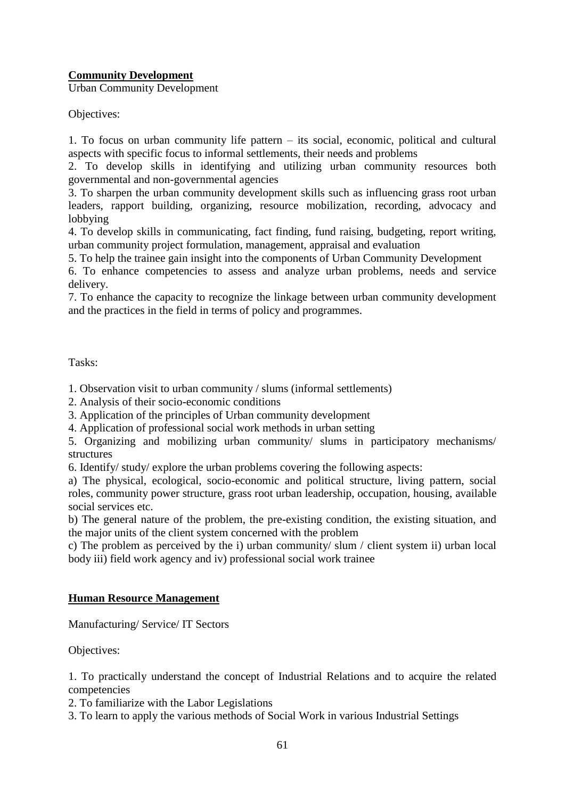# **Community Development**

Urban Community Development

Objectives:

1. To focus on urban community life pattern – its social, economic, political and cultural aspects with specific focus to informal settlements, their needs and problems

2. To develop skills in identifying and utilizing urban community resources both governmental and non-governmental agencies

3. To sharpen the urban community development skills such as influencing grass root urban leaders, rapport building, organizing, resource mobilization, recording, advocacy and lobbying

4. To develop skills in communicating, fact finding, fund raising, budgeting, report writing, urban community project formulation, management, appraisal and evaluation

5. To help the trainee gain insight into the components of Urban Community Development

6. To enhance competencies to assess and analyze urban problems, needs and service delivery.

7. To enhance the capacity to recognize the linkage between urban community development and the practices in the field in terms of policy and programmes.

Tasks:

1. Observation visit to urban community / slums (informal settlements)

2. Analysis of their socio-economic conditions

3. Application of the principles of Urban community development

4. Application of professional social work methods in urban setting

5. Organizing and mobilizing urban community/ slums in participatory mechanisms/ structures

6. Identify/ study/ explore the urban problems covering the following aspects:

a) The physical, ecological, socio-economic and political structure, living pattern, social roles, community power structure, grass root urban leadership, occupation, housing, available social services etc.

b) The general nature of the problem, the pre-existing condition, the existing situation, and the major units of the client system concerned with the problem

c) The problem as perceived by the i) urban community/ slum / client system ii) urban local body iii) field work agency and iv) professional social work trainee

# **Human Resource Management**

Manufacturing/ Service/ IT Sectors

Objectives:

1. To practically understand the concept of Industrial Relations and to acquire the related competencies

2. To familiarize with the Labor Legislations

3. To learn to apply the various methods of Social Work in various Industrial Settings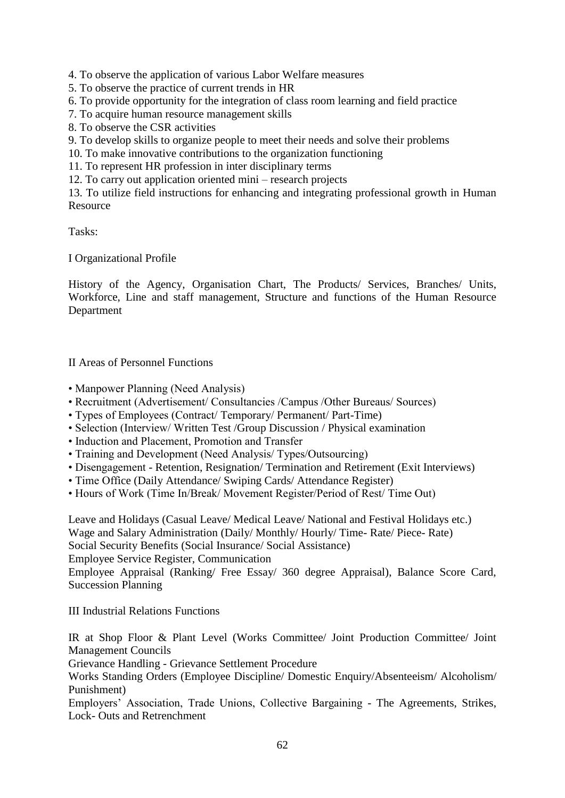4. To observe the application of various Labor Welfare measures

5. To observe the practice of current trends in HR

6. To provide opportunity for the integration of class room learning and field practice

- 7. To acquire human resource management skills
- 8. To observe the CSR activities

9. To develop skills to organize people to meet their needs and solve their problems

- 10. To make innovative contributions to the organization functioning
- 11. To represent HR profession in inter disciplinary terms
- 12. To carry out application oriented mini research projects

13. To utilize field instructions for enhancing and integrating professional growth in Human Resource

Tasks:

I Organizational Profile

History of the Agency, Organisation Chart, The Products/ Services, Branches/ Units, Workforce, Line and staff management, Structure and functions of the Human Resource Department

II Areas of Personnel Functions

- Manpower Planning (Need Analysis)
- Recruitment (Advertisement/ Consultancies /Campus /Other Bureaus/ Sources)
- Types of Employees (Contract/ Temporary/ Permanent/ Part-Time)
- Selection (Interview/ Written Test /Group Discussion / Physical examination
- Induction and Placement, Promotion and Transfer
- Training and Development (Need Analysis/ Types/Outsourcing)
- Disengagement Retention, Resignation/ Termination and Retirement (Exit Interviews)
- Time Office (Daily Attendance/ Swiping Cards/ Attendance Register)
- Hours of Work (Time In/Break/ Movement Register/Period of Rest/ Time Out)

Leave and Holidays (Casual Leave/ Medical Leave/ National and Festival Holidays etc.) Wage and Salary Administration (Daily/ Monthly/ Hourly/ Time- Rate/ Piece- Rate) Social Security Benefits (Social Insurance/ Social Assistance) Employee Service Register, Communication

Employee Appraisal (Ranking/ Free Essay/ 360 degree Appraisal), Balance Score Card, Succession Planning

III Industrial Relations Functions

IR at Shop Floor & Plant Level (Works Committee/ Joint Production Committee/ Joint Management Councils

Grievance Handling - Grievance Settlement Procedure

Works Standing Orders (Employee Discipline/ Domestic Enquiry/Absenteeism/ Alcoholism/ Punishment)

Employers' Association, Trade Unions, Collective Bargaining - The Agreements, Strikes, Lock- Outs and Retrenchment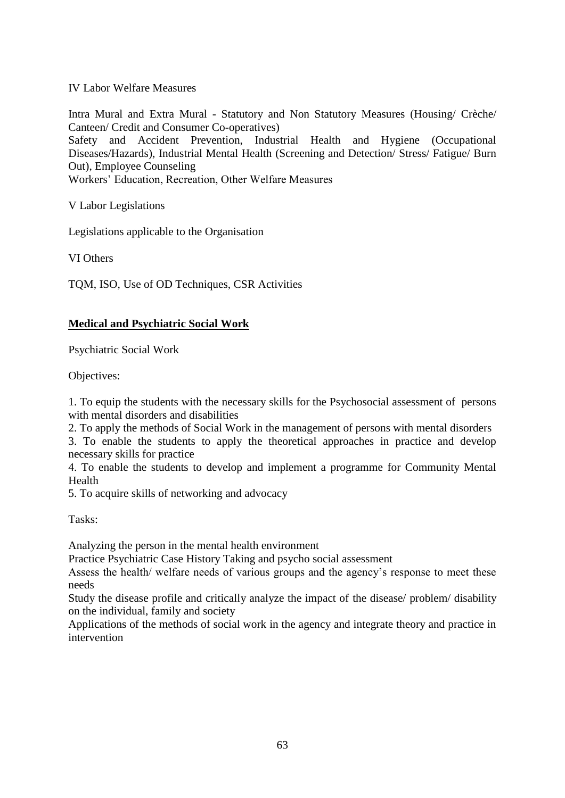IV Labor Welfare Measures

Intra Mural and Extra Mural - Statutory and Non Statutory Measures (Housing/ Crèche/ Canteen/ Credit and Consumer Co-operatives)

Safety and Accident Prevention, Industrial Health and Hygiene (Occupational Diseases/Hazards), Industrial Mental Health (Screening and Detection/ Stress/ Fatigue/ Burn Out), Employee Counseling

Workers' Education, Recreation, Other Welfare Measures

V Labor Legislations

Legislations applicable to the Organisation

VI Others

TQM, ISO, Use of OD Techniques, CSR Activities

### **Medical and Psychiatric Social Work**

Psychiatric Social Work

Objectives:

1. To equip the students with the necessary skills for the Psychosocial assessment of persons with mental disorders and disabilities

2. To apply the methods of Social Work in the management of persons with mental disorders

3. To enable the students to apply the theoretical approaches in practice and develop necessary skills for practice

4. To enable the students to develop and implement a programme for Community Mental Health

5. To acquire skills of networking and advocacy

Tasks:

Analyzing the person in the mental health environment

Practice Psychiatric Case History Taking and psycho social assessment

Assess the health/ welfare needs of various groups and the agency's response to meet these needs

Study the disease profile and critically analyze the impact of the disease/ problem/ disability on the individual, family and society

Applications of the methods of social work in the agency and integrate theory and practice in intervention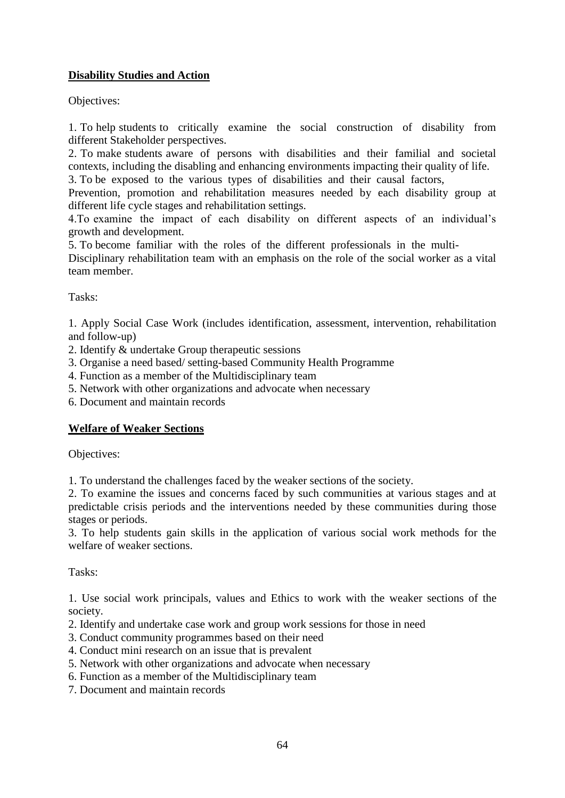# **Disability Studies and Action**

Objectives:

1. To help students to critically examine the social construction of disability from different Stakeholder perspectives.

2. To make students aware of persons with disabilities and their familial and societal contexts, including the disabling and enhancing environments impacting their quality of life.

3. To be exposed to the various types of disabilities and their causal factors,

Prevention, promotion and rehabilitation measures needed by each disability group at different life cycle stages and rehabilitation settings.

4.To examine the impact of each disability on different aspects of an individual's growth and development.

5. To become familiar with the roles of the different professionals in the multi-

Disciplinary rehabilitation team with an emphasis on the role of the social worker as a vital team member.

Tasks:

1. Apply Social Case Work (includes identification, assessment, intervention, rehabilitation and follow-up)

2. Identify & undertake Group therapeutic sessions

- 3. Organise a need based/ setting-based Community Health Programme
- 4. Function as a member of the Multidisciplinary team
- 5. Network with other organizations and advocate when necessary
- 6. Document and maintain records

# **Welfare of Weaker Sections**

Objectives:

1. To understand the challenges faced by the weaker sections of the society.

2. To examine the issues and concerns faced by such communities at various stages and at predictable crisis periods and the interventions needed by these communities during those stages or periods.

3. To help students gain skills in the application of various social work methods for the welfare of weaker sections.

Tasks:

1. Use social work principals, values and Ethics to work with the weaker sections of the society.

- 2. Identify and undertake case work and group work sessions for those in need
- 3. Conduct community programmes based on their need
- 4. Conduct mini research on an issue that is prevalent
- 5. Network with other organizations and advocate when necessary
- 6. Function as a member of the Multidisciplinary team
- 7. Document and maintain records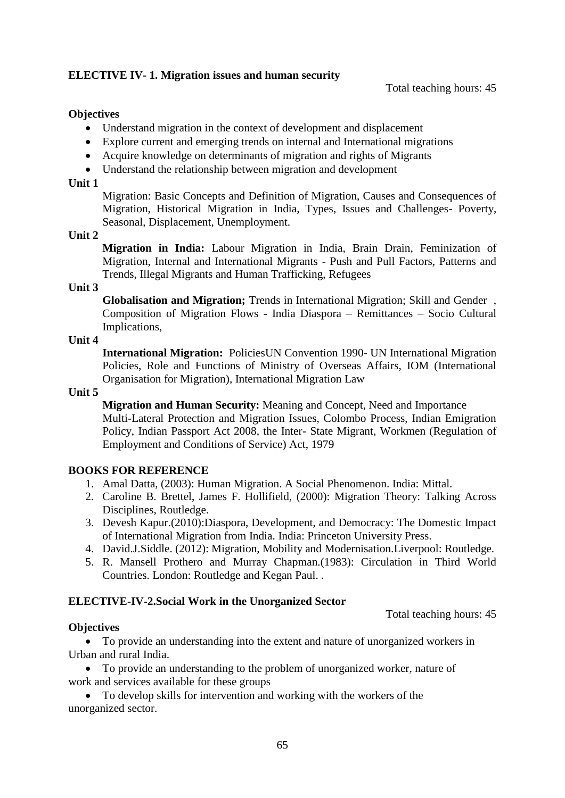# **ELECTIVE IV- 1. Migration issues and human security**

#### **Objectives**

- Understand migration in the context of development and displacement
- Explore current and emerging trends on internal and International migrations
- Acquire knowledge on determinants of migration and rights of Migrants
- Understand the relationship between migration and development

#### **Unit 1**

Migration: Basic Concepts and Definition of Migration, Causes and Consequences of Migration, Historical Migration in India, Types, Issues and Challenges- Poverty, Seasonal, Displacement, Unemployment.

#### **Unit 2**

**Migration in India:** Labour Migration in India, Brain Drain, Feminization of Migration, Internal and International Migrants - Push and Pull Factors, Patterns and Trends, Illegal Migrants and Human Trafficking, Refugees

#### **Unit 3**

**Globalisation and Migration;** Trends in International Migration; Skill and Gender , Composition of Migration Flows - India Diaspora – Remittances – Socio Cultural Implications,

### **Unit 4**

**International Migration:** PoliciesUN Convention 1990- UN International Migration Policies, Role and Functions of Ministry of Overseas Affairs, IOM (International Organisation for Migration), International Migration Law

### **Unit 5**

**Migration and Human Security:** Meaning and Concept, Need and Importance Multi-Lateral Protection and Migration Issues, Colombo Process, Indian Emigration Policy, Indian Passport Act 2008, the Inter- State Migrant, Workmen (Regulation of Employment and Conditions of Service) Act, 1979

### **BOOKS FOR REFERENCE**

- 1. Amal Datta, (2003): Human Migration. A Social Phenomenon. India: Mittal.
- 2. Caroline B. Brettel, James F. Hollifield, (2000): Migration Theory: Talking Across Disciplines, Routledge.
- 3. Devesh Kapur.(2010):Diaspora, Development, and Democracy: The Domestic Impact of International Migration from India. India: Princeton University Press.
- 4. David.J.Siddle. (2012): Migration, Mobility and Modernisation.Liverpool: Routledge.
- 5. R. Mansell Prothero and Murray Chapman.(1983): Circulation in Third World Countries. London: Routledge and Kegan Paul. .

### **ELECTIVE-IV-2.Social Work in the Unorganized Sector**

Total teaching hours: 45

### **Objectives**

 To provide an understanding into the extent and nature of unorganized workers in Urban and rural India.

 To provide an understanding to the problem of unorganized worker, nature of work and services available for these groups

 To develop skills for intervention and working with the workers of the unorganized sector.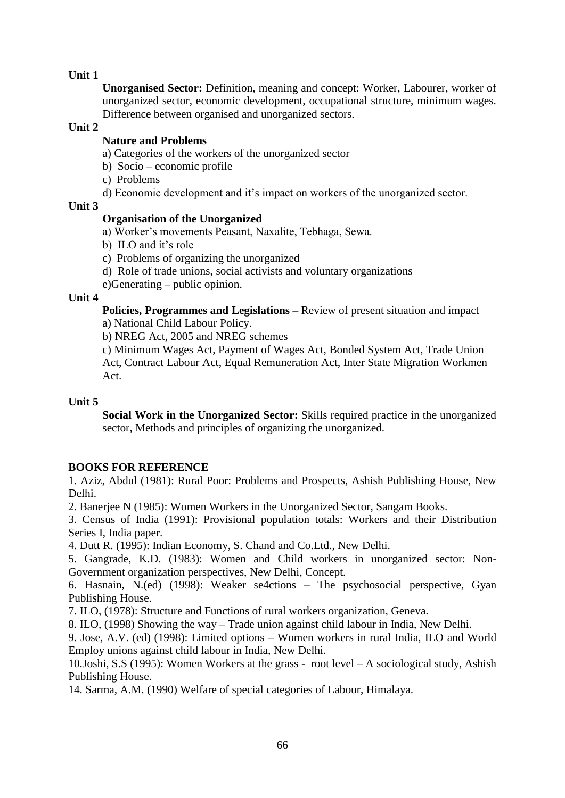**Unorganised Sector:** Definition, meaning and concept: Worker, Labourer, worker of unorganized sector, economic development, occupational structure, minimum wages. Difference between organised and unorganized sectors.

### **Unit 2**

# **Nature and Problems**

a) Categories of the workers of the unorganized sector

- b) Socio economic profile
- c) Problems
- d) Economic development and it's impact on workers of the unorganized sector.

### **Unit 3**

# **Organisation of the Unorganized**

- a) Worker's movements Peasant, Naxalite, Tebhaga, Sewa.
- b) ILO and it's role
- c) Problems of organizing the unorganized
- d) Role of trade unions, social activists and voluntary organizations
- e)Generating public opinion.

### **Unit 4**

**Policies, Programmes and Legislations –** Review of present situation and impact

a) National Child Labour Policy.

b) NREG Act, 2005 and NREG schemes

c) Minimum Wages Act, Payment of Wages Act, Bonded System Act, Trade Union Act, Contract Labour Act, Equal Remuneration Act, Inter State Migration Workmen Act.

### **Unit 5**

**Social Work in the Unorganized Sector:** Skills required practice in the unorganized sector, Methods and principles of organizing the unorganized.

# **BOOKS FOR REFERENCE**

1. Aziz, Abdul (1981): Rural Poor: Problems and Prospects, Ashish Publishing House, New Delhi.

2. Banerjee N (1985): Women Workers in the Unorganized Sector, Sangam Books.

3. Census of India (1991): Provisional population totals: Workers and their Distribution Series I, India paper.

4. Dutt R. (1995): Indian Economy, S. Chand and Co.Ltd., New Delhi.

5. Gangrade, K.D. (1983): Women and Child workers in unorganized sector: Non-Government organization perspectives, New Delhi, Concept.

6. Hasnain, N.(ed) (1998): Weaker se4ctions – The psychosocial perspective, Gyan Publishing House.

7. ILO, (1978): Structure and Functions of rural workers organization, Geneva.

8. ILO, (1998) Showing the way – Trade union against child labour in India, New Delhi.

9. Jose, A.V. (ed) (1998): Limited options – Women workers in rural India, ILO and World Employ unions against child labour in India, New Delhi.

10.Joshi, S.S (1995): Women Workers at the grass - root level – A sociological study, Ashish Publishing House.

14. Sarma, A.M. (1990) Welfare of special categories of Labour, Himalaya.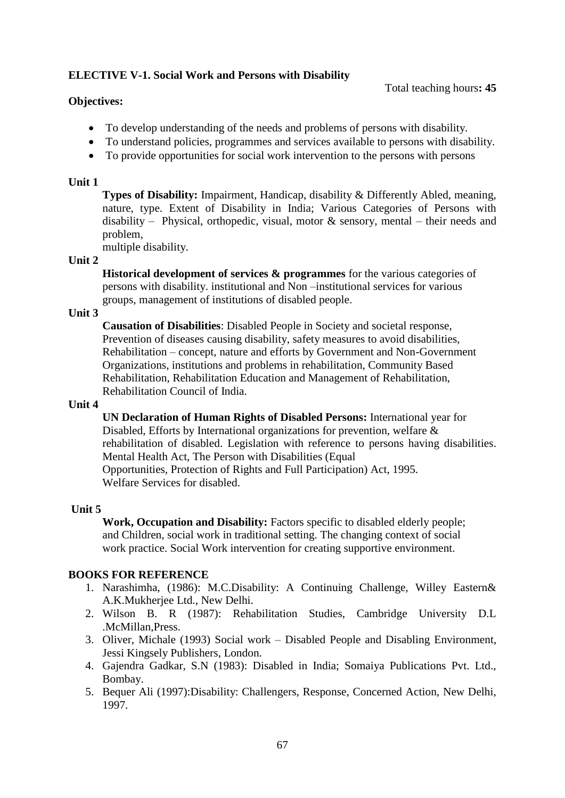# **ELECTIVE V-1. Social Work and Persons with Disability**

### **Objectives:**

- To develop understanding of the needs and problems of persons with disability.
- To understand policies, programmes and services available to persons with disability.
- To provide opportunities for social work intervention to the persons with persons

### **Unit 1**

**Types of Disability:** Impairment, Handicap, disability & Differently Abled, meaning, nature, type. Extent of Disability in India; Various Categories of Persons with disability – Physical, orthopedic, visual, motor & sensory, mental – their needs and problem,

multiple disability.

### **Unit 2**

**Historical development of services & programmes** for the various categories of persons with disability. institutional and Non –institutional services for various groups, management of institutions of disabled people.

### **Unit 3**

**Causation of Disabilities**: Disabled People in Society and societal response, Prevention of diseases causing disability, safety measures to avoid disabilities, Rehabilitation – concept, nature and efforts by Government and Non-Government Organizations, institutions and problems in rehabilitation, Community Based Rehabilitation, Rehabilitation Education and Management of Rehabilitation, Rehabilitation Council of India.

### **Unit 4**

**UN Declaration of Human Rights of Disabled Persons:** International year for Disabled, Efforts by International organizations for prevention, welfare & rehabilitation of disabled. Legislation with reference to persons having disabilities. Mental Health Act, The Person with Disabilities (Equal Opportunities, Protection of Rights and Full Participation) Act, 1995. Welfare Services for disabled.

### **Unit 5**

**Work, Occupation and Disability:** Factors specific to disabled elderly people; and Children, social work in traditional setting. The changing context of social work practice. Social Work intervention for creating supportive environment.

# **BOOKS FOR REFERENCE**

- 1. Narashimha, (1986): M.C.Disability: A Continuing Challenge, Willey Eastern& A.K.Mukherjee Ltd., New Delhi.
- 2. Wilson B. R (1987): Rehabilitation Studies, Cambridge University D.L .McMillan,Press.
- 3. Oliver, Michale (1993) Social work Disabled People and Disabling Environment, Jessi Kingsely Publishers, London.
- 4. Gajendra Gadkar, S.N (1983): Disabled in India; Somaiya Publications Pvt. Ltd., Bombay.
- 5. Bequer Ali (1997):Disability: Challengers, Response, Concerned Action, New Delhi, 1997.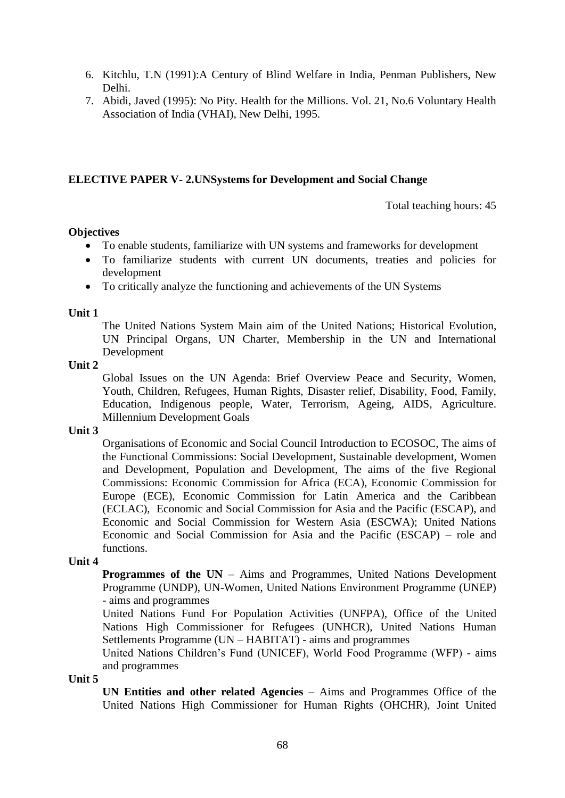- 6. Kitchlu, T.N (1991):A Century of Blind Welfare in India, Penman Publishers, New Delhi.
- 7. Abidi, Javed (1995): No Pity. Health for the Millions. Vol. 21, No.6 Voluntary Health Association of India (VHAI), New Delhi, 1995.

#### **ELECTIVE PAPER V- 2.UNSystems for Development and Social Change**

Total teaching hours: 45

#### **Objectives**

- To enable students, familiarize with UN systems and frameworks for development
- To familiarize students with current UN documents, treaties and policies for development
- To critically analyze the functioning and achievements of the UN Systems

#### **Unit 1**

The United Nations System Main aim of the United Nations; Historical Evolution, UN Principal Organs, UN Charter, Membership in the UN and International Development

#### **Unit 2**

Global Issues on the UN Agenda: Brief Overview Peace and Security, Women, Youth, Children, Refugees, Human Rights, Disaster relief, Disability, Food, Family, Education, Indigenous people, Water, Terrorism, Ageing, AIDS, Agriculture. Millennium Development Goals

#### **Unit 3**

Organisations of Economic and Social Council Introduction to ECOSOC, The aims of the Functional Commissions: Social Development, Sustainable development, Women and Development, Population and Development, The aims of the five Regional Commissions: Economic Commission for Africa (ECA), Economic Commission for Europe (ECE), Economic Commission for Latin America and the Caribbean (ECLAC), Economic and Social Commission for Asia and the Pacific (ESCAP), and Economic and Social Commission for Western Asia (ESCWA); United Nations Economic and Social Commission for Asia and the Pacific (ESCAP) – role and functions.

#### **Unit 4**

**Programmes of the UN** – Aims and Programmes, United Nations Development Programme (UNDP), UN-Women, United Nations Environment Programme (UNEP) - aims and programmes

United Nations Fund For Population Activities (UNFPA), Office of the United Nations High Commissioner for Refugees (UNHCR), United Nations Human Settlements Programme (UN – HABITAT) - aims and programmes

United Nations Children's Fund (UNICEF), World Food Programme (WFP) - aims and programmes

**Unit 5**

**UN Entities and other related Agencies** – Aims and Programmes Office of the United Nations High Commissioner for Human Rights (OHCHR), Joint United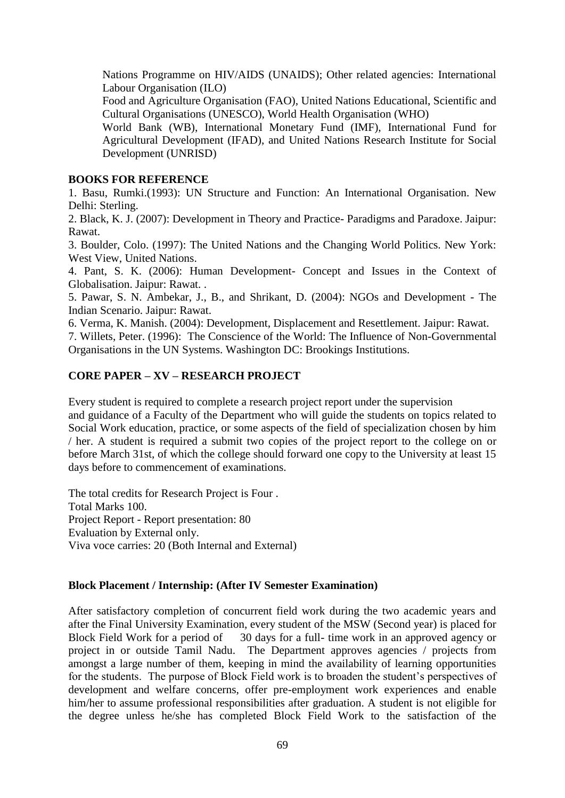Nations Programme on HIV/AIDS (UNAIDS); Other related agencies: International Labour Organisation (ILO)

Food and Agriculture Organisation (FAO), United Nations Educational, Scientific and Cultural Organisations (UNESCO), World Health Organisation (WHO)

World Bank (WB), International Monetary Fund (IMF), International Fund for Agricultural Development (IFAD), and United Nations Research Institute for Social Development (UNRISD)

### **BOOKS FOR REFERENCE**

1. Basu, Rumki.(1993): UN Structure and Function: An International Organisation. New Delhi: Sterling.

2. Black, K. J. (2007): Development in Theory and Practice- Paradigms and Paradoxe. Jaipur: Rawat.

3. Boulder, Colo. (1997): The United Nations and the Changing World Politics. New York: West View, United Nations.

4. Pant, S. K. (2006): Human Development- Concept and Issues in the Context of Globalisation. Jaipur: Rawat. .

5. Pawar, S. N. Ambekar, J., B., and Shrikant, D. (2004): NGOs and Development - The Indian Scenario. Jaipur: Rawat.

6. Verma, K. Manish. (2004): Development, Displacement and Resettlement. Jaipur: Rawat.

7. Willets, Peter. (1996): The Conscience of the World: The Influence of Non-Governmental Organisations in the UN Systems. Washington DC: Brookings Institutions.

# **CORE PAPER – XV – RESEARCH PROJECT**

Every student is required to complete a research project report under the supervision and guidance of a Faculty of the Department who will guide the students on topics related to Social Work education, practice, or some aspects of the field of specialization chosen by him / her. A student is required a submit two copies of the project report to the college on or before March 31st, of which the college should forward one copy to the University at least 15 days before to commencement of examinations.

The total credits for Research Project is Four . Total Marks 100. Project Report - Report presentation: 80 Evaluation by External only. Viva voce carries: 20 (Both Internal and External)

# **Block Placement / Internship: (After IV Semester Examination)**

After satisfactory completion of concurrent field work during the two academic years and after the Final University Examination, every student of the MSW (Second year) is placed for Block Field Work for a period of 30 days for a full- time work in an approved agency or project in or outside Tamil Nadu. The Department approves agencies / projects from amongst a large number of them, keeping in mind the availability of learning opportunities for the students. The purpose of Block Field work is to broaden the student's perspectives of development and welfare concerns, offer pre-employment work experiences and enable him/her to assume professional responsibilities after graduation. A student is not eligible for the degree unless he/she has completed Block Field Work to the satisfaction of the